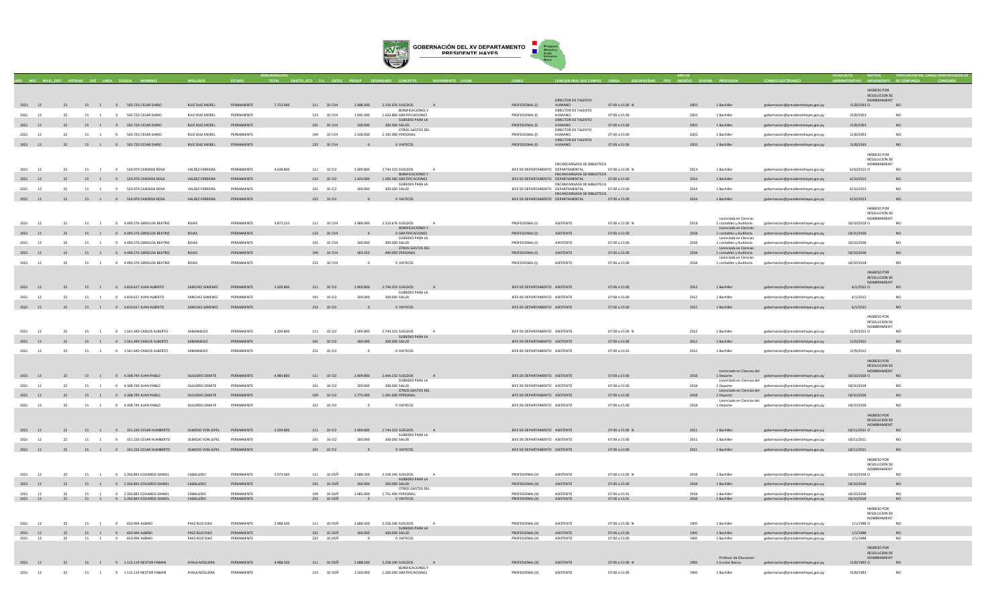

|                       |    |                      |          |                                                                  |                             |                          |           |                            |                       |                                                      |              |                                      |                                      |                                |              |                                                   |                                                                          | <b>INGRESO POR</b><br><b>RESOLUCION DE</b>  |                 |
|-----------------------|----|----------------------|----------|------------------------------------------------------------------|-----------------------------|--------------------------|-----------|----------------------------|-----------------------|------------------------------------------------------|--------------|--------------------------------------|--------------------------------------|--------------------------------|--------------|---------------------------------------------------|--------------------------------------------------------------------------|---------------------------------------------|-----------------|
| 2021 12               |    |                      |          | 22 15 1 0 503.720 CESAR DARIO                                    | RUIZ DIAZ MOREL             | PERMANENTE               | 7,733,900 | 111 10 CV4                 | 2,988,900             | 2.510.676 SUELDOS<br>A                               |              | PROFESIONAL (I)                      | DIRECTOR DE TALENTO<br>HUMANO        | 07:00 a 15:00 N                | 2003         | 1 Bachiller                                       | gobernacion@presidentehayes.gov.py                                       | NOMBRAMIENT<br>15/8/2003 O                  | NO              |
| 2021<br><sup>12</sup> | 22 |                      |          | 15 1 0 503.720 CESAR DARIO                                       | RUIZ DIAZ MOREL             | PERMANENTI               |           | 133 10 CV4                 | 1.945.000             | <b>BONIFICACIONES Y</b><br>1.633.800 GRATIFICACIONES |              | PROFESIONAL (I)                      | DIRECTOR DE TALENTO<br>HUMANO        | 07:00 a 15:00                  | 2003         | 1 Bachille                                        | gobernacion@presidentehayes.gov.py                                       | 15/8/2003                                   | N <sub>O</sub>  |
| 2021 12               | 22 |                      |          | 15 1 0 503.720 CESAR DARIO                                       | <b>RUIZ DIAZ MOREL</b>      | PERMANENTE               |           | 191 10 CV4                 | 300.000               | SUBSIDIO PARA LA<br>300.000 SALUD                    |              | PROFESIONAL (I)                      | DIRECTOR DE TALENTO<br>HUMANO        | 07:00 a 15:00                  | 2003         | 1 Bachiller                                       | gobernacion@presidentehayes.gov.py                                       | 15/8/2003                                   | <b>NO</b>       |
| 2021<br>12            | 22 |                      |          | 15 1 0 503.720 CESAR DARIO                                       | RUIZ DIAZ MOREL             | PERMANENTE               |           | 199 10 CV4                 | 2.500.000             | OTROS GASTOS DEL<br>2.100.000 PERSONAL               |              | PROFESIONAL (I)                      | DIRECTOR DE TALENTO<br><b>HUMANO</b> | 07:00 a 15:00                  | 2003         | 1 Bachiller                                       | gobernacion@presidentehayes.gov.py                                       | 15/8/2003                                   | NO.             |
| 2021 12               | 22 |                      |          | 15 1 0 503.720 CESAR DARIO                                       | RUIZ DIAZ MOREL             | PERMANENTE               |           | 232 10 CV4                 |                       | O VIATICOS                                           |              | PROFESIONAL (I)                      | DIRECTOR DE TALENTO<br>HUMANO        | 07:00 a 15:00                  | 2003         | 1 Bachiller                                       | gobernacion@presidentehayes.gov.py                                       | 15/8/2003                                   | <b>NO</b>       |
|                       |    |                      |          |                                                                  |                             |                          |           |                            |                       |                                                      |              |                                      |                                      |                                |              |                                                   |                                                                          | INGRESO POR                                 |                 |
|                       |    |                      |          |                                                                  |                             |                          |           |                            |                       |                                                      |              |                                      |                                      |                                |              |                                                   |                                                                          | <b>RESOLUCION DE</b>                        |                 |
| 2021<br>12            | 22 | 15<br>$\overline{1}$ |          | 0 524.970 CANDIDA ROSA                                           | VALDEZ FERREIRA             | PERMANENTE               | 4.638.800 | 111 10 Cl2                 | 2.909.800             | 2.744.323 SUELDOS                                    | $\mathbf{A}$ | JEFE DE DEPARTAMENTO DEPARTAMENTAL   | ENCANCARGADA DE BIBLIOTECA           | 07:00 a 15:00 N                | 2014         | 1 Bachiller                                       | gobernacion@presidentehayes.gov.py                                       | NOMBRAMIENT<br>6/10/2015 O                  | N <sub>O</sub>  |
| 2021 12               | 22 |                      |          | 15 1 0 524.970 CANDIDA ROSA                                      | VALDEZ FERREIRA             | PERMANENTE               |           | 133 10 Cl2                 | 1.429.000             | <b>BONIFICACIONES Y</b><br>1.200.360 GRATIFICACIONES |              | JEFE DE DEPARTAMENTO DEPARTAMENTAL   | ENCANCARGADA DE BIBLIOTECA           | 07:00 a 15:00                  | 2014         | 1 Bachiller                                       | gobernacion@presidentehayes.gov.py                                       | 6/10/2015                                   | <b>NO</b>       |
| 2021<br><sup>12</sup> | 22 | 15 1                 |          | 0 524,970 CANDIDA ROSA                                           | VALDEZ FERREIRA             | PERMANENTI               |           | 191 10 Cl2                 | 300,000               | SUBSIDIO PARA LA<br>300,000 SALUD                    |              | JEFE DE DEPARTAMENTO DEPARTAMENTAL   | ENCANCARGADA DE BIBLIOTECA           | 07:00 a 15:00                  | 2014         | 1 Bachille                                        | gobernacion@presidentehayes.gov.py                                       | 6/10/2015                                   | N <sub>O</sub>  |
| 2021 12               | 22 |                      |          | 15 1 0 524.970 CANDIDA ROSA                                      | <b>VALDEZ FERREIRA</b>      | PERMANENTE               |           | 232 10 Cl2                 |                       | 0 VIATICOS                                           |              | JEFE DE DEPARTAMENTO DEPARTAMENTAL   | ENCANCARGADA DE BIBLIOTECA           | 07:00 a 15:00                  | 2014         | 1 Bachiller                                       | gobernacion@presidentehayes.gov.py                                       | 6/10/2015                                   | <b>NO</b>       |
|                       |    |                      |          |                                                                  |                             |                          |           |                            |                       |                                                      |              |                                      |                                      |                                |              |                                                   |                                                                          | INGRESO POR                                 |                 |
|                       |    |                      |          |                                                                  |                             |                          |           |                            |                       |                                                      |              |                                      |                                      |                                |              |                                                   |                                                                          | RESOLUCION DE                               |                 |
| 2021<br>12            | 22 | 15<br>$\blacksquare$ |          | 0 4 490 276 GRISFI DA REATRIZ                                    | <b>ROIAS</b>                | PERMANENTE               | 3872233   | 111 10 CV4                 | 2.988.900             | 2.510.676. SUELDOS                                   |              | PROFESIONAL (I)                      | <b>ASISTENTE</b>                     | 07:00 a 15:00 N                | 2018         | Licenciada en Ciencias<br>1 contables y Auditoria | gobernacion@presidentehayes.gov.py                                       | NOMBRAMIENT<br>18/10/2018 0                 | NO <sub>1</sub> |
| 2021 12               | 22 |                      |          | 15 1 0 4.490.276 GRISELDA BEATRIZ                                | ROJAS                       | PERMANENTE               |           | 133 10 CV4                 |                       | BONIFICACIONES Y<br>0 GRATIFICACIONES                |              | PROFESIONAL (I)                      | ASISTENTE                            | 07:00 a 15:00                  | 2018         | Licenciada en Ciencias<br>1 contables y Auditoria | gobernacion@presidentehayes.gov.py                                       | 18/10/2018                                  | NO.             |
| 12<br>2021            | 22 | 15                   |          | 0 4.490.276 GRISELDA BEATRIZ                                     | <b>ROJAS</b>                | PERMANENTE               |           | 191 10 CV4                 | 300,000               | SUBSIDIO PARA LA<br>300.000 SALUD                    |              | PROFESIONAL (I)                      | ASISTENTE                            | 07:00 a 15:00                  | 2018         | Licenciada en Ciencias<br>1 contables y Auditoria | gobernacion@presidentehayes.gov.py                                       | 18/10/2018                                  | N <sub>O</sub>  |
|                       |    |                      |          |                                                                  | ROJAS                       | PERMANENTE               |           |                            | 583.333               | OTROS GASTOS DEL<br>490.000 PERSONAL                 |              |                                      | ASISTENTE                            |                                | 2018         | Licenciada en Ciencias                            |                                                                          | 18/10/2018                                  | <b>NO</b>       |
| 2021 12               | 22 |                      |          | 15 1 0 4.490.276 GRISELDA BEATRIZ                                |                             |                          |           | 199 10 CV4                 |                       |                                                      |              | PROFESIONAL (I)                      |                                      | 07:00 a 15:00                  |              | 1 contables y Auditoria<br>Licenciada en Ciencias | gobernacion@presidentehayes.gov.py                                       |                                             |                 |
| 2021<br>12            | 22 | 15                   | $\sim$ 1 | 0 4.490.276 GRISELDA BEATRIZ                                     | ROJAS                       | PERMANENTE               |           | 232 10 CV4                 |                       | 0 VIATICOS                                           |              | PROFESIONAL (I)                      | ASISTENTE                            | 07:00 a 15:00                  | 2018         | 1 contables y Auditoria                           | gobernacion@presidentehayes.gov.py                                       | 18/10/2018                                  | <b>NO</b>       |
|                       |    |                      |          |                                                                  |                             |                          |           |                            |                       |                                                      |              |                                      |                                      |                                |              |                                                   |                                                                          | INGRESO POR<br>RESOLUCION DE<br>NOMRRAMIENT |                 |
| 2021 12               | 22 |                      |          | 15 1 0 3.810.617 JUAN ALBERTO                                    | SANCHEZ GIMENEZ             | PERMANENTE               | 3.209.800 | 111 10 Cl2                 | 2.909.800             | 2.744.323. SUELDOS<br>A<br>SUBSIDIO PARA LA          |              | JEFE DE DEPARTAMENTO ASISTENTE       |                                      | 07:00 a 15:00                  | 2012         | 1 Rachiller                                       | gobernacion@presidentehayes.gov.py                                       | $6/1/2012$ O                                | N()             |
| 2021<br>12            | 22 | 15 1                 |          | 0 3.810.617 JUAN ALBERTO                                         | SANCHEZ GIMENEZ             | PERMANENTE               |           | 191 10 Cl2                 | 300,000               | 300,000 SALUD                                        |              | JEFE DE DEPARTAMENTO ASISTENTE       |                                      | 07:00 a 15:00                  | 2012         | 1 Bachiller                                       | gobernacion@presidentehaves.gov.pv                                       | 6/1/2012                                    | N <sub>O</sub>  |
| 2021 12               | 22 |                      |          | 15 1 0 3.810.617 JUAN ALBERTO                                    | SANCHEZ GIMENEZ             | PERMANENTE               |           | 232 10 Cl2                 |                       | O VIATICOS                                           |              | JEFE DE DEPARTAMENTO ASISTENTE       |                                      | 07:00 a 15:00                  | 2012         | 1 Bachiller                                       | gobernacion@presidentehayes.gov.py                                       | 6/1/2012                                    | NO.             |
|                       |    |                      |          |                                                                  |                             |                          |           |                            |                       |                                                      |              |                                      |                                      |                                |              |                                                   |                                                                          | <b>INGRESO POR</b>                          |                 |
|                       |    |                      |          |                                                                  |                             |                          |           |                            |                       |                                                      |              |                                      |                                      |                                |              |                                                   |                                                                          | RESOLUCION DE<br>NOMBRAMIENT                |                 |
| 2021<br>12            | 22 | 15<br>$\blacksquare$ |          | 0 1.541.449 CARLOS ALBERTO                                       | SAMANIEGO                   | PERMANENTE               | 3,209,800 | 111 10 Cl2                 | 2,909,800             | 2,744,323 SUELDOS<br>SUBSIDIO PARA LA                | $\mathbf{A}$ | IFFE DE DEPARTAMENTO ASISTENTE       |                                      | 07:00 a 15:00 N                | 2012         | 1 Bachiller                                       | gobernacion@presidentehayes.gov.py                                       | 12/9/2012 O                                 | N <sub>O</sub>  |
| 2021 12               | 22 |                      |          | 15 1 0 1.541.449 CARLOS ALBERTO                                  | SAMANIEGO                   | PERMANENTE               |           | 191 10 Cl2                 | 300.000               | 300.000 SALUD                                        |              | JEFE DE DEPARTAMENTO ASISTENTE       |                                      | 07:00 a 15:00                  | 2012         | 1 Bachiller                                       | gobernacion@presidentehayes.gov.py                                       | 12/9/2012                                   | N <sub>O</sub>  |
| 2021<br>12            | 22 | 15<br>$\overline{1}$ |          | 0 1.541.449 CARLOS ALBERTO                                       | SAMANIEGO                   | PERMANENTE               |           | $232$ 10 $\cup$ 2          | $\sim$                | O VIATICOS                                           |              | IFFE DE DEPARTAMENTO ASISTENTE       |                                      | 07:00 a 15:01                  | 2012         | 1 Bachiller                                       | gobernacion@presidentehayes.gov.py                                       | 12/9/2012                                   | N <sub>O</sub>  |
|                       |    |                      |          |                                                                  |                             |                          |           |                            |                       |                                                      |              |                                      |                                      |                                |              |                                                   |                                                                          | <b>INGRESO POR</b>                          |                 |
|                       |    |                      |          |                                                                  |                             |                          |           |                            |                       |                                                      |              |                                      |                                      |                                |              | Licenciado en Ciencias del                        |                                                                          | RESOLUCION DE<br>NOMBRAMIENT                |                 |
| 2021 12               | 22 |                      |          | 15 1 0 4.308.749 JUAN PABLO                                      | SILGUERO ZARATE             | PERMANENTE               | 4.984.800 | 111 10 Cl2                 | 2.909.800             | 2.444.232 SUELDOS<br>A<br>SUBSIDIO PARA LA           |              | JEFE DE DEPARTAMENTO ASISTENTE       |                                      | 07:00 a 15:00                  | 2018         | 1 Deporte<br>Licenciado en Ciencias del           | gobernacion@presidentehayes.gov.py                                       | 18/10/2018 O                                | NO <sub>1</sub> |
| 2021<br>12            | 22 | 15 1                 |          | 0 4.308.749 JUAN PABLO                                           | SILGUERO ZARATE             | PERMANENTE               |           | 191 10 Cl2                 | 300,000               | 300.000 SALUD<br>OTROS GASTOS DEL                    |              | JEFE DE DEPARTAMENTO ASISTENTE       |                                      | 07:00 a 15:00                  | 2018         | 1 Deporte<br>Licenciado en Ciencias del           | gobernacion@presidentehayes.gov.py                                       | 18/10/2018                                  | NO.             |
| 2021 12               | 22 |                      |          | 15 1 0 4.308.749 JUAN PABLO                                      | SILGUERO ZARATE             | PERMANENTE               |           | 199 10 Cl2                 | 1.775.000             | 1.491.000 PERSONAL                                   |              | JEFE DE DEPARTAMENTO ASISTENTE       |                                      | 07:00 a 15:00                  | 2018         | 1 Deporte<br>Licenciado en Ciencias del           | gobernacion@presidentehayes.gov.py                                       | 18/10/2018                                  | <b>NO</b>       |
| 2021<br>12            | 22 | 15<br>$\overline{1}$ |          | 0 4.308.749 JUAN PABLO                                           | SILGUERO ZARATE             | DERMANENTE               |           | $232$ 10 $C12$             | $\sim$                | 0 VIATICOS                                           |              | IFFE DE DEPARTAMENTO ASISTENTE       |                                      | $07:00 \times 15:00$           | 2018         | 1 Deporte                                         | gobernacion@presidentehayes.gov.py                                       | 18/10/2018                                  | NO.             |
|                       |    |                      |          |                                                                  |                             |                          |           |                            |                       |                                                      |              |                                      |                                      |                                |              |                                                   |                                                                          | INGRESO POR                                 |                 |
|                       |    |                      |          |                                                                  |                             |                          |           |                            |                       |                                                      |              |                                      |                                      |                                |              |                                                   |                                                                          | RESOLUCION DE<br>NOMRRAMIENT                |                 |
| 2021 12               | 22 |                      |          | 15 1 0 331.226 CESAR HUMBERTO                                    | OLMEDO VON LEPEL PERMANENTE |                          | 3.209.800 | 111 10 Cl2                 | 2,909,800             | 2.744.323 SUELDOS A<br>SUBSIDIO PARA LA              |              | JEFE DE DEPARTAMENTO ASISTENTE       |                                      | 07:00 a 15:00 N                | 2011         | 1 Bachiller                                       | gobernacion@presidentehayes.gov.py                                       | 18/11/2011 0                                | <b>NO</b>       |
| 2021<br>12            | 22 | 15 1                 |          | 0 331.226 CESAR HUMBERTO                                         | OLMEDO VON LEPEL            | PERMANENTE               |           | 191 10 Cl2                 | 300.000               | 300.000 SALUD                                        |              | JEFE DE DEPARTAMENTO ASISTENTE       |                                      | 07:00 a 15:00                  | 2011         | 1 Bachiller                                       | gobernacion@presidentehaves.gov.pv                                       | 18/11/2011                                  | NO.             |
| 2021 12               | 22 |                      |          | 15 1 0 331.226 CESAR HUMBERTO                                    | OLMEDO VON LEPEL PERMANENTE |                          |           | 191 10 Cl2                 |                       | 0 VIATICOS                                           |              | JEFE DE DEPARTAMENTO ASISTENTE       |                                      | 07:00 a 15:00                  | 2011         | 1 Bachiller                                       | gobernacion@presidentehayes.gov.py                                       | 18/11/2011                                  | N <sub>O</sub>  |
|                       |    |                      |          |                                                                  |                             |                          |           |                            |                       |                                                      |              |                                      |                                      |                                |              |                                                   |                                                                          | <b>INGRESO POR</b>                          |                 |
|                       |    |                      |          |                                                                  |                             |                          |           |                            |                       |                                                      |              |                                      |                                      |                                |              |                                                   |                                                                          | RESOLUCION DE<br>NOMBRAMIENT                |                 |
| 2021 12               | 22 |                      |          | 15 1 0 2.356.843 EDUARDO DANIEL                                  | CARALLERO                   | PERMANENTE               | 5.073.500 | 111 10 D5A'                | 2.688.500             | 2.258.340.5UELDOS<br>SUBSIDIO PARA LA                | $\Delta$     | PROFESIONAL (II)                     | <b>ASISTENTE</b>                     | 07:00 a 15:00 N                | 2018         | 1 Bachiller                                       | gobernacion@presidentehayes.gov.py                                       | 18/10/2018 O                                | NO.             |
| 2021 12               | 22 |                      |          | 15 1 0 2.356.843 EDUARDO DANIEL                                  | CARALLERO                   | PERMANENTE               |           | 191 10 D5A'                | 300,000               | 300,000 SALUD<br>OTROS GASTOS DEL                    |              | PROFESIONAL (II)                     | <b>ASISTENTE</b>                     | 07:00 a 15:00                  | 2018         | 1 Rachiller                                       | gobernacion@presidentehayes.gov.py                                       | 18/10/2018                                  | NO              |
| 2021 12<br>2021 12    | 22 | 15 1                 |          | 0 2.356.843 EDUARDO DANIEL<br>22 15 1 0 2.356.843 EDUARDO DANIEL | CABALLERO<br>CABALLERO      | PERMANENTE<br>PERMANENTE |           | 199 10 D5A'<br>232 10 D5A' | 2.085.000<br>$\sim$ 0 | 1.751.400 PERSONAL<br><b>O VIATICOS</b>              |              | PROFESIONAL (II)<br>PROFESIONAL (II) | ASISTENTE<br>ASISTENTE               | 07:00 a 15:01<br>07:00 a 15:01 | 2018<br>2018 | 1 Bachiller<br>1 Bachiller                        | gobernacion@presidentehaves.gov.pv<br>gobernacion@presidentehayes.gov.py | 18/10/2018<br>18/10/2018                    | NO.<br>NO       |
|                       |    |                      |          |                                                                  |                             |                          |           |                            |                       |                                                      |              |                                      |                                      |                                |              |                                                   |                                                                          |                                             |                 |
|                       |    |                      |          |                                                                  |                             |                          |           |                            |                       |                                                      |              |                                      |                                      |                                |              |                                                   |                                                                          | <b>INGRESO POR</b><br><b>RESOLUCION DE</b>  |                 |
| 2021<br>12            | 22 | 15                   |          | 0 650.994 ALBINO                                                 | PAEZ RUIZ DIAZ              | PERMANENTE               | 2.988.500 | 111 10 D5Ã'                | 2.688.500             | 2.258.340 SUELDOS                                    |              | PROFESIONAL (II)                     | ASISTENTE                            | 07:00 a 15:00 N                | 1993         | 1 Bachiller                                       | gobernacion@presidentehayes.gov.py                                       | NOMBRAMIENT<br>$1/1/1998$ O                 | N <sub>O</sub>  |
| $2021\qquad 12$       | 22 | 15 1                 |          | 0 650.994 ALBINO                                                 | PAEZ RUIZ DIAZ              | PERMANENTE               |           | 191 10 D5Ä'                | 300,000               | SUBSIDIO PARA LA<br>300,000 SALUD                    |              | PROFESIONAL (II)                     | <b>ASISTENTE</b>                     | 07:00 a 15:00                  | 1993         | $1$ Bachiller                                     | gobernacion@presidentehayes.gov.py                                       | 1/1/1998                                    | <b>NO</b>       |
| 2021<br>12            | 22 | 15                   |          | 0 650.994 ALBINO                                                 | PAEZ RUIZ DIAZ              | PERMANENTE               |           | 232 10 DSA                 | $\Omega$              | 0 VIATICOS                                           |              | PROFESIONAL (II)                     | ASISTENTE                            | 07:00 a 15:00                  | 1993         | 1 Bachiller                                       | gobernacion@presidentehayes.gov.py                                       | 1/1/1998                                    | N <sub>O</sub>  |
|                       |    |                      |          |                                                                  |                             |                          |           |                            |                       |                                                      |              |                                      |                                      |                                |              |                                                   |                                                                          | INGRESO POR<br>RESOLUCION DE                |                 |
|                       |    |                      |          |                                                                  |                             |                          |           |                            |                       |                                                      |              |                                      |                                      |                                |              | Profesor de Educacion                             |                                                                          | NOMRRAMIENT                                 |                 |
| 2021 12               |    |                      |          | 22 15 1 0 1.115.119 NESTOR FABIAN                                | AYALA NOGUERA               | PERMANENTE               | 4,488,500 | 111 10 D5A'                | 2,688,500             | 2.258.340 SUELDOS<br>A<br><b>BONIFICACIONES Y</b>    |              | PROFESIONAL (II)                     | ASISTENTE                            | 07:00 a 15:00 N                | 1993         | 1 Escolar Basica                                  | gobernacion@presidentehayes.gov.py                                       | 15/8/1993 O                                 | NO <sub>N</sub> |
| 2021<br>12            | 22 | 15                   |          | 1 0 1.115.119 NESTOR FABIAN                                      | AYALA NOGUERA               | PERMANENTE               |           | 133 10 D5Ã'                | 1.500.000             | 1.260.000 GRATIFICACIONES                            |              | PROFESIONAL (II)                     | ASISTENTE                            | 07:00 a 15:00                  | 1993         | 1 Bachiller                                       | gobernacion@presidentehayes.gov.py                                       | 15/8/1993                                   | NO              |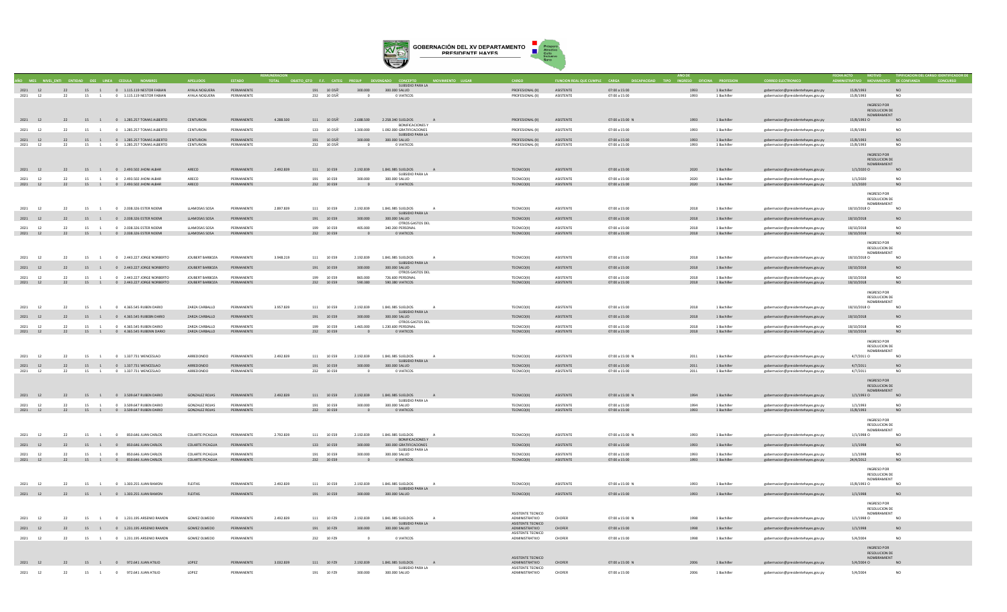

|                       |    | VEL ENTI ENTIDAD OEE LINEA CEDULA |                |                                                                |                                |                          |           | ETO GTO F.F. CATI                                           |                          |                                                         |                                      | <b>CION REAL QUE CUMPLE</b>          |                                |              |                            |                                                                          |                        |                                     |
|-----------------------|----|-----------------------------------|----------------|----------------------------------------------------------------|--------------------------------|--------------------------|-----------|-------------------------------------------------------------|--------------------------|---------------------------------------------------------|--------------------------------------|--------------------------------------|--------------------------------|--------------|----------------------------|--------------------------------------------------------------------------|------------------------|-------------------------------------|
|                       |    |                                   |                |                                                                |                                |                          |           |                                                             |                          | SUBSIDIO PARA LA                                        |                                      |                                      |                                |              |                            |                                                                          |                        |                                     |
| 2021 12<br>2021<br>12 | 22 | 15                                |                | 22 15 1 0 1.115.119 NESTOR FABIAN<br>0 1.115.119 NESTOR FABIAN | AYALA NOGUERA<br>AYALA NOGUERA | PERMANENTE<br>PERMANENTE |           | $191$ $10$<br>$\mathrm{D5\tilde{A}^{\prime}}$<br>232 10 D5A | 300.000                  | 300.000 SALUD<br>0 VIATICOS                             | PROFESIONAL (II)<br>PROFESIONAL (II) | <b>ASISTENTE</b><br><b>ASISTENTE</b> | 07:00 a 15:00<br>07:00 a 15:00 | 1993<br>1993 | 1 Bachiller<br>1 Bachiller | gobernacion@presidentehayes.gov.py<br>gobernacion@presidentehayes.gov.py | 15/8/1993<br>15/8/1993 | <b>NO</b><br>NO.                    |
|                       |    |                                   |                |                                                                |                                |                          |           |                                                             |                          |                                                         |                                      |                                      |                                |              |                            |                                                                          |                        |                                     |
|                       |    |                                   |                |                                                                |                                |                          |           |                                                             |                          |                                                         |                                      |                                      |                                |              |                            |                                                                          | INGRESO POR            |                                     |
|                       |    |                                   |                |                                                                |                                |                          |           |                                                             |                          |                                                         |                                      |                                      |                                |              |                            |                                                                          |                        | <b>RESOLUCION DE</b><br>NOMBRAMIENT |
| 2021 12               |    |                                   |                | 22 15 1 0 1.285.257 TOMAS ALBERTO                              | CENTURION                      | PERMANENTE               | 4.288.500 | 111 10 D5Ã'                                                 | 2.688.500                | 2.258.340 SUELDOS A                                     | PROFESIONAL (II)                     | <b>ASISTENTE</b>                     | 07:00 a 15:00 N                | 1993         | 1 Rachiller                | gobernacion@presidentehayes.gov.py                                       | 15/8/1993 0            | NO.                                 |
|                       |    |                                   |                |                                                                |                                |                          |           |                                                             |                          | <b>BONIFICACIONES Y</b>                                 |                                      |                                      |                                |              |                            |                                                                          |                        |                                     |
| 2021<br>12            | 22 | 15                                | $\overline{1}$ | 0 1.285.257 TOMAS ALBERTO                                      | CENTURION                      | PERMANENTE               |           | 133 10 D5A                                                  | 1.300,000                | 1.092.000 GRATIFICACIONES<br>SUBSIDIO PARA LA           | PROFESIONAL (II)                     | <b>ASISTENTE</b>                     | 07:00 a 15:00                  | 1993         | 1 Bachiller                | gobernacion@presidentehaves.gov.pv                                       | 15/8/1993              | NO.                                 |
| 2021 12               | 22 |                                   |                | 15 1 0 1.285.257 TOMAS ALBERTO                                 | CENTURION                      | PERMANENTE               |           | 191 10 D5Ã'                                                 | 300.000                  | 300.000 SALUD                                           | PROFESIONAL (II)                     | ASISTENTE                            | 07:00 a 15:00                  | 1993         | 1 Bachiller                | gobernacion@presidentehayes.gov.py                                       | 15/8/1993              | <b>NO</b>                           |
| 2021<br>12            | 22 | 15                                |                | 0 1.285.257 TOMAS ALBERTO                                      | CENTURION                      | PERMANENTE               |           | 232 10 D5A                                                  |                          | O VIATICOS                                              | PROFESIONAL (II)                     | ASISTENTE                            | 07:00 a 15:00                  | 1993         | 1 Bachiller                | gobernacion@presidentehayes.gov.py                                       | 15/8/1993              | NO.                                 |
|                       |    |                                   |                |                                                                |                                |                          |           |                                                             |                          |                                                         |                                      |                                      |                                |              |                            |                                                                          |                        |                                     |
|                       |    |                                   |                |                                                                |                                |                          |           |                                                             |                          |                                                         |                                      |                                      |                                |              |                            |                                                                          | <b>INGRESO POR</b>     | <b>RESOLUCION DE</b>                |
|                       |    |                                   |                |                                                                |                                |                          |           |                                                             |                          |                                                         |                                      |                                      |                                |              |                            |                                                                          |                        | NOMBRAMIENT                         |
| 2021 12               |    |                                   |                | 22 15 1 0 2.493.502 JHONI ALBAR                                | ARECO                          | PERMANENTE               | 2.492.839 | 111 10 ES9                                                  | 2.192.839                | 1.841.985 SUELDOS                                       | TECNICO(II)                          | <b>ASISTENTE</b>                     | 07:00 a 15:00                  | 2020         | 1 Bachiller                | gobernacion@presidentehayes.gov.py                                       | $1/1/2020$ O           | N()                                 |
| 2021<br>12            | 22 |                                   |                | 15 1 0 2.493 502 IHONI AI RAR                                  | ARECO                          | PERMANENTE               |           | 191 10 FS9                                                  | 300,000                  | SUBSIDIO PARA LA<br>300,000 SALUD                       | <b>TECNICO(II)</b>                   | <b>ASISTENTE</b>                     | 07:00 a 15:00                  | 2020         | 1 Bachiller                |                                                                          | 1/1/2020               | NO.                                 |
| 2021 12               |    |                                   |                | 22 15 1 0 2.493.502 JHONI ALBAR                                | ARECO                          | PERMANENTE               |           | 232 10 ES9                                                  | $\overline{0}$           | O VIATICOS                                              | TECNICO(II)                          | ASISTENTE                            | 07:00 a 15:00                  | 2020         | 1 Bachiller                | gobernacion@presidentehayes.gov.py<br>gobernacion@presidentehayes.gov.py | 1/1/2020               | NO                                  |
|                       |    |                                   |                |                                                                |                                |                          |           |                                                             |                          |                                                         |                                      |                                      |                                |              |                            |                                                                          |                        |                                     |
|                       |    |                                   |                |                                                                |                                |                          |           |                                                             |                          |                                                         |                                      |                                      |                                |              |                            |                                                                          | INGRESO POR            |                                     |
|                       |    |                                   |                |                                                                |                                |                          |           |                                                             |                          |                                                         |                                      |                                      |                                |              |                            |                                                                          | NOMBRAMIEN'            | RESOLUCION DE                       |
| 2021<br>12            | 22 |                                   |                | 15 1 0 2.038.326 ESTER NOEMI                                   | LLAMOSAS SOSA                  | PERMANENTE               | 2,897,839 | 111 10 ES9                                                  | 2.192.839                | 1.841.985 SUELDOS                                       | TECNICO(II)                          | <b>ASISTENTE</b>                     | 07:00 a 15:00                  | 2018         | 1 Bachiller                | gobernacion@presidentehayes.gov.py                                       | 18/10/2018 0           | NO.                                 |
|                       |    |                                   |                |                                                                |                                |                          |           |                                                             |                          | SUBSIDIO PARA LA                                        |                                      |                                      |                                |              |                            |                                                                          |                        |                                     |
| 2021<br>12            |    |                                   |                | 15 1 0 2.038.326 ESTER NOEMI                                   | LLAMOSAS SOSA                  | PERMANENTE               |           | 191 10 ES9                                                  | 300,000                  | 300.000 SALUD                                           | TECNICO(II)                          | <b>ASISTENTE</b>                     | 07:00 a 15:00                  | 2018         | 1 Bachille                 | gobernacion@presidentehayes.gov.py                                       | 18/10/2018             | NO                                  |
| 2021<br>12            | 22 | 15                                | $-1$           | 0 2.038.326 ESTER NOEML                                        | <b>ILAMOSAS SOSA</b>           | PERMANENTE               |           | 199 10 FS9                                                  | 405,000                  | OTROS GASTOS DEL<br>340.200 PERSONAL                    | <b>TECNICO(II)</b>                   | <b>ASISTENTE</b>                     | 07:00 a 15:00                  | 2018         | 1 Bachiller                | gobernacion@presidentehayes.gov.py                                       | 18/10/2018             | NO.                                 |
| 2021 12               |    |                                   |                | 22 15 1 0 2.038.326 ESTER NOEMI                                | LLAMOSAS SOSA                  | PERMANENTE               |           | 232 10 ES9                                                  | $\sim$ 0                 | 0 VIATICOS                                              | TECNICO(II)                          | ASISTENTE                            | 07:00 a 15:00                  | 2018         | 1 Bachiller                | gobernacion@presidentehayes.gov.py                                       | 18/10/2018             | NO                                  |
|                       |    |                                   |                |                                                                |                                |                          |           |                                                             |                          |                                                         |                                      |                                      |                                |              |                            |                                                                          |                        |                                     |
|                       |    |                                   |                |                                                                |                                |                          |           |                                                             |                          |                                                         |                                      |                                      |                                |              |                            |                                                                          | <b>INGRESO POR</b>     | RESOLUCION DE                       |
|                       |    |                                   |                |                                                                |                                |                          |           |                                                             |                          |                                                         |                                      |                                      |                                |              |                            |                                                                          |                        | NOMBRAMIENT                         |
| 2021<br>12            | 22 |                                   |                | 15 1 0 2.443.227 JORGE NORBERTO                                | JOUBERT BARBOZA                | PERMANENTE               | 3.948.219 | 111 10 ES9                                                  | 2.192.839                | 1.841.985 SUELDOS                                       | TECNICO(II)                          | <b>ASISTENTE</b>                     | 07:00 a 15:00                  | 2018         | 1 Bachille                 | gobernacion@presidentehayes.gov.py                                       | 18/10/2018 O           | NO                                  |
|                       |    |                                   |                |                                                                |                                |                          |           |                                                             |                          | SUBSIDIO PARA LA                                        |                                      |                                      |                                |              |                            |                                                                          |                        |                                     |
| 2021 12               |    |                                   |                | 22 15 1 0 2.443.227 JORGE NORBERTO                             | JOUBERT BARBOZA                | PERMANENTE               |           | 191 10 ES9                                                  | 300,000                  | 300.000 SALUD<br>OTROS GASTOS DEL                       | TECNICO(II)                          | <b>ASISTENTE</b>                     | 07:00 a 15:00                  | 2018         | 1 Bachiller                | gobernacion@presidentehayes.gov.py                                       | 18/10/2018             | NO                                  |
| 2021<br>12            | 22 |                                   | 15 1           | 0 2.443.227 JORGE NORBERTO                                     | <b>IOURERT BARBOZA</b>         | PERMANENTE               |           | 199 10 FS9                                                  | 865,000                  | 726 600 PERSONAL                                        | <b>TECNICO(II)</b>                   | <b>ASISTENTE</b>                     | 07:00 a 15:00                  | 2018         | 1 Bachiller                | gobernacion@presidentehayes.gov.py                                       | 18/10/2018             | NO.                                 |
|                       |    |                                   |                | 2021 12 22 15 1 0 2.443.227 JORGE NORBERTO                     | JOUBERT BARBOZA PERMANENTE     |                          |           | 232 10 ES9                                                  | 590.380                  | 590.380 VIATICOS                                        | TECNICO(II)                          | ASISTENTE                            | 07:00 a 15:00                  | 2018         | 1 Bachiller                | gobernacion@presidentehayes.gov.py                                       | 18/10/2018             | NO.                                 |
|                       |    |                                   |                |                                                                |                                |                          |           |                                                             |                          |                                                         |                                      |                                      |                                |              |                            |                                                                          | <b>INGRESO POR</b>     |                                     |
|                       |    |                                   |                |                                                                |                                |                          |           |                                                             |                          |                                                         |                                      |                                      |                                |              |                            |                                                                          |                        | RESOLUCION DE                       |
|                       |    |                                   |                |                                                                |                                |                          |           |                                                             |                          |                                                         |                                      |                                      |                                |              |                            |                                                                          |                        | NOMBRAMIENT                         |
| 2021<br>12            | 22 | 15                                |                | 0 4.365.545 RUBEN DARIO                                        | ZARZA CARBALLO                 | PERMANENTE               | 3.957.839 | 111 10 ES9                                                  | 2.192.839                | 1.841.985 SUELDOS                                       | TECNICO(II)                          | <b>ASISTENTE</b>                     | 07:00 a 15:00                  | 2018         | 1 Bachiller                | gobernacion@presidentehayes.gov.py                                       | 18/10/2018 O           | NO                                  |
| 2021                  | 22 |                                   |                | 15 1 0 4.365.545 RUBEBN DARIO                                  | ZARZA CARBALLO                 | PERMANENTE               |           | 191 10 ES9                                                  | 300,000                  | SUBSIDIO PARA LA<br>300.000 SALUD                       | TECNICO(II)                          | <b>ASISTENTE</b>                     | 07:00 a 15:00                  | 2018         | 1 Bachiller                | gobernacion@presidentehayes.gov.py                                       | 18/10/2018             | NO.                                 |
|                       |    |                                   |                |                                                                |                                |                          |           |                                                             |                          | OTROS GASTOS DEL                                        |                                      |                                      |                                |              |                            |                                                                          |                        |                                     |
| 2021<br>12            | 22 |                                   |                | 15 1 0 4.365 545 RUREN DARIO                                   | ZARZA CARRALLO                 | PERMANENTE               |           | 199 10 FS9                                                  | 1.465.000                | 1.230.600 PERSONAL                                      | <b>TECNICO(II)</b>                   | <b>ASISTENTE</b>                     | 07:00 a 15:00                  | 2018         | 1 Bachiller                | gobernacion@presidentehayes.gov.py                                       | 18/10/2018             | NO.                                 |
| 2021 12               |    |                                   |                | 22 15 1 0 4.365.545 RUBENN DARIO                               | ZARZA CARBALLO                 | PERMANENTE               |           | 232 10 ES9                                                  | $\overline{\phantom{0}}$ | O VIATICOS                                              | TECNICO(II)                          | ASISTENTE                            | 07:00 a 15:00                  | 2018         | 1 Bachiller                | gobernacion@presidentehayes.gov.py                                       | 18/10/2018             | NO.                                 |
|                       |    |                                   |                |                                                                |                                |                          |           |                                                             |                          |                                                         |                                      |                                      |                                |              |                            |                                                                          | INGRESO POR            |                                     |
|                       |    |                                   |                |                                                                |                                |                          |           |                                                             |                          |                                                         |                                      |                                      |                                |              |                            |                                                                          |                        | RESOLUCION DE                       |
|                       |    |                                   |                |                                                                |                                |                          |           |                                                             |                          |                                                         |                                      |                                      |                                |              |                            |                                                                          |                        | NOMBRAMIENT                         |
| 2021<br>12            | 22 | 15                                | $\overline{1}$ | 0 1.337.731 WENCESLAO                                          | ARREDONDO                      | PERMANENTE               | 2.492.839 | 111 10 ES9                                                  | 2.192.839                | 1.841.985 SUELDOS<br>A<br>SUBSIDIO PARA LA              | TECNICO(II)                          | ASISTENTE                            | 07:00 a 15:00 N                | 2011         | 1 Bachiller                | gobernacion@presidentehayes.gov.py                                       | 4/7/2011 0             | NO.                                 |
| 2021 12               | 22 |                                   |                | 15 1 0 1.337.731 WENCESLAO                                     | ARREDONDO                      | PERMANENTE               |           | 191 10 ES9                                                  | 300.000                  | 300.000 SALUD                                           | TECNICO(II)                          | <b>ASISTENTE</b>                     | 07:00 a 15:00                  | 2011         | 1 Bachiller                | gobernacion@presidentehayes.gov.py                                       | 4/7/2011               | <b>NO</b>                           |
| 2021<br>12            | 22 | 15                                | $\overline{1}$ | 0 1.337.731 WENCESLAO                                          | ARREDONDO                      | PERMANENTE               |           | 232 10 ES9                                                  |                          | 0 VIATICOS                                              | TECNICO(II)                          | ASISTENTE                            | 07:00 a 15:00                  | 2011         | 1 Bachiller                | gobernacion@presidentehayes.gov.py                                       | 4/7/2011               | N <sub>0</sub>                      |
|                       |    |                                   |                |                                                                |                                |                          |           |                                                             |                          |                                                         |                                      |                                      |                                |              |                            |                                                                          | <b>INGRESO POR</b>     |                                     |
|                       |    |                                   |                |                                                                |                                |                          |           |                                                             |                          |                                                         |                                      |                                      |                                |              |                            |                                                                          |                        | <b>RESOLUCION DE</b>                |
|                       |    |                                   |                |                                                                |                                |                          |           |                                                             |                          |                                                         |                                      |                                      |                                |              |                            |                                                                          |                        | NOMRRAMIENT                         |
| 2021 12               | 22 |                                   |                | 15 1 0 3.509.647 RUBEN DARIO                                   | <b>GONZALEZ ROJAS</b>          | PERMANENTE               | 2.492.839 | 111 10 ES9                                                  | 2.192.839                | 1.841.985 SUELDOS<br>A                                  | TECNICO(II)                          | <b>ASISTENTE</b>                     | 07:00 a 15:00 N                | 1994         | 1 Bachiller                | gobernacion@presidentehayes.gov.py                                       | 1/1/1993 0             | NQ                                  |
| <sup>12</sup><br>2021 | 22 | 15                                |                | 1 0 3.509.647 RUBEN DARIO                                      | <b>GONZALEZ ROJAS</b>          | PERMANENTE               |           | 191 10 ES9                                                  | 300,000                  | SUBSIDIO PARA LA<br>300.000 SALUD                       | TECNICO(II)                          | ASISTENTE                            | 07:00 a 15:00                  | 1994         | 1 Bachiller                | gobernacion@presidentehayes.gov.py                                       | 1/1/1993               | NO.                                 |
| 2021 12               |    |                                   |                | 22 15 1 0 3.509.647 RUBEN DARIO                                | <b>GONZALEZ ROJAS</b>          | PERMANENTE               |           | 232 10 ES9                                                  | $\overline{0}$           | 0 VIATICOS                                              | TECNICO(II)                          | ASISTENTE                            | 07:00 a 15:00                  | 1993         | 1 Bachiller                | gobernacion@presidentehayes.gov.py                                       | 15/8/1993              | NO                                  |
|                       |    |                                   |                |                                                                |                                |                          |           |                                                             |                          |                                                         |                                      |                                      |                                |              |                            |                                                                          |                        |                                     |
|                       |    |                                   |                |                                                                |                                |                          |           |                                                             |                          |                                                         |                                      |                                      |                                |              |                            |                                                                          | INGRESO POR            | <b>RESOLUCION DE</b>                |
|                       |    |                                   |                |                                                                |                                |                          |           |                                                             |                          |                                                         |                                      |                                      |                                |              |                            |                                                                          |                        | NOMBRAMIENT                         |
| 2021<br>12            | 22 | 15                                | $\sim$ 1       | 0 850.646 JUAN CARLOS                                          | COLARTE PICAGUA                | DERMANENTE               | 2.792.839 | 111 10 ES9                                                  | 2.192.839                | 1.841.985 SUELDOS                                       | TECNICO(II)                          | <b>ASISTENTE</b>                     | 07:00 a 15:00 N                | 1993         | 1 Bachiller                | gobernacion@presidentehayes.gov.py                                       | 1/1/19980              | NO.                                 |
| 2021 12               |    |                                   |                |                                                                | COLARTE PICAGUA                | PERMANENTE               |           | 133 10 ES9                                                  | 300,000                  | BONIFICACIONES Y<br>300,000 GRATIFICACIONES             | TECNICO(II)                          | <b>ASISTENTE</b>                     | 07:00 a 15:00                  | 1993         | 1 Bachiller                |                                                                          | 1/1/1998               | NO.                                 |
|                       |    |                                   |                | 22 15 1 0 850.646 JUAN CARLOS                                  |                                |                          |           |                                                             |                          | SUBSIDIO PARA LA                                        |                                      |                                      |                                |              |                            | gobernacion@presidentehayes.gov.py                                       |                        |                                     |
| 2021<br>12            | 22 | 15                                | $\overline{1}$ | 0 850,646 JUAN CARLOS                                          | COLARTE PICAGUA                | PERMANENTE               |           | 191 10 ES9                                                  | 300,000                  | 300,000 SALUD                                           | <b>TECNICO(II)</b>                   | ASISTENTE                            | 07:00 a 15:00                  | 1993         | 1 Bachiller                | gobernacion@presidentehaves.gov.pv                                       | 1/1/1998               | NO.                                 |
| 2021 12               |    |                                   |                | 22 15 1 0 850.646 JUAN CARLOS                                  | <b>COLARTE PICAGUA</b>         | PERMANENTE               |           | 232 10 ES9                                                  | $\overline{\phantom{0}}$ | 0 VIATICOS                                              | TECNICO(II)                          | ASISTENTE                            | 07:00 a 15:00                  | 1993         | 1 Bachiller                | gobernacion@presidentehayes.gov.py                                       | 24/4/2012              | <b>NO</b>                           |
|                       |    |                                   |                |                                                                |                                |                          |           |                                                             |                          |                                                         |                                      |                                      |                                |              |                            |                                                                          | INGRESO POR            |                                     |
|                       |    |                                   |                |                                                                |                                |                          |           |                                                             |                          |                                                         |                                      |                                      |                                |              |                            |                                                                          |                        | RESOLUCION DE                       |
|                       |    |                                   |                |                                                                |                                |                          |           |                                                             |                          |                                                         |                                      |                                      |                                |              |                            |                                                                          |                        | NOMBRAMIENT                         |
| 2021<br>12            | 22 |                                   | 15 1           | 0 1.303.255 JUAN RAMON                                         | <b>FLEITAS</b>                 | PERMANENTE               | 2.492.839 | 111 10 ES9                                                  | 2.192.839                | 1.841.985 SUELDOS<br>$\overline{A}$<br>SUBSIDIO PARA LA | <b>TECNICO(II)</b>                   | <b>ASISTENTE</b>                     | 07:00 a 15:00 N                | 1993         | 1 Bachiller                | gobernacion@presidentehayes.gov.py                                       | 15/8/1993 0            | NO.                                 |
| 2021 12               | 22 |                                   |                | 15 1 0 1.303.255 JUAN RAMON                                    | <b>FLEITAS</b>                 | PERMANENTE               |           | 191 10 ES9                                                  | 300,000                  | 300,000 SALUD                                           | TECNICO(II)                          | <b>ASISTENTE</b>                     | 07:00 a 15:00                  | 1993         | 1 Bachiller                | gobernacion@presidentehayes.gov.py                                       | 1/1/1998               | N <sub>O</sub>                      |
|                       |    |                                   |                |                                                                |                                |                          |           |                                                             |                          |                                                         |                                      |                                      |                                |              |                            |                                                                          |                        |                                     |
|                       |    |                                   |                |                                                                |                                |                          |           |                                                             |                          |                                                         |                                      |                                      |                                |              |                            |                                                                          | INGRESO POR            |                                     |
|                       |    |                                   |                |                                                                |                                |                          |           |                                                             |                          |                                                         | ASISTENTE TECNICO                    |                                      |                                |              |                            |                                                                          |                        | RESOLUCION DE<br>NOMBRAMIENT        |
| 2021<br>12            | 22 |                                   |                | 15 1 0 1.231.195 ARSENIO RAMON                                 | GOMEZ OLMEDO                   | PERMANENTE               | 2.492.839 | 111 10 FZ9                                                  | 2.192.839                | 1.841.985 SUELDOS<br>$\overline{A}$                     | ADMINISTRATIVO                       | CHOFER                               | 07:00 a 15:00 N                | 1998         | 1 Bachiller                | gobernacion@presidentehayes.gov.py                                       | 1/1/1998 0             | NO.                                 |
|                       |    |                                   |                |                                                                |                                |                          |           |                                                             |                          | SUBSIDIO PARA LA                                        | ASISTENTE TECNICO                    |                                      |                                |              |                            |                                                                          |                        |                                     |
| 2021<br>12            | 22 |                                   |                | 15 1 0 1.231.195 ARSENIO RAMON                                 | <b>GOMEZ OLMEDO</b>            | PERMANENTE               |           | 191 10 FZ9                                                  | 300.000                  | 300.000 SALUD                                           | ADMINISTRATIVO<br>ASISTENTE TECNICO  | CHOFER                               | 07:00 a 15:00                  | 1998         | 1 Bachiller                | gobernacion@presidentehayes.gov.py                                       | 1/1/1998               | NO                                  |
| 2021<br>12            | 22 | 15                                | <sup>1</sup>   | 0 1.231.195 ARSENIO RAMON                                      | <b>GOMEZ OLMEDO</b>            | PERMANENTE               |           | 232 10 FZ9                                                  |                          | 0 VIATICOS                                              | ADMINISTRATIVO                       | CHOFER                               | 07:00 a 15:00                  | 1998         | 1 Bachiller                | gobernacion@presidentehayes.gov.py                                       | 5/4/2004               | NO.                                 |
|                       |    |                                   |                |                                                                |                                |                          |           |                                                             |                          |                                                         |                                      |                                      |                                |              |                            |                                                                          |                        |                                     |
|                       |    |                                   |                |                                                                |                                |                          |           |                                                             |                          |                                                         |                                      |                                      |                                |              |                            |                                                                          | <b>INGRESO POR</b>     |                                     |
|                       |    |                                   |                |                                                                |                                |                          |           |                                                             |                          |                                                         | ASISTENTE TECNICO                    |                                      |                                |              |                            |                                                                          |                        | RESOLUCION DE<br>NOMBRAMIENT        |
| 2021 12               |    |                                   |                | 22 15 1 0 972.641 JUAN ATILIO                                  | LOPEZ                          | PERMANENTE               | 3.032.839 | 111 10 FZ9                                                  |                          | 2.192.839 1.841.985 SUELDOS<br>A                        | ADMINISTRATIVO                       | CHOFER                               | 07:00 a 15:00 N                | 2006         | 1 Bachiller                | gobernacion@presidentehayes.gov.py                                       | 5/4/2004 O             | NO.                                 |
|                       |    |                                   |                |                                                                |                                |                          |           |                                                             |                          | SUBSIDIO PARA LA                                        | ASISTENTE TECNICO                    |                                      |                                |              |                            |                                                                          |                        |                                     |
| 2021<br>12            | 22 | 15                                | <sup>1</sup>   | $\circ$<br>972.641 JUAN ATILIO                                 | LOPEZ                          | PERMANENTE               |           | 191<br>10 FZ9                                               | 300,000                  | 300.000 SALUD                                           | ADMINISTRATIVO                       | CHOFER                               | 07:00 a 15:00                  | 2006         | 1 Bachille                 | gobernacion@presidentehayes.gov.py                                       | 5/4/2004               | NO.                                 |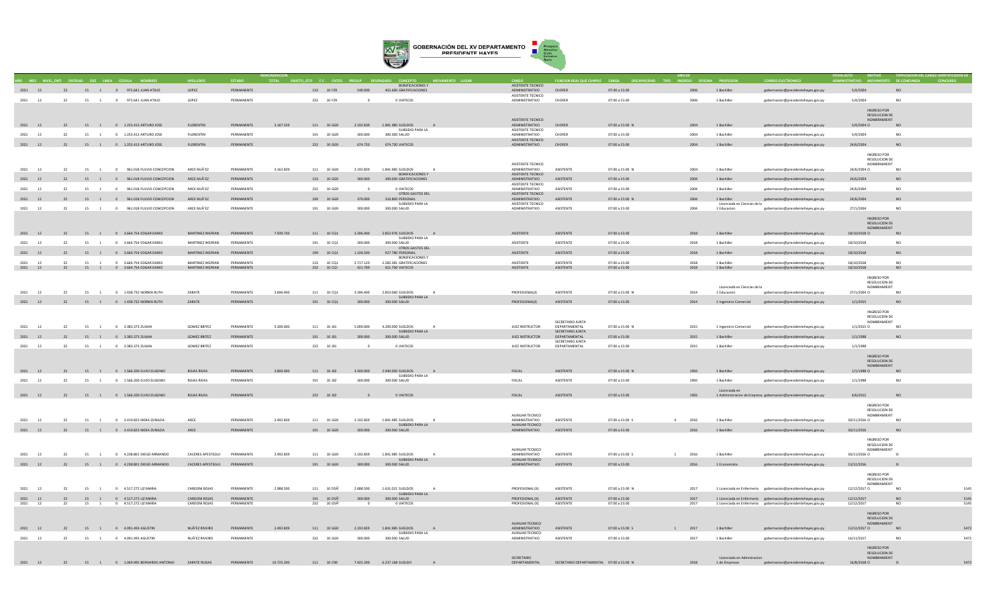

|                       |    |                      | MES NIVELENTI ENTIDAD OFF LINEA CEDULA                    |                              |            |            | ORIETO GTO F.F. CATEG        |           |                                                |                                            | INCION REAL OUF CUMPLE CARGA                           |                 |        |                              |                                                                |                                     |                        |
|-----------------------|----|----------------------|-----------------------------------------------------------|------------------------------|------------|------------|------------------------------|-----------|------------------------------------------------|--------------------------------------------|--------------------------------------------------------|-----------------|--------|------------------------------|----------------------------------------------------------------|-------------------------------------|------------------------|
|                       |    |                      |                                                           |                              |            |            |                              |           | <b>BONIFICACIONES Y</b>                        | ASISTENTE TECNICO                          |                                                        |                 |        |                              |                                                                |                                     |                        |
| 2021 12               |    |                      | 22 15 1 0 972.641 JUAN ATILIO                             | LOPEZ                        | PERMANENTE |            | 133 10 FZ9                   | 540.000   | 453.600 GRATIFICACIONES                        | ADMINISTRATIVO                             | CHOFER                                                 | 07:00 a 15:00   | 2006   | 1 Bachiller                  | gobernacion@presidentehayes.gov.py                             | 5/4/2004                            | <b>NO</b>              |
|                       |    |                      |                                                           |                              |            |            |                              |           |                                                | ASISTENTE TECNICO                          |                                                        |                 |        |                              |                                                                |                                     |                        |
| 2021 12               | 22 |                      | 15 1 0 972.641 JUAN ATILIO                                | LOPEZ                        | PERMANENTE |            | 232 10 FZ9                   |           | 0 VIATICOS                                     | ADMINISTRATIVO                             | CHOFER                                                 | 07:00 a 15:00   | 2006   | 1 Bachiller                  | eobernacion@presidentehaves.eov.pv                             | 5/4/2004                            | NO <sub>1</sub>        |
|                       |    |                      |                                                           |                              |            |            |                              |           |                                                |                                            |                                                        |                 |        |                              |                                                                |                                     |                        |
|                       |    |                      |                                                           |                              |            |            |                              |           |                                                |                                            |                                                        |                 |        |                              |                                                                | INGRESO POR                         |                        |
|                       |    |                      |                                                           |                              |            |            |                              |           |                                                | ASISTENTE TECNICO                          |                                                        |                 |        |                              |                                                                | RESOLUCION DE<br>NOMBRAMIENT        |                        |
| 2021 12               |    |                      | 22 15 1 0 1.255.413 ARTURO JOSE                           | <b>FLORENTIN</b>             | PERMANENTE | 3.167.559  | 111 10 GG9                   | 2.192.839 | 1.841.985 SUELDOS<br>A                         | ADMINISTRATIVO                             | <b>CHOFER</b>                                          | 07:00 a 15:00 N | 2004   | 1 Bachiller                  | gobernacion@presidentehayes.gov.py                             | 5/4/2004 O                          | N <sub>O</sub>         |
|                       |    |                      |                                                           |                              |            |            |                              |           | SUBSIDIO PARA LA                               | ASISTENTE TECNICO                          |                                                        |                 |        |                              |                                                                |                                     |                        |
| 2021<br><sup>12</sup> | 22 | 15 1                 | 0 1.255.413 ARTURO JOSE                                   | <b>FLORENTIN</b>             | PERMANENTE |            | 191 10 GG9                   | 300,000   | 300,000 SALUD                                  | ADMINISTRATIVO                             | CHOFER                                                 | 07:00 a 15:00   | 2004   | 1 Bachiller                  | gobernacion@presidentehayes.gov.py                             | 5/4/2004                            | NO                     |
|                       |    |                      |                                                           |                              |            |            |                              |           |                                                | ASISTENTE TECNICO                          |                                                        |                 |        |                              |                                                                |                                     |                        |
| 2021 12               |    |                      | 22 15 1 0 1.255.413 ARTURO JOSE                           | FLORENTIN                    | PERMANENTE |            | 232 10 GG9                   | 674.720   | 674.720 VIATICOS                               | ADMINISTRATIVO CHOFER                      |                                                        | 07:00 a 15:00   | 2004   | 1 Bachiller                  | gobernacion@presidentehayes.gov.py                             | 24/6/2004                           | N <sub>O</sub>         |
|                       |    |                      |                                                           |                              |            |            |                              |           |                                                |                                            |                                                        |                 |        |                              |                                                                | INGRESO POR                         |                        |
|                       |    |                      |                                                           |                              |            |            |                              |           |                                                |                                            |                                                        |                 |        |                              |                                                                | RESOLUCION DE                       |                        |
|                       |    |                      |                                                           |                              |            |            |                              |           |                                                | ASISTENTE TECNICO                          |                                                        |                 |        |                              |                                                                | NOMBRAMIENT                         |                        |
| 2021 12               | 22 |                      | 15 1 0 961.018 FULVIO CONCEPCION                          | ARCE NUÃ'EZ                  | PERMANENTE | 3.162.839  | 111 10 669                   | 2.192.839 | 1.841.985. SUELDOS<br>$\sim$                   | ADMINISTRATIVO                             | <b>ASISTENTE</b>                                       | 07:00 a 15:00 N | 2004   | 1 Rachiller                  | gobernacion@presidentehayes.gov.py                             | 24/6/2004 0                         | NO                     |
|                       |    |                      |                                                           |                              |            |            |                              |           | <b>BONIFICACIONES Y</b>                        | ASISTENTE TECNICO                          |                                                        |                 |        |                              |                                                                |                                     |                        |
| 2021 12               | 22 |                      | 15 1 0 961.018 FULVIO CONCEPCION                          | ARCE NUÃ'EZ                  | PERMANENTE |            | 133 10 GG9                   | 300,000   | 300,000 GRATIFICACIONES                        | ADMINISTRATIVO<br><b>ASISTENTE TECNICO</b> | ASISTENTE                                              | 07:00 a 15:00   | 2004   | 1 Bachiller                  | gobernacion@presidentehayes.gov.py                             | 24/6/2004                           | NO <sub>1</sub>        |
| 2021<br>12            | 22 |                      | 15 1 0 961.018 FUI VIO CONCEPCION                         | ARCE NUÃ'EZ                  | PERMANENTE |            | 232 10 GG9                   | $\Omega$  | O VIATICOS                                     | ADMINISTRATIVO                             | <b>ASISTENTE</b>                                       | 07:00 a 15:00   | 2004   | 1 Rachiller                  | gobernacion@presidentehayes.gov.py                             | 24/6/2004                           | NO                     |
|                       |    |                      |                                                           |                              |            |            |                              |           | OTROS GASTOS DEL                               | <b>ASISTENTE TECNICO</b>                   |                                                        |                 |        |                              |                                                                |                                     |                        |
| 2021 12               | 22 |                      | 15 1 0 961.018 FULVIO CONCEPCION                          | ARCE NUÃ'EZ                  | PERMANENTE |            | 199 10 GG9                   | 370,000   | 310,800 PERSONAL                               | ADMINISTRATIVO                             | ASISTENTE                                              | 07:00 a 15:00 N | 2004   | 1 Bachiller                  | gobernacion@presidentehayes.gov.py                             | 24/6/2004                           | NO                     |
|                       |    |                      |                                                           |                              |            |            |                              |           | SUBSIDIO PARA LA                               | ASISTENTE TECNICO                          |                                                        |                 |        | Licenciada en Ciencias de la |                                                                |                                     |                        |
| 2021<br>12            | 22 | 15 1                 | 0 961.018 FULVIO CONCEPCION                               | ARCE NUÃ'EZ                  | PERMANENTE |            | 191 10 GG9                   | 300.000   | 300.000 SALUD                                  | ADMINISTRATIVO                             | ASISTENTE                                              | 07:00 a 15:00   | 2004   | 1 Educacion                  | gobernacion@presidentehayes.gov.py                             | 27/1/2004                           | NO                     |
|                       |    |                      |                                                           |                              |            |            |                              |           |                                                |                                            |                                                        |                 |        |                              |                                                                | INGRESO POR                         |                        |
|                       |    |                      |                                                           |                              |            |            |                              |           |                                                |                                            |                                                        |                 |        |                              |                                                                | <b>RESOLUCION DE</b>                |                        |
|                       |    |                      |                                                           |                              |            |            |                              |           |                                                |                                            |                                                        |                 |        |                              |                                                                | NOMBRAMIENT                         |                        |
| 2021 12               |    |                      | 22 15 1 0 3.664.754 EDGAR DARIO                           | MARTINEZ INSFRAN             | PERMANENTE | 7.939.720  | 111 10 CQ1                   | 3.396.400 | 2.852.976 SUELDOS<br>A                         | ASISTENTE                                  | ASISTENTE                                              | 07:00 a 15:00   | 2018   | 1 Bachiller                  | gobernacion@presidentehayes.gov.py                             | 18/10/2018 O<br>NQ                  |                        |
|                       |    |                      |                                                           |                              |            |            |                              |           | SUBSIDIO PARA LA                               |                                            |                                                        |                 |        |                              |                                                                |                                     |                        |
| 2021<br>12            | 22 |                      | 15 1 0 3.664.754 EDGAR DARIO                              | MARTINEZ INSFRAN             | PERMANENTE |            | 191 10 CQ1                   | 300.000   | 300.000 SALUD                                  | ASISTENTE                                  | ASISTENTE                                              | 07:00 a 15:00   | 2018   | 1 Bachiller                  | gobernacion@presidentehayes.gov.py                             | 18/10/2018                          | NO                     |
| 2021 12               | 22 |                      | 15 1 0 3.664.754 EDGAR DARIO                              | MARTINEZ INSFRAN             | PERMANENTE |            | 199 10 CQ1                   | 1.104.500 | OTROS GASTOS DEL<br>927.780 PERSONAL           | ASISTENTE                                  | <b>ASISTENTE</b>                                       | 07:00 a 15:00   | 2018   | 1 Bachiller                  | gobernacion@presidentehayes.gov.py                             | 18/10/2018                          | NO.                    |
|                       |    |                      |                                                           |                              |            |            |                              |           | <b>BONIFICACIONES \</b>                        |                                            |                                                        |                 |        |                              |                                                                |                                     |                        |
| 12<br>2021            | 22 |                      | 15 1 0 3.664.754 EDGAR DARIO                              | MARTINEZ INSFRAN             | PERMANENTE |            | 133 10 CO1                   | 2.717.120 | 2.282.381 GRATIFICACIONES                      | <b>ASISTENTE</b>                           | <b>ASISTENTE</b>                                       | 07:00 a 15:00   | 2018   | 1 Bachiller                  | gobernacion@presidentehayes.gov.py                             | 18/10/2018                          | NO.                    |
| 2021 12               |    |                      | 22 15 1 0 3.664.754 EDGAR DARIO                           | MARTINEZ INSFRAN             | PERMANENTE |            | 232 10 CQ!                   | 421.700   | 421.700 VIATICOS                               | ASISTENTE                                  | ASISTENTE                                              | 07:00 a 15:00   | 2018   | 1 Bachiller                  | gobernacion@presidentehayes.gov.py                             | 18/10/2018                          | <b>NO</b>              |
|                       |    |                      |                                                           |                              |            |            |                              |           |                                                |                                            |                                                        |                 |        |                              |                                                                |                                     |                        |
|                       |    |                      |                                                           |                              |            |            |                              |           |                                                |                                            |                                                        |                 |        |                              |                                                                | INGRESO POR                         |                        |
|                       |    |                      |                                                           |                              |            |            |                              |           |                                                |                                            |                                                        |                 |        | Licenciada en Ciencias de la |                                                                | RESOLUCION DE<br>NOMRRAMIENT        |                        |
| 2021 12               | 22 |                      | 15 1 0 1.438.732 NORMA RUTH                               | ZARATE                       | PERMANENTE | 3,696,400  | 111 10 CO1                   | 3,396,400 | 2.853.060 SUELDOS<br>A                         | PROFESIONAL(I)                             | <b>ASISTENTE</b>                                       | 07:00 a 15:00 N | 2014   | 1 Educacion                  | gobernacion@presidentehayes.gov.py                             | 27/1/2004 0                         | <b>NO</b>              |
|                       |    |                      |                                                           |                              |            |            |                              |           | SUBSIDIO PARA LA                               |                                            |                                                        |                 |        |                              |                                                                |                                     |                        |
| 2021 12               | 22 |                      | 15 1 0 1.438.732 NORMA RUTH                               | <b>ZARATE</b>                | PERMANENTE |            | 191 10 CO1                   | 300,000   | 300,000 SALUD                                  | PROFESIONAL(I)                             | <b>ASISTENTE</b>                                       | 07:00 a 15:00   | 2014   | 1 Ingeniero Comercial        | gobernacion@presidentehayes.gov.py                             | 1/1/2015                            | N <sub>O</sub>         |
|                       |    |                      |                                                           |                              |            |            |                              |           |                                                |                                            |                                                        |                 |        |                              |                                                                |                                     |                        |
|                       |    |                      |                                                           |                              |            |            |                              |           |                                                |                                            |                                                        |                 |        |                              |                                                                | <b>INGRESO POR</b><br>RESOLUCION DE |                        |
|                       |    |                      |                                                           |                              |            |            |                              |           |                                                |                                            | SECRETARIO JUNTA                                       |                 |        |                              |                                                                | NOMBRAMIENT                         |                        |
| 2021<br>12            | 22 | 15<br>$\overline{1}$ | 0 3.383.373 ZULMA                                         | <b>GOMEZ BRITEZ</b>          | PERMANENTE | 5.300.000  | $111 \qquad 10 \, {\rm J}01$ | 5.000.000 | 4.200.000 SUELDOS                              | JUEZ INSTRUCTOR                            | DEPARTAMENTAL                                          | 07:00 a 15:00 N | 2015   | 1 Ingeniero Comercial        | gobernacion@presidentehayes.gov.py                             | 1/1/2015 0                          | <b>NO</b>              |
|                       |    |                      |                                                           |                              |            |            |                              |           | SUBSIDIO PARA LA                               |                                            | SECRETARIO JUNTA                                       |                 |        |                              |                                                                |                                     |                        |
| 2021 12               | 22 |                      | 15 1 0 3.383.373 ZULMA                                    | <b>GOMEZ BRITEZ</b>          | PERMANENTE |            | 191 10 J01                   | 300,000   | 300.000 SALUD                                  | JUEZ INSTRUCTOR                            | DEPARTAMENTAL                                          | 07:00 a 15:00   | 2015   | 1 Bachiller                  | gobernacion@presidentehayes.gov.py                             | 1/1/1998                            |                        |
|                       |    | 15                   |                                                           |                              | PERMANENTE |            |                              |           | 0 VIATICOS                                     |                                            | SECRETARIO JUNTA                                       |                 |        |                              |                                                                |                                     |                        |
| 2021<br>12            | 22 | $\overline{1}$       | 0 3.383.373 ZULMA                                         | <b>GOMEZ BRITEZ</b>          |            |            | 232 10 J01                   |           |                                                | JUEZ INSTRUCTOR                            | DEPARTAMENTAL                                          | 07:00 a 15:00   | 2015   | 1 Bachiller                  | gobernacion@presidentehayes.gov.py                             | 1/1/1998                            |                        |
|                       |    |                      |                                                           |                              |            |            |                              |           |                                                |                                            |                                                        |                 |        |                              |                                                                | <b>INGRESO POR</b>                  |                        |
|                       |    |                      |                                                           |                              |            |            |                              |           |                                                |                                            |                                                        |                 |        |                              |                                                                | RESOLUCION DE                       |                        |
|                       |    |                      |                                                           |                              |            |            |                              |           |                                                |                                            |                                                        |                 |        |                              |                                                                | NOMBRAMIENT                         |                        |
| 2021 12               |    |                      | 22 15 1 0 1.566.200 ELVIO EUGENIO                         | ROJAS RIVAS                  | PERMANENTE | 3,800,000  | 111 10 J02                   | 3.500.000 | 2.940.000 SUELDOS<br>A                         | <b>FISCAL</b>                              | ASISTENTE                                              | 07:00 a 15:00 N | 1993   | 1 Bachiller                  | gobernacion@presidentehayes.gov.py                             | 1/1/1998 0                          | N <sub>O</sub>         |
|                       |    |                      |                                                           | ROJAS RIVAS                  | PERMANENTE |            |                              | 300,000   | SUBSIDIO PARA LA                               |                                            | <b>ASISTENTE</b>                                       |                 |        |                              |                                                                |                                     | NO                     |
| 2021<br>12            | 22 |                      | 15 1 0 1.566.200 ELVIO EUGENIO                            |                              |            |            | 191 10 J02                   |           | 300.000 SALUD                                  | FISCAL                                     |                                                        | 07:00 a 15:00   | 1993   | 1 Bachiller                  | gobernacion@presidentehayes.gov.py                             | 1/1/1998                            |                        |
|                       |    |                      |                                                           |                              |            |            |                              |           |                                                |                                            |                                                        |                 |        | Licenciada en                |                                                                |                                     |                        |
| 2021 12               |    |                      | 22 15 1 0 1.566.200 ELVIO EUGENIO                         | <b>ROJAS RIVAS</b>           | PERMANENTE |            | 232 10 J02                   |           | O VIATICOS                                     | FISCAL                                     | <b>ASISTENTE</b>                                       | 07:00 a 15:00   | 1993   |                              | 1 Administracion de Empresa gobernacion@presidentehayes.gov.py | 4/6/2012                            | NO                     |
|                       |    |                      |                                                           |                              |            |            |                              |           |                                                |                                            |                                                        |                 |        |                              |                                                                |                                     |                        |
|                       |    |                      |                                                           |                              |            |            |                              |           |                                                |                                            |                                                        |                 |        |                              |                                                                | INGRESO POR                         |                        |
|                       |    |                      |                                                           |                              |            |            |                              |           |                                                | AUXILIAR TECNICO                           |                                                        |                 |        |                              |                                                                | RESOLUCION DE<br>NOMBRAMIENT        |                        |
| 12<br>2021            | 22 | 15<br>$\overline{1}$ | 0 3.419.823 NIDIA ZUNILDA                                 | ARCE                         | PERMANENTE | 2.492.839  | 111 10 GG9                   | 2.192.839 | 1.841.985 SUELDOS<br>$\mathbf{A}$              | ADMINISTRATIVO                             | <b>ASISTENTE</b>                                       | 07:00 a 15:00 S | 2016   | 1 Bachiller                  | gobernacion@presidentehaves.gov.pv                             | 30/11/2016 0                        | <b>NO</b>              |
|                       |    |                      |                                                           |                              |            |            |                              |           | SUBSIDIO PARA LA                               | AUXILIAR TECNICO                           |                                                        |                 |        |                              |                                                                |                                     |                        |
| 2021 12               |    |                      | 22 15 1 0 3.419.823 NIDIA ZUNILDA                         | ARCE                         | PERMANENTE |            | 191 10 GG9                   | 300,000   | 300.000 SALUD                                  | ADMINISTRATIVO                             | ASISTENTE                                              | 07:00 a 15:00   | 2016   | 1 Bachiller                  | gobernacion@presidentehayes.gov.py                             | 30/11/2016                          | NO                     |
|                       |    |                      |                                                           |                              |            |            |                              |           |                                                |                                            |                                                        |                 |        |                              |                                                                |                                     |                        |
|                       |    |                      |                                                           |                              |            |            |                              |           |                                                |                                            |                                                        |                 |        |                              |                                                                | <b>INGRESO POR</b>                  |                        |
|                       |    |                      |                                                           |                              |            |            |                              |           |                                                | AUXILIAR TECNICO                           |                                                        |                 |        |                              |                                                                | RESOLUCION DE<br>NOMBRAMIENT        |                        |
| 2021<br>12            | 22 | 15 1                 | 0 4.238.801 DIEGO ARMANDO                                 | CACERES APESTEGUI            | PERMANENTE | 2.492.839  | 111 10 GG9                   | 2.192.839 | 1.841.985 SUELDOS<br>$\overline{A}$            | ADMINISTRATIVO                             | <b>ASISTENTE</b>                                       | 07:00 a 15:00 S | 2016   | 1 Bachiller                  | gobernacion@presidentehayes.gov.py                             | 30/11/2016 O                        |                        |
|                       |    |                      |                                                           |                              |            |            |                              |           | SUBSIDIO PARA LA                               | AUXILIAR TECNICO                           |                                                        |                 |        |                              |                                                                |                                     |                        |
| 2021 12               |    |                      | 22 15 1 0 4.238.801 DIEGO ARMANDO                         | CACERES APESTEGUI PERMANENTE |            |            | 191 10 GG9                   | 300,000   | 300.000 SALUD                                  | ADMINISTRATIVO                             | ASISTENTE                                              | 07:00 a 15:00   | 2016   | 1 Economista                 | gobernacion@presidentehayes.gov.py                             | 13/12/2016                          |                        |
|                       |    |                      |                                                           |                              |            |            |                              |           |                                                |                                            |                                                        |                 |        |                              |                                                                |                                     |                        |
|                       |    |                      |                                                           |                              |            |            |                              |           |                                                |                                            |                                                        |                 |        |                              |                                                                | INGRESO POR<br>RESOLUCION DE        |                        |
|                       |    |                      |                                                           |                              |            |            |                              |           |                                                |                                            |                                                        |                 |        |                              |                                                                | NOMBRAMIENT                         |                        |
| 2021 12               | 22 | 15 1                 | 0 4.517.272 LIZ MARIA                                     | CARDONI ROIAS                | PERMANENTE | 2,988,500  | 111 10 D5A'                  | 2,688,500 | 1.631.021 SUELDOS<br>$\sim$                    | PROFESIONAL (II)                           | <b>ASISTENTE</b>                                       | 07:00 a 15:00 N | 2017   |                              | 1 Licenciada en Enfermeria gobernacion@presidentehayes.gov.py  | 12/12/2017 0                        | <b>NO</b><br>514       |
|                       |    |                      |                                                           |                              |            |            |                              |           | SUBSIDIO PARA LA                               |                                            |                                                        |                 |        |                              |                                                                |                                     |                        |
| 2021 12               | 22 |                      | 15 1 0 4.517.272 LIZ MARIA                                | CARDONI ROJAS                | PERMANENTE |            | 191 10 D5A'                  | 300,000   | 300,000 SALUD                                  | PROFESIONAL (II)                           | <b>ASISTENTE</b>                                       | 07:00 a 15:00   | 2017   |                              | 1 Licenciada en Enfermeria gobernacion@presidentehayes.gov.py  | 12/12/2017                          | NO.<br>5145            |
| 2021<br>12            | 22 | 15                   | 0 4.517.272 LIZ MARIA                                     | CARDONI ROJAS                | PERMANENTE |            | 232 10 DSA                   |           | 0 VIATICOS                                     | PROFESIONAL (II)                           | <b>ASISTENTE</b>                                       | 07:00 a 15:00   | 2017   |                              | 1 Licenciada en Enfermeria gobernacion@presidentehayes.gov.py  | 12/12/2017                          | N <sub>O</sub><br>5145 |
|                       |    |                      |                                                           |                              |            |            |                              |           |                                                |                                            |                                                        |                 |        |                              |                                                                | INGRESO POR                         |                        |
|                       |    |                      |                                                           |                              |            |            |                              |           |                                                |                                            |                                                        |                 |        |                              |                                                                | RESOLUCION DE                       |                        |
|                       |    |                      |                                                           |                              |            |            |                              |           |                                                | AUXILIAR TECNICO                           |                                                        |                 |        |                              |                                                                | NOMRRAMIENT                         |                        |
| 2021 12               | 22 |                      | 15 1 0 4.091.493 AGUSTIN                                  | NUÃ'EZ RIVEIRO               | PERMANENTE | 2.492.839  | 111 10 GG9                   | 2.192.839 | 1.841.985 SUELDOS<br>A                         | ADMINISTRATIVO                             | ASISTENTE                                              | 07:00 a 15:00 S | 1 2017 | 1 Bachiller                  | gobernacion@presidentehayes.gov.py                             | 12/12/2017 0                        | 5472<br><b>NO</b>      |
|                       |    |                      |                                                           |                              |            |            |                              |           | SUBSIDIO PARA LA                               | AUXILIAR TECNICO                           |                                                        |                 |        |                              |                                                                |                                     |                        |
| 2021 12               | 22 |                      | 15 1 0 4.091.493 AGUSTIN                                  | NUÃ'EZ RIVEIRO               | PERMANENTE |            | 232 10 GG9                   | 300,000   | 300,000 SALUD                                  | ADMINISTRATIVO                             | ASISTENTE                                              | 07:00 a 15:00   | 2017   | 1 Bachiller                  | gobernacion@presidentehaves.gov.pv                             | 16/11/2017                          | 5472<br>NO             |
|                       |    |                      |                                                           |                              |            |            |                              |           |                                                |                                            |                                                        |                 |        |                              |                                                                | <b>INGRESO POR</b>                  |                        |
|                       |    |                      |                                                           |                              |            |            |                              |           |                                                |                                            |                                                        |                 |        |                              |                                                                | <b>RESOLUCION DE</b>                |                        |
|                       |    |                      |                                                           |                              |            |            |                              |           |                                                | SECRETARIO                                 |                                                        |                 |        | Licenciado en Admistracion   |                                                                | NOMBRAMIENT                         |                        |
|                       |    |                      | 2021 12 22 15 1 0 1.069.995 BERNARDO ANTONIO ZARATE RUDAS |                              | PERMANENTE | 10.725.200 |                              |           | 111  10  C90  7.425.200  6.237.168 SUELDO<br>A |                                            | DEPARTAMENTAL SECRETARIO DEPARTAMENTAL 07:00 a 15:00 N |                 | 2018   | 1 de Empresas                | gobernacion@presidentehayes.gov.py                             | 16/8/2018 O SI                      |                        |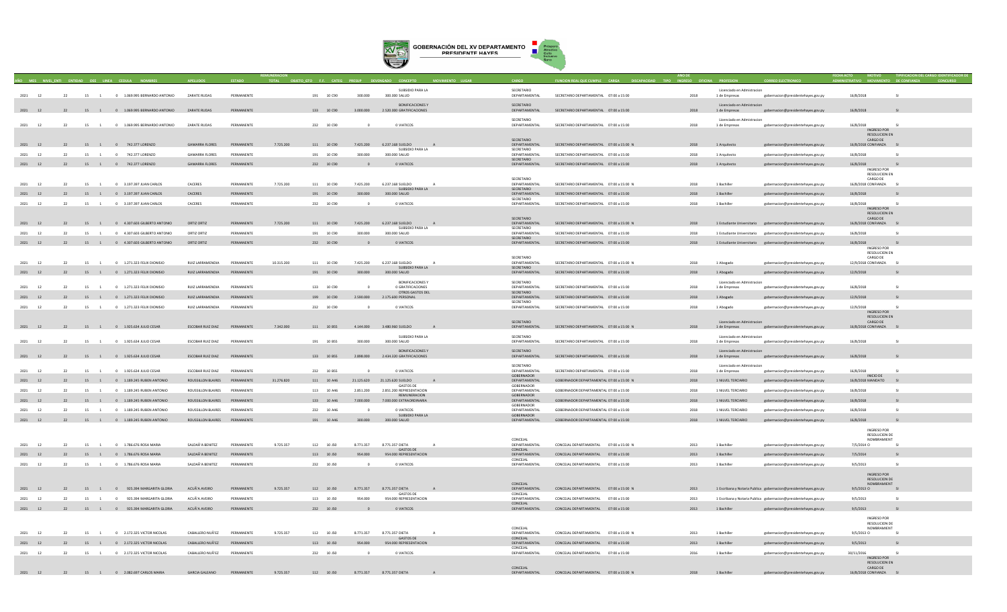

| 2021<br>12            | 22 |    | 15 1           | 0 1.069.995 BERNARDO ANTONIO             | ZARATE RUDAS                        | PERMANENTE               |            | 191 10 C90 | 300,000       | SUBSIDIO PARA LA<br>300.000 SALUD                    |              | SECRETARIO<br>DEPARTAMENTAL | SECRETARIO DEPARTAMENTAL 07:00 a 15:00               | 2018 | Licenciado en Admistracion<br>1 de Empresas | gobernacion@presidentehayes.gov.py                               | 16/8/2018                           | SI           |
|-----------------------|----|----|----------------|------------------------------------------|-------------------------------------|--------------------------|------------|------------|---------------|------------------------------------------------------|--------------|-----------------------------|------------------------------------------------------|------|---------------------------------------------|------------------------------------------------------------------|-------------------------------------|--------------|
|                       |    |    |                |                                          |                                     |                          |            |            |               |                                                      |              |                             |                                                      |      |                                             |                                                                  |                                     |              |
| 2021 12               |    |    |                | 22 15 1 0 1.069.995 BERNARDO ANTONIO     | ZARATE RUDAS                        | PERMANENTE               |            | 133 10 C90 | 3,000,000     | <b>BONIFICACIONES Y</b><br>2.520.000 GRATIFICACIONES |              | SECRETARIO<br>DEPARTAMENTAL | SECRETARIO DEPARTAMENTAL 07:00 a 15:00               | 2018 | Licenciado en Admistracion<br>1 de Empresas | gobernacion@presidentehayes.gov.py                               | 16/8/2018                           |              |
|                       |    |    |                |                                          |                                     |                          |            |            |               |                                                      |              |                             |                                                      |      |                                             |                                                                  |                                     |              |
| 2021 12               | 22 |    | 15 1           | 0 1.069.995 BERNARDO ANTONIO             | <b>ZARATE RUDAS</b>                 | PERMANENTE               |            | 232 10 090 | $\sim$        | 0 VIATICOS                                           |              | SECRETARIO<br>DEPARTAMENTAL | SECRETARIO DEPARTAMENTAL 07:00 a 15:00               | 2018 | Licenciado en Admistracion<br>1 de Empresas | gobernacion@presidentehaves.gov.pv                               | 16/8/2018                           | $\sim$       |
|                       |    |    |                |                                          |                                     |                          |            |            |               |                                                      |              |                             |                                                      |      |                                             |                                                                  | <b>INGRESO POR</b>                  |              |
|                       |    |    |                |                                          |                                     |                          |            |            |               |                                                      |              | SECRETARIO                  |                                                      |      |                                             |                                                                  | RESOLUCION EN<br>CARGO DE           |              |
| 2021 12               |    |    |                | 22 15 1 0 742.377 LORENZO                | <b>GAMARRA FLORES</b>               | PERMANENTE               | 7,725,200  | 111 10 C90 | 7,425,200     | 6.237.168 SUELDO                                     | A            | DEPARTAMENTAL               | SECRETARIO DEPARTAMENTAL 07:00 a 15:00 N             | 2018 | 1 Arquitecto                                | gobernacion@presidentehayes.gov.py                               | 16/8/2018 CONFIANZA SI              |              |
| 2021<br><sup>12</sup> | 22 |    | 15 1           | 0 742.377 LORENZO                        | <b>GAMARRA FLORES</b>               | PERMANENTE               |            | 191 10 C90 | 300,000       | SUBSIDIO PARA LA<br>300,000 SALUD                    |              | SECRETARIO<br>DEPARTAMENTAL | SECRETARIO DEPARTAMENTAL 07:00 a 15:00               | 2018 | 1 Arquitecto                                | gobernacion@presidentehayes.gov.py                               | 16/8/2018                           |              |
|                       |    |    |                |                                          |                                     |                          |            |            |               |                                                      |              | SECRETARIO                  |                                                      |      |                                             |                                                                  |                                     |              |
| 2021 12               | 22 |    |                | 15 1 0 742.377 LORENZO                   | <b>GAMARRA FLORES</b>               | PERMANENTE               |            | 232 10 C90 |               | 0 VIATICOS                                           |              | DEPARTAMENTAL               | SECRETARIO DEPARTAMENTAL 07:00 a 15:00               | 2018 | 1 Arquitecto                                | gobernacion@presidentehayes.gov.py                               | 16/8/2018<br>INGRESO POR            | S1           |
|                       |    |    |                |                                          |                                     |                          |            |            |               |                                                      |              |                             |                                                      |      |                                             |                                                                  | <b>RESOLUCION EN</b>                |              |
| $2021$ 12             | 22 |    |                | 15 1 0 3 10 7 30 7 IIIAN CARLOS          | CACERES                             | DERMANENTE               | 7.725.200  | 111 10.000 | 7.425.200     | 6.237.168.SUELDO                                     | $\Delta$     | SECRETARIO<br>DEPARTAMENTAL | SECRETARIO DEPARTAMENTAL 07:00 > 15:00 N             | 2018 | 1 Rachiller                                 | gobernacion@presidentehayes.gov.py                               | CARGO DE<br>16/8/2018 CONFIANZA SI  |              |
| 2021 12               | 22 |    |                |                                          | CACERES                             | PERMANENTE               |            |            | 300,000       | SURSIDIO PARA LA<br>300,000 SALUD                    |              | SECRETARIO<br>DEPARTAMENTAL | SECRETARIO DEPARTAMENTAL 07:00 a 15:00               | 2018 | 1 Bachiller                                 |                                                                  | 16/8/2018                           | $\sim$       |
|                       |    |    |                | 15 1 0 3.197.397 JUAN CARLOS             |                                     |                          |            | 191 10 C90 |               |                                                      |              | SECRETARIO                  |                                                      |      |                                             | gobernacion@presidentehayes.gov.py                               |                                     |              |
| 2021<br>12            | 22 |    |                | 15 1 0 3.197.397 JUAN CARLOS             | CACERES                             | PERMANENTE               |            | 232 10 C90 |               | 0 VIATICOS                                           |              | DEPARTAMENTAL               | SECRETARIO DEPARTAMENTAL 07:00 a 15:00               | 2018 | 1 Bachiller                                 | gobernacion@presidentehaves.gov.pv                               | 16/8/2018<br>INGRESO POR            |              |
|                       |    |    |                |                                          |                                     |                          |            |            |               |                                                      |              |                             |                                                      |      |                                             |                                                                  | RESOLUCION EN                       |              |
| 2021 12               |    |    |                | 22 15 1 0 4.307.603 GILBERTO ANTONIO     | ORTIZ ORTIZ                         | PERMANENTE               | 7,725,200  | 111 10 C90 | 7.425.200     | 6.237.168 SUELDO                                     | A            | SECRETARIO<br>DEPARTAMENTAL | SECRETARIO DEPARTAMENTAL 07:00 a 15:00 N             | 2018 |                                             | 1 Estudiante Universitario gobernacion@presidentehayes.gov.py    | CARGO DE<br>16/8/2018 CONFIANZA SI  |              |
|                       |    |    |                |                                          |                                     |                          |            |            |               | SUBSIDIO PARA LA                                     |              | SECRETARIO                  |                                                      |      |                                             |                                                                  |                                     |              |
| 2021<br>12            | 22 | 15 | $\overline{1}$ | 0 4.307,603 GILBERTO ANTONIO             | ORTIZ ORTIZ                         | PERMANENTE               |            | 191 10 C90 | 300,000       | 300,000 SALUD                                        |              | DEPARTAMENTAL<br>SECRETARIO | SECRETARIO DEPARTAMENTAL 07:00 a 15:00               | 2018 | 1 Estudiante Universitario                  | gobernacion@presidentehayes.gov.py                               | 16/8/2018                           |              |
| 2021 12               | 22 |    |                | 15 1 0 4.307.603 GILBERTO ANTONIO        | ORTIZ ORTIZ                         | PERMANENTE               |            | 232 10 C90 |               | 0 VIATICOS                                           |              | DEPARTAMENTAL               | SECRETARIO DEPARTAMENTAL 07:00 a 15:00               | 2018 |                                             | 1 Estudiante Universitario gobernacion@presidentehayes.gov.py    | 16/8/2018<br>S1                     |              |
|                       |    |    |                |                                          |                                     |                          |            |            |               |                                                      |              |                             |                                                      |      |                                             |                                                                  | INGRESO POR<br><b>RESOLUCION EN</b> |              |
|                       |    |    |                |                                          |                                     |                          |            |            |               |                                                      |              | SECRETARIO                  |                                                      |      |                                             |                                                                  | CARGO DE                            |              |
| 2021<br>12            | 22 |    | 15 1           | 0 1.271.323 FELIX DIONISIO               | RUIZ LARRAMENDIA                    | PERMANENTE               | 10 315 200 | 111 10 090 | 7425200       | 6.237.168.SUELDO<br>SUBSIDIO PARA LA                 | $\Delta$     | DEPARTAMENTAL<br>SECRETARIO | SECRETARIO DEPARTAMENTAL 07:00 a 15:00 N             | 2018 | 1 Abogado                                   | gobernacion@presidentehayes.gov.py                               | 12/9/2018 CONFIANZA                 |              |
| 2021 12               |    |    |                | 22 15 1 0 1.271.323 FELIX DIONISIO       | <b>RUIZ LARRAMENDIA</b>             | PERMANENTE               |            | 191 10 C90 | 300,000       | 300,000 SALUD                                        |              | DEPARTAMENTAL               | SECRETARIO DEPARTAMENTAL 07:00 a 15:00               | 2018 | 1 Abogado                                   | gobernacion@presidentehayes.gov.py                               | 12/9/2018                           | - 51         |
|                       |    |    |                |                                          |                                     |                          |            |            |               | <b>BONIFICACIONES Y</b>                              |              | SECRETARIO                  |                                                      |      | Licenciado en Admistracion                  |                                                                  |                                     |              |
| 2021<br>12            | 22 | 15 | $\overline{1}$ | 0 1.271.323 FELIX DIONISIO               | RUIZ LARRAMENDIA                    | PERMANENTE               |            | 133 10 C90 |               | 0 GRATIFICACIONES                                    |              | DEPARTAMENTAL               | SECRETARIO DEPARTAMENTAL 07:00 a 15:00               | 2018 | 1 de Empresas                               | gobernacion@presidentehayes.gov.py                               | 16/8/2018                           | $\sim$       |
| 2021 12               | 22 |    |                | 15 1 0 1.271.323 FELIX DIONISIO          | RUIZ LARRAMENDIA                    | PERMANENTE               |            | 199 10 C90 | 2.590.000     | OTROS GASTOS DEL<br>2.175.600 PERSONAL               |              | SECRETARIO<br>DEPARTAMENTAL | SECRETARIO DEPARTAMENTAL 07:00 a 15:00               | 2018 | 1 Abogado                                   | gobernacion@presidentehayes.gov.py                               | 12/9/2018                           | S1           |
|                       |    |    |                |                                          |                                     | <b><i>DERMANENTE</i></b> |            |            | $\sim$        |                                                      |              | SECRETARIO                  |                                                      |      |                                             |                                                                  |                                     | C1           |
| 12<br>2021            | 22 |    |                | 15 1 0 1.271.323 FELIX DIONISIC          | RUIZ LARRAMENDIA                    |                          |            | 232 10 C90 |               | 0 VIATICOS                                           |              | DEPARTAMENTAL               | SECRETARIO DEPARTAMENTAL 07:00 a 15:00               | 2018 | 1 Abogado                                   | gobernacion@presidentehayes.gov.py                               | 12/9/2018<br>INGRESO POR            |              |
|                       |    |    |                |                                          |                                     |                          |            |            |               |                                                      |              |                             |                                                      |      |                                             |                                                                  | RESOLUCION EN                       |              |
| 2021 12               |    |    |                | 22 15 1 0 1.925.634 JULIO CESAR          | <b>ESCOBAR RUIZ DIAZ</b>            | PERMANENTE               | 7,342,000  | 111 10 B55 | 4,144,000     | 3.480.960 SUELDO                                     |              | SECRETARIO<br>DEPARTAMENTAL | SECRETARIO DEPARTAMENTAL 07:00 a 15:00 N             | 2018 | Licenciado en Admistracion                  | 1 de Empresas gobernacion@presidentehayes.gov.py                 | CARGO DE<br>16/8/2018 CONFIANZA     |              |
|                       |    |    |                |                                          |                                     |                          |            |            |               | SUBSIDIO PARA LA                                     |              | SECRETARIO                  |                                                      |      | Licenciado en Admistracion                  |                                                                  |                                     |              |
| 2021 12               | 22 |    |                | 15 1 0 1.925.634 JULIO CESAR             | ESCOBAR RUIZ DIAZ                   | PERMANENTE               |            | 191 10 B55 | 300.000       | 300.000 SALUD                                        |              | DEPARTAMENTAL               | SECRETARIO DEPARTAMENTAL 07:00 a 15:00               | 2018 | 1 de Empresas                               | gobernacion@presidentehayes.gov.py                               | 16/8/2018                           | S1           |
|                       |    |    |                |                                          |                                     |                          |            |            |               | <b>BONIFICACIONES Y</b>                              |              | SECRETARIO                  |                                                      |      |                                             |                                                                  |                                     |              |
| 2021 12               |    |    |                | 22 15 1 0 1.925.634 JULIO CESAR          | ESCOBAR RUIZ DIAZ                   | PERMANENTE               |            | 133 10 B55 | 2.898.000     | 2.434.320 GRATIFICACIONES                            |              | DEPARTAMENTAL               | SECRETARIO DEPARTAMENTAL 07:00 a 15:00               | 2018 | Licenciado en Admistracion<br>1 de Empresas | gobernacion@presidentehayes.gov.py                               | 16/8/2018                           |              |
|                       |    |    |                |                                          |                                     |                          |            |            |               |                                                      |              | SECRETARIO                  |                                                      |      | Licenciado en Admistracion                  |                                                                  |                                     |              |
| 2021<br>12            | 22 |    | 15 1           | 0 1.925.634 JULIO CESAR                  | <b>ESCORAR RUIZ DIAZ</b>            | PERMANENTE               |            | 232 10 BSS | $\sim$        | 0 VIATICOS                                           |              | DEPARTAMENTAL               | SECRETARIO DEPARTAMENTAL 07:00 a 15:00               | 2018 | 1 de Empresas                               | gobernacion@presidentehayes.gov.py                               | 16/8/2018                           | S1           |
| 2021<br>12            | 22 |    |                | 15 1 0 1.189.245 RUBEN ANTONIO           | ROUSSILLON BLAIRES PERMANENTE       |                          | 31,276,820 | 111 10 A46 | 21.125.620    | 21.125.620 SUELDO                                    | $\mathbf{A}$ | GORERNADOR<br>DEPARTAMENTAL | GOBERNADOR DEPARTAMENTAL 07:00 a 15:00 N             | 2018 | 1 NILVEL TERCIARIO                          | gobernacion@presidentehayes.gov.py                               | INICIO DE<br>16/8/2018 MANDATO SI   |              |
|                       |    |    |                |                                          |                                     |                          |            |            |               | GASTOS DE                                            |              | GORERNADOR                  |                                                      |      |                                             |                                                                  |                                     |              |
| 2021<br>12            | 22 | 15 | $\overline{1}$ | 0 1.189.245 RUBEN ANTONIO                | ROUSSILLON BLAIRES                  | PERMANENTE               |            | 113 10 A46 | 2,851,200     | 2.851.200 REPRESENTACION<br>REMUNERACION             |              | DEPARTAMENTAL<br>GOBERNADOR | GOBERNADOR DEPARTAMENTAL 07:00 a 15:00               | 2018 | 1 NILVEL TERCIARIO                          | gobernacion@presidentehaves.gov.pv                               | 16/8/2018                           | S1           |
| 2021 12               | 22 |    |                | 15 1 0 1.189.245 RUBEN ANTONIO           | ROUSSILLON BLAIRES PERMANENTE       |                          |            | 133 10 A46 | 7.000.000     | 7.000.000 EXTRAORDINARIA                             |              | DEPARTAMENTAL               | GOBERNADOR DEPARTAMENTAL 07:00 a 15:00               | 2018 | 1 NILVEL TERCIARIO                          | gobernacion@presidentehayes.gov.py                               | 16/8/2018                           | S1           |
| 2021<br><sup>12</sup> | 22 | 15 | $\overline{1}$ | 0 1.189.245 RUBEN ANTONIC                | ROUSSILLON BLAIRES                  | PERMANENTE               |            | 232 10 A46 |               | 0 VIATICOS                                           |              | GOBERNADOR<br>DEPARTAMENTAL | GOBERNADOR DEPARTAMENTAL 07:00 a 15:00               | 2018 | 1 NILVEL TERCIARIO                          | gobernacion@presidentehayes.gov.py                               | 16/8/2018                           | $\mathbf{c}$ |
|                       |    |    |                |                                          |                                     |                          |            |            |               | SUBSIDIO PARA LA                                     |              | GOBERNADOR                  |                                                      |      |                                             |                                                                  |                                     |              |
| 2021 12               | 22 |    |                | 15 1 0 1.189.245 RUBEN ANTONIO           | ROUSSILLON BLAIRES                  | PERMANENTE               |            | 191 10 A46 | 300,000       | 300,000 SALUD                                        |              | DEPARTAMENTAL               | GOBERNADOR DEPARTAMENTAL 07:00 a 15:00               | 2018 | 1 NILVEL TERCIARIO                          | gobernacion@presidentehayes.gov.py                               | 16/8/2018                           |              |
|                       |    |    |                |                                          |                                     |                          |            |            |               |                                                      |              |                             |                                                      |      |                                             |                                                                  | INGRESO POR                         |              |
|                       |    |    |                |                                          |                                     |                          |            |            |               |                                                      |              | CONCEIAL                    |                                                      |      |                                             |                                                                  | RESOLUCION DE<br>NOMBRAMIENT        |              |
| 2021<br>12            | 22 | 15 | $\overline{1}$ | 0 1.786 676 ROSA MARIA                   | SAI DAÃ'A RENITEZ                   | PERMANENTE               | 9.725.357  | 112 10 150 | 8 7 7 1 3 5 7 | 8 771 357 DIFTA<br><b>GASTOS DE</b>                  | $\Delta$     | DEPARTAMENTAL<br>CONCEJAL   | CONCEIAL DEPARTAMENTAL 07:00 a 15:00 N               | 2013 | 1 Rachiller                                 | gobernacion@presidentehayes.gov.py                               | 7/5/2014 0                          |              |
| 2021 12               | 22 |    |                | 15 1 0 1.786.676 ROSA MARIA              | SALDAÃ'A BENITEZ                    | PERMANENTE               |            | 113 10 J50 | 954,000       | 954,000 REPRESENTACION                               |              | DEPARTAMENTAL               | CONCEJAL DEPARTAMENTAL 07:00 a 15:00                 | 2013 | 1 Bachiller                                 | gobernacion@presidentehayes.gov.py                               | 7/5/2014                            |              |
| 2021<br>12            | 22 | 15 | $\sim$ 1       | 0 1.786,676 ROSA MARIA                   | SALDAÃ'A BENITEZ                    | PERMANENTE               |            | 232 10 J50 |               | 0 VIATICOS                                           |              | CONCEJAL<br>DEPARTAMENTAL   | CONCEJAL DEPARTAMENTAL 07:00 a 15:00                 | 2013 | 1 Bachiller                                 |                                                                  | 9/5/2013                            |              |
|                       |    |    |                |                                          |                                     |                          |            |            |               |                                                      |              |                             |                                                      |      |                                             | gobernacion@presidentehaves.gov.pv                               |                                     |              |
|                       |    |    |                |                                          |                                     |                          |            |            |               |                                                      |              |                             |                                                      |      |                                             |                                                                  | <b>INGRESO POR</b><br>RESOLUCION DE |              |
|                       |    |    |                |                                          |                                     |                          |            |            |               |                                                      |              | CONCEJAL                    |                                                      |      |                                             |                                                                  | NOMBRAMIENT                         |              |
| 2021<br>12            | 22 |    |                | 15 1 0 925.394 MARGARITA GLORIA          | ACUÃ'A AVEIRO                       | PERMANENTE               | 9.725.357  | 112 10 J50 | 8.771.357     | 8.771.357 DIETA<br>GASTOS DE                         |              | DEPARTAMENTAL<br>CONCEJAL   | CONCEJAL DEPARTAMENTAL 07:00 a 15:00 N               | 2013 |                                             | 1 Escribana y Notaria Publica gobernacion@presidentehayes.gov.py | 9/5/2013 O                          |              |
| 2021 12               | 22 |    | 15 1           | 0 925.394 MARGARITA GLORIA               | ACUÃ'A AVEIRO                       | PERMANENTE               |            | 113 10 150 | 954,000       | 954 000 REPRESENTACION                               |              | DEPARTAMENTAL               | CONCEIAL DEPARTAMENTAL 07:00 a 15:00                 | 2013 |                                             | 1 Escribana y Notaria Publica gobernacion@presidentehayes.gov.py | 9/5/2013                            | $\sim$       |
| 2021 12               |    |    |                | 22 15 1 0 925.394 MARGARITA GLORIA       | ACUÃ'A AVEIRO                       | PERMANENTE               |            | 232 10 J50 | $\Omega$      | O VIATICOS                                           |              | CONCEIAL<br>DEPARTAMENTAL   | CONCEJAL DEPARTAMENTAL 07:00 a 15:00                 | 2013 | 1 Bachiller                                 | gobernacion@presidentehayes.gov.py                               | 9/5/2013                            |              |
|                       |    |    |                |                                          |                                     |                          |            |            |               |                                                      |              |                             |                                                      |      |                                             |                                                                  |                                     |              |
|                       |    |    |                |                                          |                                     |                          |            |            |               |                                                      |              |                             |                                                      |      |                                             |                                                                  | <b>INGRESO POR</b><br>RESOLUCION DE |              |
|                       |    |    |                |                                          |                                     |                          |            |            |               |                                                      |              | CONCEJAL                    |                                                      |      |                                             |                                                                  | NOMBRAMIENT                         |              |
| 2021<br>12            | 22 |    | 15 1           | 0 2.172.325 VICTOR NICOLAS               | CABALLERO NUÃ'EZ                    | PERMANENTE               | 9,725,357  | 112 10 J50 | 8.771.357     | 8,771,357 DIETA<br><b>GASTOS DE</b>                  | A            | DEPARTAMENTAL<br>CONCEJAL   | CONCEJAL DEPARTAMENTAL 07:00 a 15:00 N               | 2013 | 1 Bachiller                                 | gobernacion@presidentehayes.gov.py                               | 9/5/2013 0                          |              |
| 2021<br>12            | 22 |    |                | 15 1 0 2.172.325 VICTOR NICOLAS          | CABALLERO NUÃ'EZ                    | PERMANENTE               |            | 113 10 J50 | 954,000       | 954.000 REPRESENTACION                               |              | DEPARTAMENTAL               | CONCEJAL DEPARTAMENTAL 07:00 a 15:00                 | 2013 | 1 Bachiller                                 | gobernacion@presidentehayes.gov.py                               | 9/5/2013                            |              |
| 2021<br>12            | 22 | 15 | $\overline{1}$ | 0 2.172.325 VICTOR NICOLAS               | CABALLERO NUÃ'EZ                    | PERMANENTE               |            | 232 10 J50 |               | 0 VIATICOS                                           |              | CONCEJAL<br>DEPARTAMENTAL   | CONCEJAL DEPARTAMENTAL 07:00 a 15:00                 | 2016 | 1 Bachiller                                 | robernacion@presidentehayes.gov.py                               | 30/11/2016                          |              |
|                       |    |    |                |                                          |                                     |                          |            |            |               |                                                      |              |                             |                                                      |      |                                             |                                                                  | INGRESO POR                         |              |
|                       |    |    |                |                                          |                                     |                          |            |            |               |                                                      |              | CONCEIAL                    |                                                      |      |                                             |                                                                  | <b>RESOLUCION EN</b><br>CARGO DE    |              |
|                       |    |    |                | 2021 12 22 15 1 0 2.082.697 CARLOS MARIA | GARCIA GALEANO PERMANENTE 9.725.357 |                          |            |            |               | 112 10 J50 8.771.357 8.771.357 DIETA<br>A            |              |                             | DEPARTAMENTAL CONCEJAL DEPARTAMENTAL 07:00 a 15:00 N | 2018 | 1 Bachiller                                 | gobernacion@presidentehayes.gov.py                               | 16/8/2018 CONFIANZA SI              |              |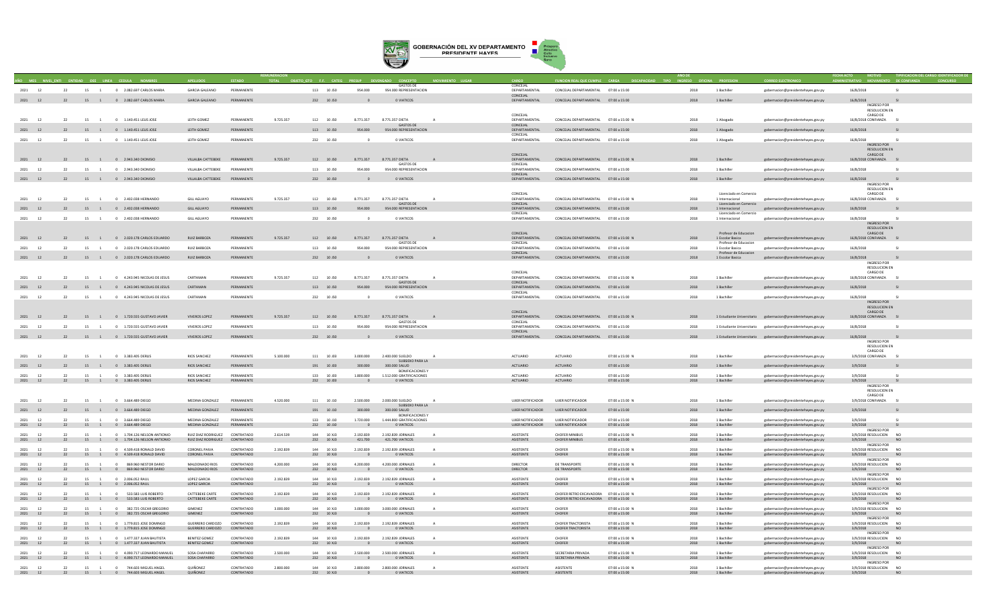

| 2021 12            |    | 22       |                      | 15 1 0 2.082.697 CARLOS MARIA                                      | GARCIA GALEANO                                               | DERMANENTE               |           | 113 10 150                     | 954,000                               | <b>GASTOS DE</b><br>954,000 REPRESENTACION           |              | CONCEJAL<br>DEPARTAMENTAL     | CONCEJAL DEPARTAMENTAL 07:00 a 15:00                   |                                         | 2018         | 1 Bachiller                               | gobernacion@presidentehayes.gov.py                                       | 16/8/2018                                    | $\mathsf{C}$                     |  |
|--------------------|----|----------|----------------------|--------------------------------------------------------------------|--------------------------------------------------------------|--------------------------|-----------|--------------------------------|---------------------------------------|------------------------------------------------------|--------------|-------------------------------|--------------------------------------------------------|-----------------------------------------|--------------|-------------------------------------------|--------------------------------------------------------------------------|----------------------------------------------|----------------------------------|--|
| 2021 12            |    | 22       |                      | 15 1 0 2.082.697 CARLOS MARIA                                      | <b>GARCIA GALEANO</b>                                        | PERMANENTE               |           | 232 10 J50                     |                                       | 0 VIATICOS                                           |              | CONCEJAL<br>DEPARTAMENTAL     | CONCEJAL DEPARTAMENTAL 07:00 a 15:00                   |                                         | 2018         | 1 Bachiller                               | gobernacion@presidentehayes.gov.py                                       | 16/8/2018                                    |                                  |  |
|                    |    |          |                      |                                                                    |                                                              |                          |           |                                |                                       |                                                      |              |                               |                                                        |                                         |              |                                           |                                                                          | <b>INGRESO POR</b><br>RESOLUCION EN          |                                  |  |
|                    |    |          |                      |                                                                    |                                                              |                          |           |                                |                                       |                                                      |              | CONCEIAL                      |                                                        |                                         |              |                                           |                                                                          | CARGO DE                                     |                                  |  |
| 2021 12            |    | 22       | 15 1                 | 0 1.140.451 LELIS JOSE                                             | LEITH GOMEZ                                                  | PERMANENTE               | 9.725.357 | 112 10 J50                     | 8.771.357                             | 8.771.357 DIETA<br><b>GASTOS DE</b>                  | A            | DEPARTAMENTAL<br>CONCEJAL     | CONCEJAL DEPARTAMENTAL 07:00 a 15:00 N                 |                                         | 2018         | 1 Abogado                                 | gobernacion@presidentehayes.gov.py                                       | 16/8/2018 CONFIANZA                          | S1                               |  |
| 2021 12            |    | 22       |                      | 15 1 0 1.140.451 LELIS JOSE                                        | LEITH GOMEZ                                                  | PERMANENTE               |           | 113 10 J50                     | 954,000                               | 954.000 REPRESENTACION                               |              | DEPARTAMENTAL<br>CONCEJAL     | CONCEJAL DEPARTAMENTAL 07:00 a 15:00                   |                                         | 2018         | 1 Abogado                                 | gobernacion@presidentehayes.gov.py                                       | 16/8/2018                                    | - SI                             |  |
| 2021               | 12 | 22       | 15<br>$\overline{1}$ | 0 1.140.451 LELIS JOSE                                             | LEITH GOMEZ                                                  | PERMANENTE               |           | 232 10 J50                     |                                       | 0 VIATICOS                                           |              | DEPARTAMENTAL                 | CONCEJAL DEPARTAMENTAL 07:00 a 15:00                   |                                         | 2018         | 1 Abogado                                 | gobernacion@presidentehayes.gov.py                                       | 16/8/2018<br>INGRESO POR                     |                                  |  |
|                    |    |          |                      |                                                                    |                                                              |                          |           |                                |                                       |                                                      |              | CONCEJAL                      |                                                        |                                         |              |                                           |                                                                          | <b>RESOLUCION EN</b><br>CARGO DE             |                                  |  |
| 2021 12            |    | 22       |                      | 15 1 0 2.943.340 DIONISIO                                          | VILLALBA CATTEBEKE                                           | PERMANENTE               | 9.725.357 | 112 10 J50                     | 8.771.357                             | 8.771.357 DIETA<br>GASTOS DE                         |              | DEPARTAMENTAL<br>CONCEJAL     | CONCEJAL DEPARTAMENTAL 07:00 a 15:00 N                 |                                         | 2018         | 1 Bachiller                               | gobernacion@presidentehayes.gov.py                                       | 16/8/2018 CONFIANZA                          |                                  |  |
| 2021               | 12 | 22       | 15 1                 | 0 2.943.340 DIONISIO                                               | VIII AI RA CATTEREKE                                         | PERMANENTE               |           | 113 10 150                     | 954,000                               | 954.000 REPRESENTACION                               |              | DEPARTAMENTAL                 | CONCEJAL DEPARTAMENTAL 07:00 a 15:00                   |                                         | 2018         | 1 Bachiller                               | gobernacion@presidentehayes.gov.py                                       | 16/8/2018                                    | $\mathsf{S}$                     |  |
| 2021 12            |    | 22       |                      | 15 1 0 2.943.340 DIONISIO                                          | VILLALBA CATTEBEKE                                           | PERMANENTE               |           | 232 10 J50                     | $\Omega$                              | O VIATICOS                                           |              | CONCEJAL<br>DEPARTAMENTAL     | CONCEJAL DEPARTAMENTAL 07:00 a 15:00                   |                                         | 2018         | 1 Bachiller                               | gobernacion@presidentehayes.gov.py                                       | 16/8/2018                                    | SI.                              |  |
|                    |    |          |                      |                                                                    |                                                              |                          |           |                                |                                       |                                                      |              |                               |                                                        |                                         |              |                                           |                                                                          | INGRESO POR<br>RESOLUCION EN                 |                                  |  |
| 2021               | 12 | 22       | 15                   | 0 2.402.038 HERNANDO                                               | <b>GILL AGUAYO</b>                                           | PERMANENTE               | 9.725.357 | 112 10 J50                     | 8.771.357                             | 8.771.357 DIETA                                      |              | CONCEJAL<br>DEPARTAMENTAL     | CONCEJAL DEPARTAMENTAL 07:00 a 15:00 N                 |                                         | 2018         | Licenciado en Comercio<br>1 Internacional | gobernacion@presidentehayes.gov.py                                       | CARGO DE<br>16/8/2018 CONFIANZA              |                                  |  |
|                    |    | 22       |                      | 15 1 0 2.402.038 HERNANDO                                          | <b>GILL AGUAYO</b>                                           | PERMANENTE               |           | 113 10 J50                     | 954.000                               | <b>GASTOS DE</b><br>954.000 REPRESENTACION           |              | CONCEJAL<br>DEPARTAMENTAL     | CONCEJAL DEPARTAMENTAL 07:00 a 15:00                   |                                         | 2018         | Licenciado en Comercio<br>1 Internacional |                                                                          | 16/8/2018                                    |                                  |  |
|                    |    |          |                      |                                                                    |                                                              |                          |           |                                |                                       |                                                      |              | CONCEJAL                      |                                                        |                                         |              | Licenciado en Comercio                    | gobernacion@presidentehayes.gov.py                                       |                                              |                                  |  |
| 2021 12            |    | 22       | 15 1                 | 0 2.402.038 HERNANDO                                               | <b>GILL AGUAYO</b>                                           | PERMANENTE               |           | 232 10 J50                     |                                       | O VIATICOS                                           |              | DEPARTAMENTAL                 | CONCEJAL DEPARTAMENTAL 07:00 a 15:00                   |                                         | 2018         | 1 Internacional                           | gobernacion@presidentehayes.gov.py                                       | 16/8/2018<br>INGRESO POR                     | -SI                              |  |
|                    |    |          |                      |                                                                    |                                                              |                          |           |                                |                                       |                                                      |              | CONCEIAL                      |                                                        |                                         |              | Profesor de Educacio                      |                                                                          | <b>RESOLUCION EN</b><br>CARGO DE             |                                  |  |
| 2021 12            |    | 22       |                      | 15 1 0 2.020.178 CARLOS EDUARDO                                    | RUIZ BARBOZA                                                 | PERMANENTE               | 9.725.357 | 112 10 J50                     | 8.771.357                             | 8.771.357 DIETA<br><b>GASTOS DE</b>                  | A            | DEPARTAMENTAL<br>CONCEJAL     | CONCEJAL DEPARTAMENTAL 07:00 a 15:00 N                 |                                         | 2018         | 1 Escolar Basica<br>Profesor de Educacion | gobernacion@presidentehayes.gov.py                                       | 16/8/2018 CONFIANZA SI                       |                                  |  |
| 2021               | 12 | 22       | 15 1                 | 0 2.020.178 CARLOS EDUARDO                                         | <b>RUIZ BARBOZA</b>                                          | PERMANENTE               |           | 113 10 J50                     | 954,000                               | 954.000 REPRESENTACION                               |              | DEPARTAMENTAL<br>CONCEJAL     | CONCEJAL DEPARTAMENTAL 07:00 a 15:00                   |                                         | 2018         | 1 Escolar Basica<br>Profesor de Educacion | gobernacion@presidentehaves.gov.pv                                       | 16/8/2018                                    | -SI                              |  |
| 2021 12            |    | 22       |                      | 15 1 0 2.020.178 CARLOS EDUARDO                                    | <b>RUIZ BARBOZA</b>                                          | PERMANENTE               |           | 232 10 J50                     |                                       | O VIATICOS                                           |              | DEPARTAMENTAL                 | CONCEJAL DEPARTAMENTAL 07:00 a 15:00                   |                                         | 2018         | 1 Escolar Basica                          | gobernacion@presidentehayes.gov.py                                       | 16/8/2018<br>SI                              |                                  |  |
|                    |    |          |                      |                                                                    |                                                              |                          |           |                                |                                       |                                                      |              |                               |                                                        |                                         |              |                                           |                                                                          | <b>INGRESO POR</b><br>RESOLUCION EN          |                                  |  |
| 2021               | 12 | 22       | 15                   | 0 4.243.945 NICOLAS DE JESUS                                       | CARTAMAN                                                     | PERMANENTE               | 9.725.357 | 112 10 J50                     | 8.771.357                             | 8.771.357 DIETA                                      | $\mathbf{A}$ | CONCEJAL<br>DEPARTAMENTAL     | CONCEJAL DEPARTAMENTAL 07:00 a 15:00 N                 |                                         | 2018         | 1 Bachiller                               | gobernacion@presidentehayes.gov.py                                       | CARGO DE<br>16/8/2018 CONFIANZA              |                                  |  |
| 2021 12            |    | 22       | 15<br><sup>1</sup>   | 0 4.243.945 NICOLAS DE JESUS                                       | CARTAMAN                                                     | PERMANENTE               |           | $113 \qquad 10 \ \mathrm{J}50$ | 954,000                               | GASTOS DE<br>954.000 REPRESENTACION                  |              | CONCEJAL<br>DEPARTAMENTAL     | CONCEJAL DEPARTAMENTAL 07:00 a 15:00                   |                                         | 2018         | 1 Bachiller                               | gobernacion@presidentehayes.gov.py                                       | 16/8/2018                                    |                                  |  |
| 2021               | 12 | 22       | 15 1                 | 0 4.243.945 NICOLAS DE JESUS                                       | CARTAMAN                                                     | PERMANENTE               |           | 232 10 150                     | $\sim$                                | 0 VIATICOS                                           |              | CONCEIAL<br>DEPARTAMENTAL     | CONCEJAL DEPARTAMENTAL 07:00 a 15:00                   |                                         | 2018         | 1 Bachiller                               | gobernacion@presidentehayes.gov.py                                       | 16/8/2018                                    | -SI                              |  |
|                    |    |          |                      |                                                                    |                                                              |                          |           |                                |                                       |                                                      |              |                               |                                                        |                                         |              |                                           |                                                                          | INGRESO POR<br>RESOLUCION EN                 |                                  |  |
|                    |    |          |                      |                                                                    |                                                              |                          |           |                                |                                       |                                                      |              | CONCEJAL                      |                                                        |                                         |              |                                           |                                                                          | CARGO DE                                     |                                  |  |
| 2021 12            |    |          |                      | 22 15 1 0 1.720.555 GUSTAVO JAVIER                                 | <b>VIVEROS LOPEZ</b>                                         | PERMANENTE               | 9.725.357 | 112 10 J50                     | 8,771,357                             | 8.771.357 DIETA<br><b>GASTOS DE</b>                  |              | DEPARTAMENTAL<br>CONCEJAL     | CONCEJAL DEPARTAMENTAL 07:00 a 15:00 N                 |                                         | 2018         |                                           | 1 Estudiante Universitario gobernacion@presidentehayes.gov.py            | 16/8/2018 CONFIANZA                          |                                  |  |
| 2021               |    | 22       | 15                   | 0 1.720.555 GUSTAVO JAVIER                                         | <b>VIVEROS LOPEZ</b>                                         | PERMANENTE               |           | 113 10 J50                     | 954,000                               | 954.000 REPRESENTACION                               |              | DEPARTAMENTAL<br>CONCEJAL     | CONCEJAL DEPARTAMENTAL                                 | 07:00 a 15:00                           | 2018         |                                           | 1 Estudiante Universitario gobernacion@presidentehayes.gov.py            | 16/8/2018                                    |                                  |  |
|                    |    | 22       |                      | 15 1 0 1.720.555 GUSTAVO JAVIER                                    | <b>VIVEROS LOPEZ</b>                                         | PERMANENTE               |           | 232 10 J50                     |                                       | O VIATICOS                                           |              | DEPARTAMENTAL                 | CONCEJAL DEPARTAMENTAL 07:00 a 15:00                   |                                         | 2018         |                                           | 1 Estudiante Universitario gobernacion@presidentehayes.gov.py            | 16/8/2018<br><b>INGRESO POR</b>              |                                  |  |
|                    |    |          |                      |                                                                    |                                                              |                          |           |                                |                                       |                                                      |              |                               |                                                        |                                         |              |                                           |                                                                          | <b>RESOLUCION EN</b><br>CARGO DE             |                                  |  |
| 2021 12            |    | 22       | 15 1                 | 0 3.383.405 DERLIS                                                 | <b>RIOS SANCHEZ</b>                                          | DERMANENTE               | 5.100.000 | 111 10 J03                     | 3,000,000                             | 2,400,000 SUELDO<br>SUBSIDIO PARA LA                 |              | <b>ACTUARIO</b>               | <b>ACTUARIO</b>                                        | 07:00 a 15:00 N                         | 2018         | 1 Bachiller                               | gobernacion@presidentehayes.gov.py                                       | 3/9/2018 CONFIANZA                           | $\sim$                           |  |
| 2021 12            |    | 22       |                      | 15 1 0 3.383.405 DERLIS                                            | RIOS SANCHEZ                                                 | PERMANENTE               |           | 191 10 J03                     | 300,000                               | 300,000 SALUD                                        |              | ACTUARIO                      | <b>ACTUARIO</b>                                        | 07:00 a 15:00                           | 2018         | 1 Rachiller                               | gobernacion@presidentehayes.gov.py                                       | 3/9/2018                                     | S1                               |  |
| 2021               | 12 | 22       | 15<br>$\overline{1}$ | 0 3.383.405 DERLIS                                                 | <b>RIOS SANCHEZ</b>                                          | PERMANENTE               |           | 133 10 J03                     | 1,800,000                             | <b>BONIFICACIONES Y</b><br>1.512.000 GRATIFICACIONES |              | <b>ACTUARIO</b>               | <b>ACTUARIO</b>                                        | 07:00 a 15:00                           | 2018         | 1 Bachiller                               | gobernacion@presidentehaves.gov.pv                                       | 3/9/2018                                     |                                  |  |
| 2021 12            |    |          |                      | 22 15 1 0 3.383.405 DERLIS                                         | RIOS SANCHEZ                                                 | PERMANENTE               |           | 232 10 J03                     | $\sim$ 0                              | O VIATICOS                                           |              | ACTUARIO                      | <b>ACTUARIO</b>                                        | 07:00 a 15:00                           | 2018         | 1 Bachiller                               | gobernacion@presidentehayes.gov.py                                       | 3/9/2018<br><b>INGRESO POR</b>               | SI                               |  |
|                    |    |          |                      |                                                                    |                                                              |                          |           |                                |                                       |                                                      |              |                               |                                                        |                                         |              |                                           |                                                                          | RESOLUCION EN<br>CARGO DE                    |                                  |  |
| 2021 12            |    | 22       | 15                   | 0 3.664.489 DIEGO                                                  | MEDINA GONZALEZ                                              | PERMANENTE               | 4.520.000 | 111 10 J10                     | 2.500.000                             | 2.000.000 SUELDO<br>SUBSIDIO PARA LA                 |              | UJIER NOTIFICADOR             | UJIER NOTIFICADOR                                      | 07:00 a 15:00 N                         | 2018         | 1 Bachiller                               | gobernacion@presidentehayes.gov.py                                       | 3/9/2018 CONFIANZA                           |                                  |  |
| 2021 12            |    | 22       | 15 1                 | 0 3.664.489 DIEGO                                                  | MEDINA GONZALEZ                                              | PERMANENTE               |           | 191 10 J10                     | 300,000                               | 300.000 SALUD<br><b>BONIFICACIONES Y</b>             |              | UJIER NOTIFICADOR             | UJIER NOTIFICADOR                                      | 07:00 a 15:00                           | 2018         | 1 Bachiller                               | gobernacion@presidentehayes.gov.py                                       | 3/9/2018                                     |                                  |  |
| 2021 12            |    | 22       | 15 1                 | 0 3 664 489 DIEGO                                                  | MEDINA GONZALEZ                                              | PERMANENTE               |           | 133 10 110                     | 1.720.000                             | 1 444 800 GRATIFICACIONES                            |              | <b>UIFR NOTIFICADOR</b>       | <b>UJIER NOTIFICADOR</b>                               | 07:00 a 15:00                           | 2018         | 1 Bachiller                               | gobernacion@presidentehaves.gov.pv                                       | 3/9/2018                                     | $\mathsf{S}$                     |  |
| 2021 12            |    | 22       |                      | 15 1 0 3.664.489 DIEGO                                             | MEDINA GONZALEZ                                              | PERMANENTE               |           | 232 10 J10                     | $\overline{\phantom{0}}$              | 0 VIATICOS                                           |              | UJIER NOTIFICADOR             | UJIER NOTIFICADOR                                      | 07:00 a 15:00                           | 2018         | 1 Bachiller                               | gobernacion@presidentehayes.gov.py                                       | 3/9/2018<br>INGRESO POR                      | SI <sub>1</sub>                  |  |
| 2021<br>2021 12    | 12 | 22       | 15                   | 0 1.704.126 NELSON ANTIONIO<br>22 15 1 0 1.704.126 NELSON ANTIONIO | <b>RUIZ DIAZ RODRIGUEZ</b><br>RUIZ DIAZ RODRIGUEZ CONTRATADO | CONTRATADO               | 2.614.539 | 144 10 XI3<br>232 10 XJ3       | 2.192.839<br>421,700                  | 2.192.839 IORNALES<br>421,700 VIATICOS               |              | <b>ASISTENTE</b><br>ASISTENTE | <b>CHOFFR MINIRUS</b><br><b>CHOFER MINIBUS</b>         | 07:00 a 15:00 N<br>07:00 a 15:00        | 2018<br>2018 | 1 Bachiller<br>1 Bachiller                | gobernacion@presidentehayes.gov.py<br>gobernacion@presidentehayes.gov.py | 3/9/2018 RESOLUCION NO<br>3/9/2018           | NO <sub>1</sub>                  |  |
| 2021               | 12 | 22       | 15                   | 0 4.509.418 RONALD DAVID                                           | <b>CORONEL PAIVA</b>                                         | CONTRATADO               | 2.192.839 | 144 10 XJ3                     | 2.192.839                             | 2.192.839 JORNALES                                   |              | ASISTENTE                     | CHOFER                                                 | 07:00 a 15:00 N                         | 2018         | 1 Bachille                                | gobernacion@presidentehayes.gov.py                                       | <b>INGRESO POR</b><br>3/9/2018 RESOLUCION NO |                                  |  |
| 2021 12            |    |          |                      | 22 15 1 0 4.509.418 RONALD DAVID                                   | <b>CORONEL PAIVA</b>                                         | CONTRATADO               |           | 232 10 XJ3                     | $\overline{\phantom{0}}$              | 0 VIATICOS                                           |              | ASISTENTE                     | CHOFER                                                 | 07:00 a 15:00                           | 2018         | 1 Bachiller                               | gobernacion@presidentehayes.gov.py                                       | 3/9/2018<br><b>INGRESO POR</b>               | NO.                              |  |
| 2021               |    |          |                      | 869,960 NESTOR DARIO<br>22 15 1 0 869.960 NESTOR DARIO             | MALDONADO RIOS<br>MALDONADO RIOS                             | CONTRATADO<br>CONTRATADO | 4.200.000 | 10 XJ3                         | 4,200,000                             | 4.200.000 JORNALES<br>O VIATICOS                     |              | DIRECTOR<br><b>DIRECTOR</b>   | DE TRANSPORTE<br>DE TRANSPORTE                         | 07:00 a 15:00 N<br>07:00 a 15:00        | 2018<br>2018 | 1 Bachille<br>1 Bachiller                 | gobernacion@presidentehayes.gov.py                                       | 3/9/2018 RESOLUCION                          | N <sub>O</sub><br><b>NO</b>      |  |
| 2021 12            |    |          |                      |                                                                    |                                                              |                          |           | 232 10 XJ3                     | $\overline{0}$                        |                                                      |              |                               |                                                        |                                         |              |                                           | gobernacion@presidentehayes.gov.py                                       | 3/9/2018<br>INGRESO POR                      |                                  |  |
| 2021 12<br>2021 12 |    | 22       |                      | 15 1 0 2.006.052.RAUL<br>22 15 1 0 2.006.052 RAUL                  | LOPEZ GARCIA<br>LOPEZ GARCIA                                 | CONTRATADO<br>CONTRATADO | 2.192.839 | 144 10 XI3<br>232 10 XJ3       | 2.192.839                             | 2.192.839 JORNALES<br>O VIATICOS                     | $\Delta$     | <b>ASISTENTE</b><br>ASISTENTE | CHOFFR<br>CHOFER                                       | 07:00 a 15:00 N<br>07:00 a 15:00        | 2018<br>2018 | 1 Bachiller<br>1 Bachiller                | gobernacion@presidentehayes.gov.py<br>gobernacion@presidentehayes.gov.py | 3/9/2018 RESOLUCION<br>3/9/2018              | N <sub>O</sub><br><b>NO</b>      |  |
| 2021 12            |    | 22       | 15 1                 | 0 533.583 LUIS ROBERTO                                             | CATTEBEKE CARTE                                              | CONTRATADO               | 2.192.839 | 144 10 XJ3                     | 2.192.839                             | 2.192.839 JORNALES                                   | $\Delta$     | ASISTENTE                     | CHOFER RETRO EXCAVADORA  07:00 a 15:00 N               |                                         | 2018         | 1 Bachiller                               | gobernacion@presidentehaves.gov.pv                                       | INGRESO POR<br>3/9/2018 RESOLUCION NO        |                                  |  |
| 2021 12            |    |          |                      | 22 15 1 0 533.583 LUIS ROBERTO                                     | CATTEBEKE CARTE                                              | CONTRATADO               |           | 232 10 XJ3                     | $\overline{\phantom{0}}$              | O VIATICOS                                           |              | <b>ASISTENTE</b>              | CHOFER RETRO EXCAVADORA 07:00 a 15:00                  |                                         | 2018         | 1 Bachiller                               | gobernacion@presidentehayes.gov.py                                       | 3/9/2018<br><b>INGRESO POR</b>               | NO.                              |  |
| 2021<br>2021 12    | 12 | 22       | 15<br>$\overline{1}$ | 0 382,725 OSCAR GREGORIC<br>22 15 1 0 382.725 OSCAR GREGORIO       | GIMENEZ<br><b>GIMENEZ</b>                                    | CONTRATADO<br>CONTRATADO | 3,000,000 | 144 10 XJ3<br>232 10 XJ3       | 3,000,000<br>$\overline{\phantom{0}}$ | 3.000.000 JORNALES<br>O VIATICOS                     |              | ASISTENTE<br>ASISTENTE        | CHOFER<br>CHOFER                                       | 07:00 a 15:00 N<br>07:00 a 15:00        | 2018<br>2018 | 1 Bachiller<br>1 Bachiller                | gobernacion@presidentehaves.gov.pv                                       | 3/9/2018 RESOLUCION NO<br>3/9/2018           | NO <sub>1</sub>                  |  |
| 2021               |    | 22       | 15                   | 0 1.779.815 JOSE DOMINGO                                           | GUERRERO CARDOZO                                             | CONTRATADO               | 2.192.839 | 10 XJ3                         | 2.192.839                             | 2.192.839 JORNALES                                   |              | <b>ASISTENTI</b>              | CHOFER TRACTORISTA                                     | 07:00 a 15:00 N                         | 2018         | 1 Bachille                                | gobernacion@presidentehayes.gov.py                                       | <b>INGRESO POR</b>                           |                                  |  |
| 2021 12            |    |          |                      | 22 15 1 0 1.779.815 JOSE DOMINGO                                   | GUERRERO CARDOZO CONTRATADO                                  |                          |           | 232 10 XJ3                     |                                       | O VIATICOS                                           |              | ASISTENTE                     | <b>CHOFER TRACTORISTA</b>                              | 07:00 a 15:00                           | 2018         | 1 Bachiller                               | gobernacion@presidentehayes.gov.py<br>gobernacion@presidentehayes.gov.py | 3/9/2018 RESOLUCION NO<br>3/9/2018           | <b>NO</b>                        |  |
| $2021$ 12          |    | 22       | 15 1                 | 0 1.477 337 ILIAN BALITISTA                                        | <b>RENITEZ GOMEZ</b>                                         | CONTRATADO               | 2.192.839 | 144 10 13                      | 2.192.839                             | 2.192.839 IORNALES                                   | $\Delta$     | <b>ASISTENTE</b>              | CHOEFR                                                 | 07:00 a 15:00 N                         | 2018         | 1 Rachiller                               | gobernacion@presidentehayes.gov.py                                       | INGRESO POR<br>3/9/2018 RESOLUCION NO        |                                  |  |
| 2021 12            |    |          |                      | 22 15 1 0 1.477.337 JUAN BAUTISTA                                  | BENITEZ GOMEZ                                                | CONTRATADO               |           | 232 10 XJ3                     | $\overline{\phantom{0}}$              | O VIATICOS                                           |              | ASISTENTE                     | CHOFER                                                 | 07:00 a 15:00                           | 2018         | 1 Bachiller                               | gobernacion@presidentehayes.gov.py                                       | 3/9/2018<br><b>INGRESO POR</b>               | <b>NO</b>                        |  |
| 2021 12<br>2021 12 |    | 22<br>22 | 15 1                 | 0 4.090.717 LEONARDO MANUEL<br>15 1 0 4.090.717 LEONARDO MANUEL    | SOSA CHAPARRO<br>SOSA CHAPARRO                               | CONTRATADO<br>CONTRATADO | 2,500,000 | 144 10 XI3<br>232 10 XJ3       | 2.500,000                             | 2.500.000 IORNALES<br>O VIATICOS                     | $\Delta$     | <b>ASISTENTE</b><br>ASISTENTE | <b>SECRETARIA PRIVADA</b><br><b>SECRETARIA PRIVADA</b> | $07:00 \times 15:00 N$<br>07:00 a 15:00 | 2018<br>2018 | 1 Bachiller<br>1 Bachiller                | gobernacion@presidentehayes.gov.py<br>gobernacion@presidentehayes.gov.py | 3/9/2018 RESOLUCION<br>3/9/2018              | N <sub>O</sub><br>N <sub>O</sub> |  |
| 2021 12            |    | 22       | 15 1                 | 0 744.603 MIGUEL ANGEL                                             | QUIÑONEZ                                                     | CONTRATADO               | 2,800,000 | 144 10 XJ3                     | 2,800,000                             | 2,800,000 JORNALES                                   |              | ASISTENTE                     | ASISTENTE                                              | 07:00 a 15:00 N                         | 2018         | 1 Bachiller                               | gobernacion@presidentehaves.gov.pv                                       | <b>INGRESO POR</b><br>3/9/2018 RESOLUCION    | N <sub>O</sub>                   |  |
| 2021 12            |    |          |                      | 22 15 1 0 744.603 MIGUEL ANGEL                                     | QUIÑONEZ                                                     | CONTRATADO               |           | 232 10 XJ3                     | $\sim$ 0                              | O VIATICOS                                           |              | ASISTENTE                     | ASISTENTE                                              | 07:00 a 15:00                           | 2018         | 1 Bachiller                               | gobernacion@presidentehayes.gov.py                                       | 3/9/2018                                     |                                  |  |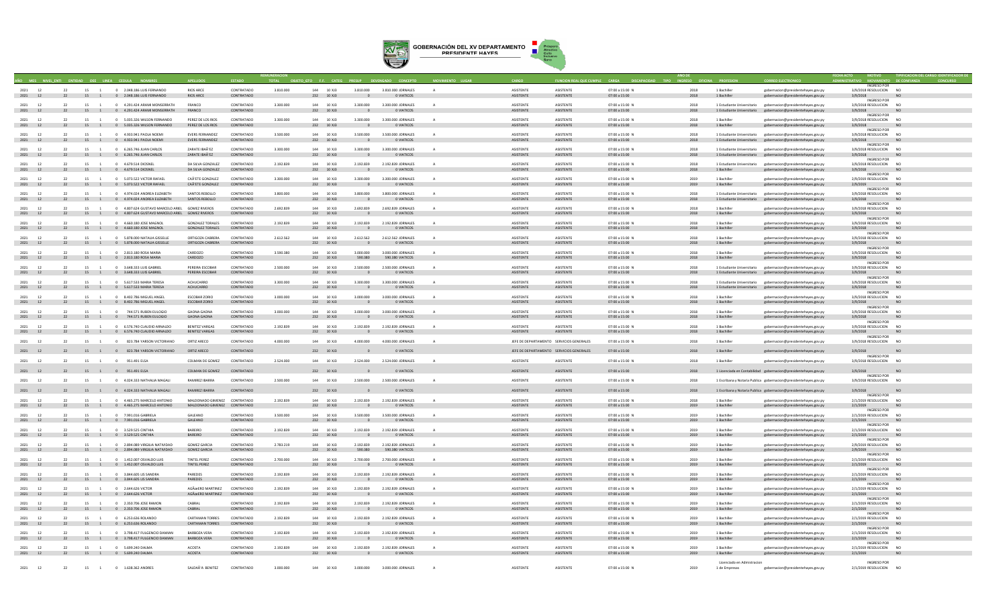

|                       |    |          |      |                                                                          |                                                               |                          |           |                          |        |                                       |                                        |          |                                      |                                          |                                         |              |                              |                                                                                                     | ECHA ACTO                                 | TIPIFICACION DEL CARGO IDENTIFICADOR DE |
|-----------------------|----|----------|------|--------------------------------------------------------------------------|---------------------------------------------------------------|--------------------------|-----------|--------------------------|--------|---------------------------------------|----------------------------------------|----------|--------------------------------------|------------------------------------------|-----------------------------------------|--------------|------------------------------|-----------------------------------------------------------------------------------------------------|-------------------------------------------|-----------------------------------------|
|                       |    |          |      |                                                                          |                                                               |                          |           |                          |        |                                       |                                        |          |                                      |                                          |                                         |              |                              |                                                                                                     | <b>INGRESO POR</b>                        |                                         |
| 2021                  | 12 | 22       | 15 1 | 0 2.048.186 LUIS FERNANDO                                                | <b>RIOS ARCE</b>                                              | CONTRATADO               | 3,810,000 | 144 10 XI3               |        | 3,810,000                             | 3.810.000 JORNALES                     |          | <b>ASISTENTE</b>                     | <b>ASISTENTE</b>                         | 07:00 a 15:00 N                         | 2018         | 1 Rachillon                  | oernacion@presidentehayes.gov.py                                                                    | 3/9/2018 RESOLUCION NO                    |                                         |
| 2021 12               |    |          |      | 22 15 1 0 2.048.186 LUIS FERNANDO                                        | <b>RIOS ARCE</b>                                              | CONTRATADO               |           | 232 10 XJ3               |        |                                       | O VIATICOS                             |          | ASISTENTE                            | ASISTENTE                                | 07:00 a 15:00                           | 2018         | 1 Bachiller                  | gobernacion@presidentehayes.gov.py                                                                  | 3/9/2018                                  |                                         |
| $2021$ 12             |    | 22       |      | 15 1 0 4.291 424 ARAMI MONSERRATH                                        | FRANCO                                                        | CONTRATADO               | 3.300.000 | 144 10 ¥13               |        | 3.300.000                             | 3.300.000 JORNALES                     |          | <b>ASISTENTE</b>                     | <b>ASISTENTE</b>                         | 07:00 a 15:00 N                         | 2018         | 1 Estudiante Universitario   | gobernacion@presidentehayes.gov.py                                                                  | <b>INGRESO POR</b><br>3/9/2018 RESOLUCION | N <sub>0</sub>                          |
| 2021 12               |    |          |      | 22 15 1 0 4.291.424 ARAMI MONSERRATH                                     | FRANCO                                                        | CONTRATADO               |           | 232 10 XJ3               |        | $\overline{\phantom{0}}$              | 0 VIATICOS                             |          | ASISTENTE                            | <b>ASISTENTE</b>                         | 07:00 a 15:00                           | 2018         |                              | 1 Estudiante Universitario gobernacion@presidentehayes.gov.py                                       | 3/9/2018                                  | <b>NO</b>                               |
| 2021 12               |    | 22       | 15 1 | 0 5.035.326 WILSON FERNANDO                                              | PEREZ DE LOS RIOS                                             | CONTRATADO               | 3.300.000 | 144 10 XI3               |        | 3.300.000                             | 3.300.000 IORNALES                     |          | <b>ASISTENTE</b>                     | <b>ASISTENTE</b>                         | 07:00 a 15:00 N                         | 2018         | 1 Bachiller                  | gobernacion@presidentehayes.gov.py                                                                  | INGRESO POR<br>3/9/2018 RESOLUCION        | N <sub>O</sub>                          |
| 2021 12               |    |          |      | 22 15 1 0 5.035.326 WILSON FERNANDO                                      | PEREZ DE LOS RIOS                                             | CONTRATADO               |           | 232 10 XJ3               |        |                                       | O VIATICOS                             |          | <b>ASISTENTE</b>                     | <b>ASISTENTE</b>                         | 07:00 a 15:00                           | 2018         | 1 Rachiller                  | gobernacion@presidentehayes.gov.py                                                                  | 3/9/2018                                  | N <sub>O</sub>                          |
| 2021 12               |    | 22       | 15   | 0 4 933 941 PAOLA NOEMI                                                  | <b>FVERS FERNANDEZ</b>                                        | CONTRATADO               | 3.500.000 | 144 10 XI3               |        | 3.500.000                             | 3.500.000 IORNALES                     |          | <b>ASISTENTE</b>                     | <b>ASISTENTE</b>                         | 07:00 a 15:00 N                         | 2018         | 1 Estudiante Universitario   | gobernacion@presidentehaves.gov.pv                                                                  | <b>INGRESO POR</b><br>3/9/2018 RESOLUCION | N <sub>O</sub>                          |
| 2021 12               |    |          |      | 22 15 1 0 4.933.941 PAOLA NOEMI                                          | <b>EVERS FERNANDEZ</b>                                        | CONTRATADO               |           | 232 10 XJ3               |        | $\overline{0}$                        | 0 VIATICOS                             |          | <b>ASISTENTE</b>                     | <b>ASISTENTE</b>                         | 07:00 a 15:00                           | 2018         | 1 Estudiante Universitario   | gobernacion@presidentehayes.gov.py                                                                  | 3/9/2018                                  | N <sub>C</sub>                          |
| 2021                  | 12 | 22       | 15   | 0 6.265.746 JUAN CARLOS                                                  | <b>ZARATE IRAÃ'EZ</b>                                         | CONTRATADO               | 3.300.000 | 144                      | 10 X13 | 3,300,000                             | 3.300.000 JORNALES                     |          | ASISTENTE                            | <b>ASISTENTE</b>                         | 07:00 a 15:00 M                         | 2018         | 1 Estudiante Universitario   | gobernacion@presidentehaves.gov.pv                                                                  | <b>INGRESO POR</b><br>3/9/2018 RESOLUCION | N <sub>0</sub>                          |
| 2021 12               |    |          |      | 22 15 1 0 6.265.746 JUAN CARLOS                                          | ZARATE IBAÃ'EZ                                                | CONTRATADO               |           | 232 10 XJ3               |        | $\sim$ 0                              | 0 VIATICOS                             |          | ASISTENTE                            | ASISTENTE                                | 07:00 a 15:00                           | 2018         |                              | 1 Estudiante Universitario gobernacion@presidentehayes.gov.py                                       | 3/9/2018                                  | <b>NO</b>                               |
| 2021                  |    |          | 15 1 | 0 4.679.514 DIOSNEL                                                      | DA SILVA GONZALEZ                                             | CONTRATADO               | 2.192.839 |                          | 10 XJ3 | 2.192.839                             | 2.192.839 JORNALES                     |          | ASISTENTE                            | <b>ASISTENTE</b>                         | 07:00 a 15:00 M                         | 2018         | 1 Estudiante Universitario   | gobernacion@presidentehayes.gov.py                                                                  | <b>INGRESO POR</b><br>3/9/2018 RESOLUCION | N <sub>C</sub>                          |
| 2021 12               |    |          |      | 22 15 1 0 4.679.514 DIOSNEL                                              | DA SILVA GONZALEZ                                             | CONTRATADO               |           | 232 10 XJ3               |        |                                       | O VIATICOS                             |          | ASISTENTE                            | <b>ASISTENTE</b>                         | 07:00 a 15:00                           | 2018         | 1 Bachiller                  | gobernacion@presidentehayes.gov.py                                                                  | 3/9/2018                                  |                                         |
| 2021<br>12            |    |          |      | 15 1 0 5.073.522 VICTOR RAFAEL                                           | CAÃ'ETE GONZALEZ                                              | CONTRATADO               | 3.300.000 |                          | 10 XJ3 | 3,300,000                             | 3.300.000 JORNALES                     |          | ASISTENTE                            | <b>ASISTENTE</b>                         | 07:00 a 15:00 M                         | 2019         | 1 Bachille                   | gobernacion@presidentehayes.gov.py                                                                  | <b>INGRESO POR</b><br>2/9/2019 RESOLUCION | N <sub>O</sub>                          |
| 2021 12               |    |          |      | 22 15 1 0 5.073.522 VICTOR RAFAEL                                        | CAÃ'ETE GONZALEZ                                              | CONTRATADO               |           | 232 10 XJ3               |        | $\overline{\mathbf{0}}$               | O VIATICOS                             |          | ASISTENTE                            | <b>ASISTENTE</b>                         | 07:00 a 15:00                           | 2019         | 1 Bachiller                  | gobernacion@presidentehayes.gov.py                                                                  | 2/9/2019                                  | N <sub>C</sub>                          |
| 2021 12               |    | 22       |      | 15 1 0 4.974.024 ANDREA ELIZABETH                                        | SANTOS REBOLLO                                                | CONTRATADO               | 3.800.000 | 144 10 XJ3               |        | 3.800.000                             | 3.800.000 JORNALES                     |          | ASISTENTE                            | <b>ASISTENTE</b>                         | 07:00 a 15:00 N                         | 2018         | 1 Estudiante Universitario   | gobernacion@presidentehayes.gov.py                                                                  | <b>INGRESO POR</b><br>3/9/2018 RESOLUCION | N <sub>O</sub>                          |
| 2021 12               |    | 22       |      | 15 1 0 4.974.024 ANDREA ELIZABETH                                        | SANTOS REBOLLO                                                | CONTRATADO               |           | 232 10 XJ3               |        |                                       | O VIATICOS                             |          | <b>ASISTENTE</b>                     | <b>ASISTENTE</b>                         | 07:00 a 15:00                           | 2018         |                              | 1 Estudiante Universitario gobernacion@presidentehayes.gov.py                                       | 3/9/2018                                  | N <sub>0</sub>                          |
| 2021 12               |    | 22       |      | 15 1 0 4 807 624 GUSTAVO MARCELO ARIEL GOMEZ RIVEROS                     |                                                               | CONTRATADO               | 2.692.839 | 144 10 XI3               |        | 2.692.839                             | 2.692.839 IORNALES                     | $\Delta$ | <b>ASISTENTE</b>                     | <b>ASISTENTE</b>                         | 07:00 a 15:00 N                         | 2018         | 1 Rachiller                  | gobernacion@presidentehaves.gov.pv                                                                  | <b>INGRESO POR</b><br>3/9/2018 RESOLUCION | NO <sub>1</sub>                         |
| 2021 12               |    |          |      | 22 15 1 0 4.807.624 GUSTAVO MARCELO ARIEL GOMEZ RIVEROS                  |                                                               | CONTRATADO               |           | 232 10 XJ3               |        | $\overline{\phantom{0}}$              | 0 VIATICOS                             |          | <b>ASISTENTE</b>                     | <b>ASISTENTE</b>                         | 07:00 a 15:00                           | 2018         | 1 Bachiller                  | gobernacion@presidentehayes.gov.py                                                                  | 3/9/2018                                  | NO.                                     |
| 2021 12               |    | 22       | 15 1 | 0 4 660 180 IOSE MAGNOL                                                  | GONZALEZ TORALES                                              | CONTRATADO               | 2.192.839 | 144 10 XI3               |        | 2.192.839                             | 2.192.839 IORNALES                     |          | <b>ASISTENTE</b>                     | <b>ASISTENTE</b>                         | 07:00 a 15:00 N                         | 2018         | 1 Bachiller                  | zobernacion@presidentehaves.gov.p                                                                   | <b>INGRESO POR</b><br>3/9/2018 RESOLUCION | NO <sub>1</sub>                         |
| 2021 12               |    |          |      | 22 15 1 0 4.660.180 JOSE MAGNOL                                          | GONZALEZ TORALES CONTRATADO                                   |                          |           | 232 10 XJ3               |        | $\Omega$                              | O VIATICOS                             |          | ASISTENTE                            | <b>ASISTENTE</b>                         | 07:00 a 15:00                           | 2018         | 1 Bachiller                  | gobernacion@presidentehayes.gov.py                                                                  | 3/9/2018                                  | NO.                                     |
| 2021                  |    |          |      |                                                                          |                                                               |                          |           |                          |        |                                       |                                        |          |                                      |                                          |                                         |              |                              |                                                                                                     | <b>INGRESO POR</b>                        | NQ                                      |
| 2021 12               | 12 | 22       | 15 1 | 0 5.878,000 NATALIA GISSELLE<br>22 15 1 0 5.878.000 NATALIA GISSELLE     | ORTIGOZA CABRERA<br>ORTIGOZA CABRERA                          | CONTRATADO<br>CONTRATADO | 2.612.562 | 144 10 XJ3<br>232 10 XJ3 |        | 2.612.562<br>$\sqrt{ }$               | 2.612.562 JORNALES<br>O VIATICOS       | A        | ASISTENTE<br>ASISTENTE               | <b>ASISTENTE</b><br><b>ASISTENTE</b>     | 07:00 a 15:00 N<br>07:00 a 15:00        | 2018<br>2018 | 1 Bachiller<br>1 Bachiller   | gobernacion@presidentehaves.gov.pv<br>gobernacion@presidentehayes.gov.py                            | 3/9/2018 RESOLUCION<br>3/9/2018           | <b>NO</b>                               |
|                       |    |          |      |                                                                          |                                                               |                          |           |                          |        |                                       |                                        |          |                                      |                                          |                                         |              |                              |                                                                                                     | <b>INGRESO POR</b>                        |                                         |
| 12<br>2021<br>2021 12 |    |          |      | 15 1 0 2.813.180 ROSA MARIA<br>22 15 1 0 2.813.180 ROSA MARIA            | CARDOZO<br>CARDOZO                                            | CONTRATADO<br>CONTRATADO | 3,590,380 | 232 10 XJ3               | 10 XJ3 | 3,000,000<br>590,380                  | 3.000.000 JORNALES<br>590.380 VIATICOS |          | <b>ASISTENTE</b><br>ASISTENTE        | <b>ASISTENTE</b><br><b>ASISTENTE</b>     | 07:00 a 15:00 M<br>07:00 a 15:00        | 2018<br>2018 | 1 Bachiller<br>1 Bachiller   | gobernacion@presidentehayes.gov.py<br>gobernacion@presidentehayes.gov.py                            | 3/9/2018 RESOLUCION<br>3/9/2018           | N <sub>C</sub><br><b>NO</b>             |
|                       |    |          |      |                                                                          |                                                               |                          |           |                          |        |                                       |                                        |          |                                      |                                          |                                         |              |                              |                                                                                                     | <b>INGRESO POR</b>                        |                                         |
| 2021<br>2021 12       | 12 | 22<br>22 | 15 1 | 0 3.648.333 LUIS GABRIEL<br>15 1 0 3.648.333 LUIS GABRIEL                | PEREIRA ESCOBAR<br>PEREIRA ESCOBAR                            | CONTRATADO<br>CONTRATADO | 2.500.000 | 144 10 XJ3<br>232 10 XJ3 |        | 2,500,000                             | 2.500,000 JORNALES<br>O VIATICOS       |          | ASISTENTE<br>ASISTENTE               | <b>ASISTENTE</b><br><b>ASISTENTE</b>     | 07:00 a 15:00 M<br>07:00 a 15:00        | 2018<br>2018 | 1 Estudiante Universitario   | gobernacion@presidentehayes.gov.py<br>1 Estudiante Universitario gobernacion@presidentehayes.gov.py | 3/9/2018 RESOLUCION<br>3/9/2018           | N <sub>C</sub>                          |
|                       |    |          |      |                                                                          |                                                               |                          |           |                          |        |                                       |                                        |          |                                      |                                          |                                         |              |                              |                                                                                                     | <b>INGRESO POR</b>                        |                                         |
| 2021 12<br>2021 12    |    | 22       |      | 15 1 0 5.617.533 MARIA TERESA<br>22 15 1 0 5.617.533 MARIA TERESA        | ACHUCARRO<br>ACHUCARRO                                        | CONTRATADO<br>CONTRATADO | 3.300.000 | 144 10 XI3<br>232 10 XJ3 |        | 3,300,000<br>$\overline{\phantom{0}}$ | 3.300.000 JORNALES<br>O VIATICOS       |          | <b>ASISTENTE</b><br>ASISTENTE        | <b>ASISTENTE</b><br><b>ASISTENTE</b>     | 07:00 a 15:00 N<br>07:00 a 15:00        | 2018<br>2018 | 1 Estudiante Universitario   | gobernacion@presidentehayes.gov.py<br>1 Estudiante Universitario gobernacion@presidentehayes.gov.py | 3/9/2018 RESOLUCION<br>3/9/2018           | NO <sub>1</sub><br>N <sub>O</sub>       |
|                       |    |          |      |                                                                          |                                                               |                          |           |                          |        |                                       |                                        |          |                                      |                                          |                                         |              |                              |                                                                                                     | INGRESO POR                               |                                         |
| 2021 12<br>2021 12    |    | 22       | 15 1 | 0 8 402 786 MIGUELANGEL<br>22 15 1 0 8.402.786 MIGUEL ANGEL              | <b>ESCORAR ZORIO</b><br>ESCOBAR ZORIO                         | CONTRATADO<br>CONTRATADO | 3,000,000 | 144 10 XI3<br>232 10 XJ3 |        | 3,000,000                             | 3,000,000 IORNALES<br>0 VIATICOS       |          | <b>ASISTENTE</b><br>ASISTENTE        | <b>ASISTENTE</b><br><b>ASISTENTE</b>     | 07:00 a 15:00 N<br>07:00 a 15:00        | 2018<br>2018 | 1 Bachiller<br>$1$ Bachiller | obernacion@presidentehayes.gov.p<br>gobernacion@presidentehayes.gov.py                              | 3/9/2018 RESOLUCION<br>3/9/2018           | NO <sub>1</sub><br>N <sub>0</sub>       |
|                       |    |          |      |                                                                          |                                                               |                          |           |                          |        |                                       |                                        |          |                                      |                                          |                                         |              |                              |                                                                                                     | <b>INGRESO POR</b>                        |                                         |
| 2021 12<br>2021 12    |    | 22       |      | 15 1 0 744 571 RUREN FUI OGIO<br>22 15 1 0 744.571 RUBEN EULOGIO         | <b>GAONA GAONA</b><br>GAONA GAONA                             | CONTRATADO<br>CONTRATADO | 3,000,000 | 144 10 XI3<br>232 10 XJ3 |        | 3,000,000<br>$\sim$                   | 3,000,000 IORNALES<br>O VIATICOS       |          | <b>ASISTENTE</b><br><b>ASISTENTE</b> | <b>ASISTENTE</b><br><b>ASISTENTE</b>     | $07:00 \times 15:00 N$<br>07:00 a 15:00 | 2018<br>2018 | 1 Bachiller<br>1 Bachiller   | obernacion@presidentehayes.gov.py<br>gobernacion@presidentehayes.gov.py                             | 3/9/2018 RESOLUCION<br>3/9/2018           | NO <sub>1</sub><br>NO <sub>1</sub>      |
|                       |    |          |      |                                                                          |                                                               |                          |           |                          |        |                                       |                                        |          |                                      |                                          |                                         |              |                              |                                                                                                     | <b>INGRESO POR</b>                        |                                         |
| 2021 12<br>2021 12    |    | 22       | 15 1 | 0 6.576.740 CLAUDIO ARNALDO<br>22 15 1 0 6.576.740 CLAUDIO ARNALDO       | <b>BENITEZ VARGAS</b><br>BENITEZ VARGAS                       | CONTRATADO<br>CONTRATADO | 2.192.839 | 144 10 XJ3<br>232 10 XJ3 |        | 2.192.839<br>$\Omega$                 | 2.192.839 JORNALES<br>O VIATICOS       |          | ASISTENTE<br>ASISTENTE               | <b>ASISTENTE</b><br>ASISTENTE            | 07:00 a 15:00 N<br>07:00 a 15:00        | 2018<br>2018 | 1 Bachiller<br>1 Bachiller   | gobernacion@presidentehaves.gov.pv<br>gobernacion@presidentehayes.gov.py                            | 3/9/2018 RESOLUCION<br>3/9/2018           | NO <sub>1</sub><br><b>NO</b>            |
|                       |    |          |      |                                                                          |                                                               |                          |           |                          |        |                                       |                                        |          |                                      |                                          |                                         |              |                              |                                                                                                     | <b>INGRESO POR</b>                        |                                         |
| 2021 12               |    | 22       |      | 15 1 0 823,784 YARSON VICTORIANO                                         | ORTIZ ARECO                                                   | CONTRATADO               | 4.000.000 | 144 10 XJ3               |        | 4.000.000                             | 4.000.000 JORNALES                     |          |                                      | JEFE DE DEPARTAMENTO SERVICIOS GENERALES | 07:00 a 15:00 N                         | 2018         | 1 Bachiller                  | gobernacion@presidentehayes.gov.py                                                                  | 3/9/2018 RESOLUCION                       | <b>NO</b>                               |
| 2021 12               |    | 22       |      | 15 1 0 823.784 YARSON VICTORIANO ORTIZ ARECO                             |                                                               | CONTRATADO               |           | 232 10 XJ3               |        |                                       | 0 VIATICOS                             |          |                                      | JEFE DE DEPARTAMENTO SERVICIOS GENERALES | 07:00 a 15:00                           | 2018         | 1 Bachiller                  | gobernacion@presidentehayes.gov.py                                                                  | 3/9/2018                                  | <b>NO</b>                               |
| 2021                  | 12 | 22       | 15 1 | 0 951.491 ELSA                                                           | COLMAN DE GOMEZ                                               | CONTRATADO               | 2.524.000 | 144                      | 10 XJ3 | 2.524.000                             | 2.524.000 JORNALES                     |          | <b>ASISTENTE</b>                     | <b>ASISTENTE</b>                         | 07:00 a 15:00 M                         | 2018         | 1 Bachiller                  | gobernacion@presidentehayes.gov.py                                                                  | <b>INGRESO POR</b><br>3/9/2018 RESOLUCION | N <sub>C</sub>                          |
|                       |    |          |      |                                                                          |                                                               |                          |           |                          |        |                                       |                                        |          |                                      |                                          |                                         |              |                              |                                                                                                     |                                           |                                         |
| 2021 12               |    |          |      | 22 15 1 0 951.491 ELSA                                                   | COLMAN DE GOMEZ                                               | CONTRATADO               |           | 232 10 XJ3               |        |                                       | 0 VIATICOS                             |          | ASISTENTE                            | <b>ASISTENTE</b>                         | 07:00 a 15:00                           | 2018         |                              | 1 Licenciada en Contabilidad gobernacion@presidentehayes.gov.py                                     | 3/9/2018<br><b>INGRESO POR</b>            | N <sub>C</sub>                          |
| 2021 12               |    | 22       | 15 1 | 0 4.024.333 NATHALIA MAGALI                                              | RAMIREZ IBARRA                                                | CONTRATADO               | 2.500.000 | 144                      | 10 XJ3 | 2.500.000                             | 2.500.000 JORNALES                     |          | ASISTENTE                            | <b>ASISTENTE</b>                         | 07:00 a 15:00 M                         | 2018         |                              | 1 Escribana y Notaria Publica gobernacion@presidentehayes.gov.py                                    | 3/9/2018 RESOLUCION                       | <b>NO</b>                               |
| 2021 12               |    |          |      | 22 15 1 0 4.024.333 NATHALIA MAGALI                                      | RAMIREZ IBARRA                                                | CONTRATADO               |           | 232 10 XJ3               |        |                                       | 0 VIATICOS                             |          | ASISTENTE                            | <b>ASISTENTE</b>                         | 07:00 a 15:00                           | 2018         |                              |                                                                                                     |                                           | <b>NO</b>                               |
|                       |    |          |      |                                                                          |                                                               |                          |           |                          |        |                                       |                                        |          |                                      |                                          |                                         |              |                              | 1 Escribana y Notaria Publica gobernacion@presidentehayes.gov.py                                    | 3/9/2018<br>INGRESO POR                   |                                         |
| 2021 12<br>2021 12    |    | 22       |      | 15 1 0 4 465 275 MARCELO ANTONIO<br>22 15 1 0 4.465.275 MARCELO ANTONIO  | MALDONADO GIMENEZ CONTRATADO<br>MAI DONADO GIMENEZ CONTRATADO |                          | 2.192.839 | 144 10 XI3<br>232 10 XJ3 |        | 2.192.839                             | 2.192.839 IORNALES<br>O VIATICOS       |          | <b>ASISTENTE</b><br>ASISTENTE        | <b>ASISTENTE</b><br><b>ASISTENTE</b>     | 07:00 a 15:00 N<br>07:00 a 15:00        | 2018<br>2019 | 1 Bachiller<br>1 Rachiller   | zobernacion@presidentehayes.gov.py                                                                  | 2/1/2019 RESOLUCION NO                    | N <sub>O</sub>                          |
|                       |    |          |      |                                                                          |                                                               |                          |           |                          |        |                                       |                                        |          |                                      |                                          |                                         |              |                              | gobernacion@presidentehayes.gov.py                                                                  | 2/1/2019<br>INGRESO POR                   |                                         |
| 2021 12<br>2021 12    |    | 22       | 15 1 | 0 7.991.016 GABRIELA<br>22 15 1 0 7.991.016 GABRIELA                     | GALEANO<br>GALEANO                                            | CONTRATADO<br>CONTRATADO | 3,500,000 | 144 10 XJ3<br>232 10 XJ3 |        | 3,500,000<br>$\overline{0}$           | 3.500,000 JORNALES<br>O VIATICOS       |          | ASISTENTE<br>ASISTENTE               | <b>ASISTENTE</b><br><b>ASISTENTE</b>     | 07:00 a 15:00 N<br>07:00 a 15:00        | 2019<br>2019 | 1 Bachiller<br>1 Bachiller   | gobernacion@presidentehaves.gov.pv                                                                  | 2/1/2019 RESOLUCION<br>2/1/2019           | NO <sub>1</sub><br><sub>NO</sub>        |
|                       |    |          |      |                                                                          |                                                               |                          |           |                          |        |                                       |                                        |          |                                      |                                          |                                         |              |                              | gobernacion@presidentehayes.gov.py                                                                  | INGRESO POR                               |                                         |
| 2021 12               |    | 22       | 15   | 0 3.529.525 CINTHIA                                                      | <b>BARFIRO</b>                                                | CONTRATADO               | 2.192.839 | 144 10 XJ3               |        | 2.192.839                             | 2.192.839 JORNALES                     |          | ASISTENTE                            | <b>ASISTENTE</b>                         | 07:00 a 15:00 N                         | 2019         | 1 Bachiller                  | gobernacion@presidentehaves.gov.pv                                                                  | 2/1/2019 RESOLUCION                       | NO <sub>1</sub>                         |
| 2021 12               |    |          |      | 22 15 1 0 3.529.525 CINTHIA                                              | BAREIRO                                                       | CONTRATADO               |           | 232 10 XJ3               |        | $\overline{0}$                        | <b>O VIATICOS</b>                      |          | ASISTENTE                            | <b>ASISTENTE</b>                         | 07:00 a 15:00                           | 2019         | 1 Bachiller                  | gobernacion@presidentehayes.gov.py                                                                  | 2/1/2019<br><b>INGRESO POR</b>            | <b>NO</b>                               |
| 2021<br>2021 12       | 12 | 22       | 15   | 0 2.894.089 VIRGILIA NATIVIDAD<br>22 15 1 0 2.894.089 VIRGILIA NATIVIDAD | <b>GOMEZ GARCIA</b><br><b>GOMEZ GARCIA</b>                    | CONTRATADO<br>CONTRATADO | 2.783.219 | 232 10 XJ3               | 10 XJ3 | 2.192.839<br>590,380                  | 2.192.839 JORNALES<br>590.380 VIATICOS |          | ASISTENTE<br>ASISTENTE               | <b>ASISTENTE</b><br>ASISTENTE            | 07:00 a 15:00 M<br>07:00 a 15:00        | 2019<br>2019 | 1 Bachille<br>1 Bachiller    | gobernacion@presidentehayes.gov.py                                                                  | 2/9/2019 RESOLUCION                       | N <sub>C</sub>                          |
|                       |    |          |      |                                                                          |                                                               |                          |           |                          |        |                                       |                                        |          |                                      |                                          |                                         |              |                              | gobernacion@presidentehayes.gov.py                                                                  | 2/9/2019<br><b>INGRESO POR</b>            |                                         |
| 2021 12               |    | 22       |      | 15 1 0 1.452.007 OSVALDO LUIS                                            | <b>TINTEL PEREZ</b><br>TINTEL PEREZ                           | CONTRATADO<br>CONTRATADO | 2.700.000 | 144 10 XJ3               |        | 2.700.000                             | 2.700.000 JORNALES<br>O VIATICOS       |          | ASISTENTE<br>ASISTENTE               | <b>ASISTENTE</b><br><b>ASISTENTE</b>     | 07:00 a 15:00 N                         | 2019<br>2019 | 1 Bachiller<br>1 Bachiller   | gobernacion@presidentehayes.gov.py                                                                  | 2/1/2019 RESOLUCION                       | NQ<br><b>NO</b>                         |
| 2021 12               |    |          |      | 22 15 1 0 1.452.007 OSVALDO LUIS                                         |                                                               |                          |           | 232 10 XJ3               |        | $\overline{0}$                        |                                        |          |                                      |                                          | 07:00 a 15:00                           |              |                              | gobernacion@presidentehayes.gov.py                                                                  | 2/1/2019<br><b>INGRESO POR</b>            |                                         |
| 2021 12               |    | 22       |      | 15 1 0 3.844.605 LIS SANDRA                                              | PAREDES                                                       | CONTRATADO               | 2.192.839 | 144 10 XJ3               |        | 2.192.839                             | 2.192.839 JORNALES                     |          | ASISTENTE                            | ASISTENTE                                | 07:00 a 15:00 M                         | 2019         | 1 Bachiller                  | gobernacion@presidentehayes.gov.py                                                                  | 2/1/2019 RESOLUCION                       | N <sub>C</sub>                          |
| 2021 12               |    | 22 7     |      | 15 1 0 3.844.605 LIS SANDRA                                              | PAREDES                                                       | CONTRATADO               |           | 232 10 XJ3               |        |                                       | 0 VIATICOS                             |          | ASISTENTE                            | <b>ASISTENTE</b>                         | 07:00 a 15:00                           | 2019         | 1 Bachiller                  | gobernacion@presidentehayes.gov.py                                                                  | 2/1/2019<br><b>INGRESO POR</b>            |                                         |
| 2021 12               |    | 22       |      | 15 1 0 2 644 626 VICTOR                                                  | AGÃO FRO MARTINEZ CONTRATADO<br>AGÃO ERO MARTINEZ CONTRATADO  |                          | 2.192.839 | 144 10 XI3               |        | 2.192.839                             | 2.192.839 IORNALES                     |          | <b>ASISTENTE</b>                     | <b>ASISTENTE</b><br><b>ASISTENTE</b>     | 07:00 a 15:00 N                         | 2019         | 1 Rachiller                  | gobernacion@presidentehayes.gov.py                                                                  | 2/1/2019 RESOLUCION                       | NO <sub>1</sub>                         |
| 2021 12               |    |          |      | 22 15 1 0 2.644.626 VICTOR                                               |                                                               |                          |           | 232 10 XJ3               |        | $\overline{\phantom{0}}$              | 0 VIATICOS                             |          | ASISTENTE                            |                                          | 07:00 a 15:00                           | 2019         | 1 Bachiller                  | gobernacion@presidentehayes.gov.py                                                                  | 2/1/2019<br><b>INGRESO POR</b>            | <b>NO</b>                               |
| 2021                  |    |          | 15   | 0 2.350.706 IOSE RAMON                                                   | CARRAI                                                        | CONTRATADO               | 2.192.839 | 144 10 XI3               |        | 2.192.839                             | 2.192.839 JORNALES                     |          | <b>ASISTENTE</b>                     | <b>ASISTENTE</b>                         | $07:00 \times 15:00 \text{ N}$          | 2019         | 1 Bachiller                  | obernacion@presidentehayes.gov.py                                                                   | 2/1/2019 RESOLUCION                       | N <sub>O</sub>                          |
| 2021 12               |    |          |      | 22 15 1 0 2.350.706 JOSE RAMON                                           | CABRAL                                                        | CONTRATADO               |           | 232 10 XJ3               |        | $\Omega$                              | O VIATICOS                             |          | <b>ASISTENTE</b>                     | <b>ASISTENTE</b>                         | 07:00 a 15:00                           | 2019         | 1 Bachiller                  | gobernacion@presidentehayes.gov.py                                                                  | 2/1/2019<br>INGRESO POR                   | N <sub>O</sub>                          |
| 2021 12               |    | 22       | 15 1 | 0 6.253.636 ROLANDO                                                      | <b>CARTAMAN TORRES</b>                                        | CONTRATADO               | 2.192.839 | 144 10 XJ3               |        | 2.192.839                             | 2.192.839 JORNALES                     |          | ASISTENTE                            | <b>ASISTENTE</b>                         | 07:00 a 15:00 N                         | 2019         | 1 Bachiller                  | gobernacion@presidentehaves.gov.pv                                                                  | 2/1/2019 RESOLUCION                       | <b>NO</b>                               |
| 2021 12               |    |          |      | 22 15 1 0 6.253.636 ROLANDO                                              | <b>CARTAMAN TORRES</b>                                        | CONTRATADO               |           | 232 10 XJ3               |        | $\Omega$                              | O VIATICOS                             |          | ASISTENTE                            | <b>ASISTENTE</b>                         | 07:00 a 15:00                           | 2019         | 1 Bachiller                  | gobernacion@presidentehayes.gov.py                                                                  | 2/1/2019<br><b>INGRESO POR</b>            | <b>NO</b>                               |
| 2021 12               |    |          |      | 0 3.798.417 FULGENCIO DAMIAN                                             | <b>BARBOZA VERA</b>                                           | CONTRATADO               | 2.192.839 | 144 10 XJ3               |        | 2.192.839                             | 2.192.839 JORNALES                     |          | ASISTENTE                            | <b>ASISTENTE</b>                         | 07:00 a 15:00 N                         | 2019         | 1 Bachiller                  | gobernacion@presidentehayes.gov.py                                                                  | 2/1/2019 RESOLUCION                       | N <sub>Q</sub>                          |
| 2021 12               |    |          |      | 22 15 1 0 3.798.417 FULGENCIO DAMIAN                                     | <b>BARBOZA VERA</b>                                           | CONTRATADO               |           | 232 10 XJ3               |        | $\overline{0}$                        | O VIATICOS                             |          | ASISTENTE                            | ASISTENTE                                | 07:00 a 15:00                           | 2019         | 1 Bachiller                  | gobernacion@presidentehayes.gov.py                                                                  | 2/1/2019<br><b>INGRESO POR</b>            | <b>NO</b>                               |
| 2021 12               |    | 22       | 15 1 | 0 5.699.240 DALMA                                                        | <b>ACOSTA</b>                                                 | CONTRATADO               | 2.192.839 | 144 10 XJ3               |        | 2.192.839                             | 2.192.839 JORNALES                     |          | ASISTENTE                            | <b>ASISTENTE</b>                         | 07:00 a 15:00 N                         | 2019         | 1 Bachiller                  | gobernacion@presidentehayes.gov.py                                                                  | 2/1/2019 RESOLUCION                       | N <sub>Q</sub>                          |
| 2021 12               |    |          |      | 22 15 1 0 5.699.240 DALMA                                                | ACOSTA                                                        | CONTRATADO               |           | 232 10 XJ3               |        |                                       | 0 VIATICOS                             |          | ASISTENTE                            | <b>ASISTENTE</b>                         | 07:00 a 15:00                           | 2019         | 1 Bachiller                  | gobernacion@presidentehayes.gov.py                                                                  | 2/1/2019                                  |                                         |
|                       |    |          |      |                                                                          |                                                               |                          |           |                          |        |                                       |                                        |          |                                      |                                          |                                         |              | Licenciado en Admistracion   |                                                                                                     | <b>INGRESO POR</b>                        |                                         |
| 2021 12               |    | 22       |      | 15 1 0 1.638.362 ANDRES                                                  | SALDAÃ'A BENITEZ                                              | CONTRATADO               | 3.000.000 | 144 10 XJ3               |        | 3.000.000                             | 3.000.000 JORNALES                     |          | ASISTENTE                            | <b>ASISTENTE</b>                         | 07:00 a 15:00 M                         | 2019         | 1 de Empresas                | gobernacion@presidentehayes.gov.py                                                                  | 2/1/2019 RESOLUCION                       | <b>NO</b>                               |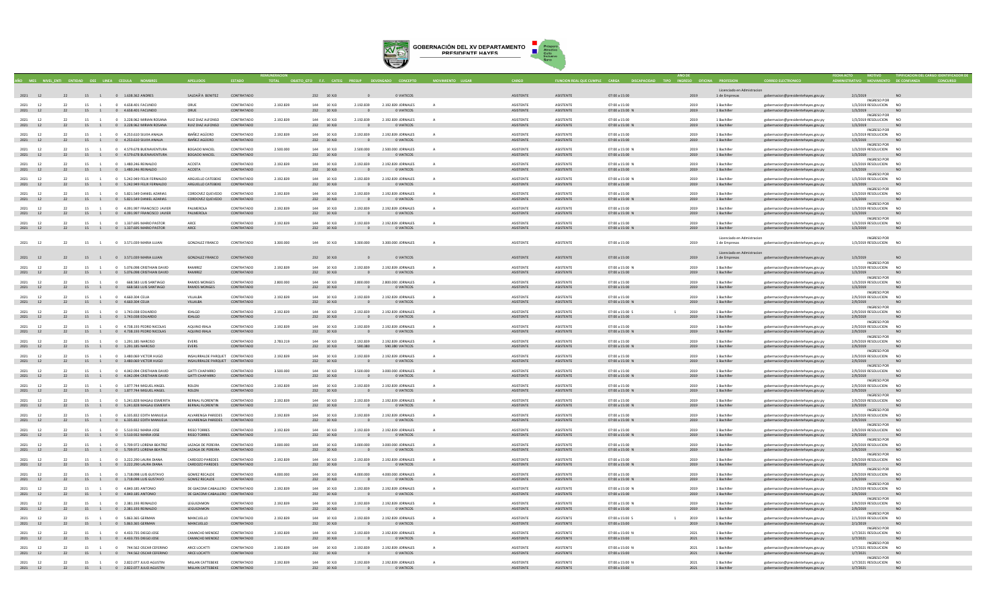

|                       |          |                      |                                                                |                                              |                          |           | <b>RIFTO GTO F.F. CATEG</b> |                          |                                  |              |                               |                                      |                                         |                        |                                             |                                                                          |                                              |                        |  |
|-----------------------|----------|----------------------|----------------------------------------------------------------|----------------------------------------------|--------------------------|-----------|-----------------------------|--------------------------|----------------------------------|--------------|-------------------------------|--------------------------------------|-----------------------------------------|------------------------|---------------------------------------------|--------------------------------------------------------------------------|----------------------------------------------|------------------------|--|
|                       |          |                      |                                                                |                                              |                          |           |                             |                          |                                  |              |                               |                                      |                                         |                        | Licenciado en Admistracion                  |                                                                          |                                              |                        |  |
|                       |          |                      | 2021 12 22 15 1 0 1.638.362 ANDRES                             | SALDAÃ'A BENITEZ CONTRATADO                  |                          |           | 232 10 XJ3                  | $\sim$ 0 $\sim$          | <b>O VIATICOS</b>                |              | ASISTENTE                     | ASISTENTE                            | 07:00 a 15:00                           | 2019                   | 1 de Empresas                               | gobernacion@presidentehayes.gov.py                                       | 2/1/2019<br>NO <sub>1</sub>                  |                        |  |
|                       |          |                      |                                                                |                                              |                          |           |                             |                          |                                  |              |                               |                                      |                                         |                        |                                             |                                                                          | INGRESO POR                                  |                        |  |
| 2021<br>12            | 22       | 15 1                 | 0 4.658.401 FACUNDO                                            | ORUE<br>ORUE                                 | CONTRATADO<br>CONTRATADO | 2.192.839 | 10 XJ3<br>144               | 2.192.839                | 2.192.839 JORNALES               | A            | ASISTENTE                     | <b>ASISTENTE</b><br>ASISTENTE        | 07:00 a 15:00                           | 2019                   | 1 Bachiller                                 | gobernacion@presidentehayes.gov.py                                       | 1/3/2019 RESOLUCION                          | NO                     |  |
| 2021 12               |          |                      | 22 15 1 0 4.658.401 FACUNDO                                    |                                              |                          |           | 232 10 XJ3                  | $\overline{0}$           | O VIATICOS                       |              | ASISTENTE                     |                                      | 07:00 a 15:00 N                         | 2019                   | 1 Bachiller                                 | gobernacion@presidentehayes.gov.py                                       | 1/3/2019<br><b>INGRESO POR</b>               |                        |  |
| 2021 12               | 22       |                      | 15 1 0 3.228.962 MIRIAN ROSANA                                 | RUIZ DIAZ ALFONSO                            | CONTRATADO               | 2.192.839 | 144 10 XJ3                  | 2.192.839                | 2.192.839 JORNALES               |              | <b>ASISTENTE</b>              | ASISTENTE                            | 07:00 a 15:00                           | 2019                   | 1 Bachiller                                 | robernacion@presidentehayes.gov.py                                       | 1/3/2019 RESOLUCION NO                       |                        |  |
| 2021 12               |          |                      | 22 15 1 0 3.228.962 MIRIAN ROSANA                              | RUIZ DIAZ ALFONSO                            | CONTRATADO               |           | 232 10 XJ3                  | $\mathbf{0}$             | O VIATICOS                       |              | <b>ASISTENTE</b>              | ASISTENTE                            | 07:00 a 15:00 N                         | 2019                   | 1 Bachiller                                 | gobernacion@presidentehayes.gov.py                                       | 1/3/2019                                     | <b>NO</b>              |  |
|                       |          |                      |                                                                |                                              |                          |           |                             |                          |                                  |              |                               |                                      |                                         |                        |                                             |                                                                          | <b>INGRESO POR</b>                           |                        |  |
| 2021<br>12<br>2021 12 |          | 15 1                 | 0 4.253.610 SILVIA ANALIA<br>22 15 1 0 4.253.610 SILVIA ANALIA | <b>IBAÑEZ AGÜERO</b><br><b>IBAÑEZ AGÜERO</b> | CONTRATADO<br>CONTRATADO | 2.192.839 | 144 10 XJ3<br>232 10 XJ3    | 2.192.839                | 2.192.839 JORNALES<br>0 VIATICOS |              | ASISTENTE<br><b>ASISTENTE</b> | ASISTENTE<br>ASISTENTE               | 07:00 a 15:00<br>07:00 a 15:00          | 2019<br>2019           | 1 Bachille<br>1 Bachiller                   | gobernacion@presidentehayes.gov.py<br>gobernacion@presidentehayes.gov.py | 1/3/2019 RESOLUCION<br>1/3/2019              | N <sub>C</sub>         |  |
|                       |          |                      |                                                                |                                              |                          |           |                             |                          |                                  |              |                               |                                      |                                         |                        |                                             |                                                                          | <b>INGRESO POR</b>                           |                        |  |
| $2021$ 12             | 22       |                      | 15 1 0 4 579 678 BUENAVENTURA                                  | BOGADO MACIFI                                | CONTRATADO               | 2,500,000 | 144 10 ¥13                  | 2.500.000                | 2.500.000 IORNALES               |              | <b>ASISTENTE</b>              | <b>ASISTENTE</b>                     | $07:00 \times 15:00 N$                  | 2019                   | 1 Rachiller                                 | robernacion@presidentehayes.gov.py                                       | 1/3/2019 RESOLUCION NO                       |                        |  |
| 2021 12               |          |                      | 22 15 1 0 4.579.678 BUENAVENTURA                               | <b>BOGADO MACIEL</b>                         | CONTRATADO               |           | 232 10 XJ3                  | $\sim$ 0                 | O VIATICOS                       |              | ASISTENTE                     | ASISTENTE                            | 07:00 a 15:00                           | 2019                   | 1 Bachiller                                 | gobernacion@presidentehayes.gov.py                                       | 1/3/2019                                     | NO <sub>1</sub>        |  |
| 2021 12               | 22       |                      | 15 1 0 1.480.246 REINALDO                                      | ACOSTA                                       | CONTRATADO               | 2.192.839 | 144 10 XI3                  | 2.192.839                | 2.192.839 IORNALES               |              | <b>ASISTENTE</b>              | <b>ASISTENTE</b>                     | $07:00 \times 15:00 N$                  | 2019                   | 1 Bachiller                                 | robernacion@presidentehayes.gov.py                                       | INGRESO POR<br>1/3/2019 RESOLUCION NO        |                        |  |
| 2021 12               |          |                      | 22 15 1 0 1.480.246 REINALDO                                   | ACOSTA                                       | CONTRATADO               |           | 232 10 XJ3                  | $\overline{\phantom{0}}$ | 0 VIATICOS                       |              | ASISTENTE                     | ASISTENTE                            | 07:00 a 15:00                           | 2019                   | 1 Bachiller                                 | gobernacion@presidentehayes.gov.py                                       | 1/3/2019                                     | NO.                    |  |
|                       |          |                      |                                                                |                                              |                          |           |                             |                          |                                  |              |                               |                                      |                                         |                        |                                             |                                                                          | <b>INGRESO POR</b>                           |                        |  |
| 2021<br>12            | 22       |                      | 15 1 0 5 242 949 FEUX FERNALDO                                 | ARGUELLO CATEREKE                            | CONTRATADO               | 2.192.839 | 144 10 XI3                  | 2.192.839                | 2.192.839 IORNALES               | $\Delta$     | <b>ASISTENTE</b>              | <b>ASISTENTE</b>                     | $07:00 \times 15:00 N$                  | 2019                   | 1 Bachiller                                 | robernacion@presidentehaves.gov.py                                       | 1/3/2019 RESOLUCION NO                       |                        |  |
| 2021 12               |          |                      | 22 15 1 0 5.242.949 FELIX FERNALDO                             | ARGUELLO CATEBEKE                            | CONTRATADO               |           | 232 10 XJ3                  | $\overline{0}$           | O VIATICOS                       |              | ASISTENTE                     | ASISTENTE                            | 07:00 a 15:00                           | 2019                   | 1 Bachiller                                 | gobernacion@presidentehayes.gov.py                                       | 1/3/2019<br><b>INGRESO POR</b>               | <b>NO</b>              |  |
| 2021 12               | 22       | 15 1                 | 0 5.821.549 DANIEL AZARIAS                                     | CORDOVEZ QUEVEDO CONTRATADO                  |                          | 2.192.839 | 144 10 XJ3                  | 2.192.839                | 2.192.839 JORNALES               | $\mathbf{A}$ | <b>ASISTENTE</b>              | ASISTENTE                            | 07:00 a 15:00                           | 2019                   | 1 Bachiller                                 | gobernacion@presidentehaves.gov.pv                                       | 1/3/2019 RESOLUCION NO                       |                        |  |
| 2021 12               |          |                      | 22 15 1 0 5.821.549 DANIEL AZARIAS                             | CORDOVEZ QUEVEDO CONTRATADO                  |                          |           | 232 10 XJ3                  | $\overline{0}$           | O VIATICOS                       |              | ASISTENTE                     | ASISTENTE                            | 07:00 a 15:00 N                         | 2019                   | 1 Bachiller                                 | gobernacion@presidentehayes.gov.py                                       | 1/3/2019                                     | NO                     |  |
|                       |          |                      |                                                                |                                              |                          |           |                             |                          |                                  |              |                               |                                      |                                         |                        |                                             |                                                                          | <b>INGRESO POR</b>                           |                        |  |
| 2021 12               | 22<br>22 |                      | 15 1 0 4.091.997 FRANCISCO JAVIER                              | PALMEROLA<br>PALMEROLA                       | CONTRATADO<br>CONTRATADO | 2.192.839 | 144 10 XJ3                  | 2.192.839                | 2.192.839 JORNALES<br>0 VIATICOS |              | <b>ASISTENTE</b>              | <b>ASISTENTE</b><br><b>ASISTENTE</b> | 07:00 a 15:00                           | 2019                   | 1 Bachille<br>1 Bachiller                   | gobernacion@presidentehayes.gov.py                                       | 1/3/2019 RESOLUCION                          | <b>NO</b>              |  |
| 2021 12               |          |                      | 15 1 0 4.091.997 FRANCISCO JAVIER                              |                                              |                          |           | 232 10 XJ3                  |                          |                                  |              | ASISTENTE                     |                                      | 07:00 a 15:00 N                         | 2019                   |                                             | gobernacion@presidentehayes.gov.py                                       | 1/3/2019<br><b>INGRESO POR</b>               |                        |  |
| 2021                  |          |                      | 15 1 0 1.337.695 MARIO PASTOR                                  | ARCE                                         | CONTRATADO               | 2.192.839 | 144 10 XJ3                  | 2.192.839                | 2.192.839 JORNALES               |              | <b>ASISTENTE</b>              | ASISTENTE                            | 07:00 a 15:00                           | 2019                   | 1 Bachille                                  | gobernacion@presidentehayes.gov.py                                       | 1/3/2019 RESOLUCION                          |                        |  |
| 2021 12               |          |                      | 22 15 1 0 1.337.695 MARIO PASTOR                               | ARCE                                         | CONTRATADO               |           | 232 10 XJ3                  | $\overline{0}$           | O VIATICOS                       |              | ASISTENTE                     | ASISTENTE                            | 07:00 a 15:00 N                         | 2019                   | 1 Bachiller                                 | gobernacion@presidentehayes.gov.py                                       | 1/3/2019                                     | <b>NO</b>              |  |
|                       |          |                      |                                                                |                                              |                          |           |                             |                          |                                  |              |                               |                                      |                                         |                        |                                             |                                                                          |                                              |                        |  |
| 2021 12               | 22       |                      | 15 1 0 3.571.039 MARIA LUJAN                                   | <b>GONZALEZ FRANCO</b>                       | CONTRATADO               | 3.300.000 | 144 10 XJ3                  | 3,300,000                | 3.300,000 JORNALES               |              | <b>ASISTENTE</b>              | ASISTENTE                            | 07:00 a 15:00                           | 2019                   | Licenciado en Admistracion<br>1 de Empresas | gobernacion@presidentehayes.gov.py                                       | <b>INGRESO POR</b><br>1/3/2019 RESOLUCION NO |                        |  |
|                       |          |                      |                                                                |                                              |                          |           |                             |                          |                                  |              |                               |                                      |                                         |                        |                                             |                                                                          |                                              |                        |  |
|                       |          |                      |                                                                |                                              |                          |           |                             |                          |                                  |              |                               |                                      |                                         |                        | Licenciado en Admistracion                  |                                                                          |                                              |                        |  |
| 2021 12               |          |                      | 22 15 1 0 3.571.039 MARIA LUJAN                                | <b>GONZALEZ FRANCO</b>                       | CONTRATADO               |           | 232 10 XJ3                  |                          | O VIATICOS                       |              | ASISTENTE                     | <b>ASISTENTE</b>                     | 07:00 a 15:00                           | 2019                   | 1 de Empresas                               | gobernacion@presidentehayes.gov.py                                       | 1/3/2019                                     | <b>NO</b>              |  |
| 2021 12               | 22       |                      | 15 1 0 5.076.098 CRISTHIAN DAVID                               | RAMIREZ                                      | CONTRATADO               | 2.192.839 | 144 10 XI3                  | 2.192.839                | 2.192.839 JORNALES               |              | <b>ASISTENTE</b>              | <b>ASISTENTE</b>                     | 07:00 a 15:00 N                         | 2019                   | 1 Bachiller                                 |                                                                          | INGRESO POR<br>1/3/2019 RESOLUCION NO        |                        |  |
| 2021 12               |          |                      | 22 15 1 0 5.076.098 CRISTHIAN DAVID                            | RAMIREZ                                      | CONTRATADO               |           | 232 10 XJ3                  | $\Omega$                 | O VIATICOS                       |              | ASISTENTE                     | <b>ASISTENTE</b>                     | 07:00 a 15:00                           | 2019                   | 1 Bachiller                                 | gobernacion@presidentehayes.gov.py<br>gobernacion@presidentehayes.gov.py | 1/3/2019                                     | NO.                    |  |
|                       |          |                      |                                                                |                                              |                          |           |                             |                          |                                  |              |                               |                                      |                                         |                        |                                             |                                                                          | INGRESO POR                                  |                        |  |
| 2021 12               | 22       |                      | 15 1 0 668 583 LUIS SANTIAGO                                   | <b>RAMOS MONGES</b>                          | CONTRATADO               | 2,800,000 | 144 10 XI3                  | 2.800,000                | 2.800.000. IORNALES              | $\Delta$     | <b>ASISTENTE</b>              | <b>ASISTENTE</b>                     | $07:00 \times 15:00$                    | 2019                   | 1 Rachiller                                 | enhernacion@nresidentehaves.gov.nv                                       | 1/3/2019 RESOLUCION NO                       |                        |  |
| 2021 12               |          |                      | 22 15 1 0 668.583 LUIS SANTIAGO                                | <b>RAMOS MONGES</b>                          | CONTRATADO               |           | 232 10 XJ3                  | $\overline{0}$           | 0 VIATICOS                       |              | <b>ASISTENTE</b>              | ASISTENTE                            | 07:00 a 15:00                           | 2019                   | 1 Bachiller                                 | gobernacion@presidentehayes.gov.py                                       | 1/3/2019                                     | NO.                    |  |
| 2021<br>12            | 22       | 15                   | 0 4 660 304 CELIA                                              | VIII ALBA                                    | CONTRATADO               | 2.192.839 | 144 10 XI3                  | 2.192.839                | 2.192.839 JORNALES               |              | <b>ASISTENTE</b>              | <b>ASISTENTE</b>                     | $07:00 \times 15:00$                    | 2019                   | 1 Rachiller                                 | gobernacion@presidentehaves.gov.pv                                       | <b>INGRESO POR</b><br>2/9/2019 RESOLUCION NO |                        |  |
| 2021 12               |          |                      | 22 15 1 0 4.660.304 CELIA                                      | VILLALBA                                     | CONTRATADO               |           | 232 10 XJ3                  | $\overline{0}$           | O VIATICOS                       |              | ASISTENTE                     | ASISTENTE                            | 07:00 a 15:00 N                         | 2019                   | 1 Bachiller                                 | gobernacion@presidentehayes.gov.py                                       | 2/9/2019                                     | NO                     |  |
|                       |          |                      |                                                                |                                              |                          |           |                             |                          |                                  |              |                               |                                      |                                         |                        |                                             |                                                                          | <b>INGRESO POR</b>                           |                        |  |
| 2021<br>12            | 22       | 15<br>$\overline{1}$ | 0 1.743.038 EDUARDO                                            | <b>IDALGO</b>                                | CONTRATADO               | 2.192.839 | 144 10 XJ3                  | 2.192.839                | 2.192.839 JORNALES               | A            | <b>ASISTENTE</b>              | ASISTENTE                            | 07:00 a 15:00 S                         | 2019<br>$\overline{1}$ | 1 Bachiller                                 | eobernacion@presidentehaves.gov.pv                                       | 2/9/2019 RESOLUCION NO                       |                        |  |
| 2021 12               |          |                      | 22 15 1 0 1.743.038 EDUARDO                                    | <b>IDALGO</b>                                | CONTRATADO               |           | 232 10 XJ3                  | $\overline{\phantom{0}}$ | O VIATICOS                       |              | ASISTENTE                     | ASISTENTE                            | 07:00 a 15:00                           | 2019                   | 1 Bachiller                                 | gobernacion@presidentehayes.gov.py                                       | 2/9/2019<br><b>INGRESO POR</b>               | <b>NO</b>              |  |
| 2021 12               | 22       |                      | 15 1 0 4.738.193 PEDRO NICOLAS                                 | AQUINO IRALA                                 | CONTRATADO               | 2.192.839 | 144 10 XJ3                  | 2.192.839                | 2.192.839 JORNALES               |              | <b>ASISTENTE</b>              | <b>ASISTENTE</b>                     | 07:00 a 15:00                           | 2019                   | 1 Bachille                                  | gobernacion@presidentehayes.gov.py                                       | 2/9/2019 RESOLUCION                          | N <sub>O</sub>         |  |
| 2021 12               |          |                      | 22 15 1 0 4.738.193 PEDRO NICOLAS                              | AQUINO IRALA                                 | CONTRATADO               |           | 232 10 XJ3                  | $\overline{\mathbf{0}}$  | O VIATICOS                       |              | <b>ASISTENTE</b>              | ASISTENTE                            | 07:00 a 15:00 N                         | 2019                   | 1 Bachiller                                 | gobernacion@presidentehayes.gov.py                                       | 2/9/2019                                     | NO                     |  |
|                       |          |                      |                                                                |                                              |                          |           |                             |                          |                                  |              |                               |                                      |                                         |                        |                                             |                                                                          | <b>INGRESO POR</b>                           |                        |  |
| 2021 12               | 22       | 15 1                 | 0 1.291.185 NARCISO                                            | <b>EVERS</b>                                 | CONTRATADO               | 2.783.219 | 144 10 XJ3                  | 2.192.839                | 2.192.839 JORNALES               |              | <b>ASISTENTE</b>              | <b>ASISTENTE</b>                     | 07:00 a 15:00                           | 2019                   | 1 Bachille                                  | gobernacion@presidentehayes.gov.py                                       | 2/9/2019 RESOLUCION                          |                        |  |
| 2021 12               |          |                      | 15 1 0 1.291.185 NARCISO                                       | EVERS                                        | CONTRATADO               |           | 232 10 XJ3                  | 590.380                  | 590.380 VIATICOS                 |              | ASISTENTE                     | ASISTENTE                            | 07:00 a 15:00 N                         | 2019                   | 1 Bachiller                                 | gobernacion@presidentehayes.gov.py                                       | 2/9/2019<br><b>INGRESO POR</b>               |                        |  |
| 2021 12               | 22       |                      | 15 1 0 3,480,069 VICTOR HUGO                                   | INSAURRALDE PAROUET CONTRATADO               |                          | 2.192.839 | 144 10 XI3                  | 2.192.839                | 2.192.839 JORNALES               |              | <b>ASISTENTE</b>              | <b>ASISTENTE</b>                     | $07:00 \times 15:00$                    | 2019                   | 1 Bachiller                                 | robernacion@presidentehayes.gov.py                                       | 2/9/2019 RESOLUCION                          | N <sub>0</sub>         |  |
| 2021 12               |          |                      | 22 15 1 0 3.480.069 VICTOR HUGO                                | INSAURRALDE PARQUET CONTRATADO               |                          |           | 232 10 XJ3                  | $\overline{\phantom{0}}$ | 0 VIATICOS                       |              | <b>ASISTENTE</b>              | <b>ASISTENTE</b>                     | 07:00 a 15:00 N                         | 2019                   | 1 Bachiller                                 | gobernacion@presidentehayes.gov.py                                       | 2/9/2019                                     | <b>NO</b>              |  |
| 2021 12               | 22       |                      | 15 1 0 4 042 094 CRISTHIAN DAVID                               | <b>GATTI CHAPARRO</b>                        | CONTRATADO               | 3.500.000 | 144 10 XI3                  | 3.500.000                | 3,000,000 IORNALES               |              | <b>ASISTENTE</b>              | <b>ASISTENTE</b>                     | $07:00 \times 15:00$                    | 2019                   | 1 Bachiller                                 |                                                                          | INGRESO POR                                  |                        |  |
| 2021 12               |          |                      | 22 15 1 0 4.042.094 CRISTHIAN DAVID                            | <b>GATTI CHAPARRO</b>                        | CONTRATADO               |           | 232 10 XJ3                  | $\overline{0}$           | O VIATICOS                       |              | ASISTENTE                     | ASISTENTE                            | 07:00 a 15:00 N                         | 2019                   | 1 Bachiller                                 | gobernacion@presidentehayes.gov.py<br>gobernacion@presidentehayes.gov.py | 2/9/2019 RESOLUCION NO<br>2/9/2019           | NO.                    |  |
|                       |          |                      |                                                                |                                              |                          |           |                             |                          |                                  |              |                               |                                      |                                         |                        |                                             |                                                                          | <b>INGRESO POR</b>                           |                        |  |
| 2021 12               | 22       |                      | 15 1 0 1.877.744 MIGUELANGEL                                   | ROLON                                        | CONTRATADO               | 2.192.839 | 144 10 XI3                  | 2.192.839                | 2.192.839 IORNALES               | $\mathbf{A}$ | <b>ASISTENTE</b>              | <b>ASISTENTE</b>                     | $07:00 \times 15:00$                    | 2019                   | 1 Bachiller                                 | robernacion@presidentehayes.gov.py                                       | 2/9/2019 RESOLUCION NO                       |                        |  |
| 2021 12               |          |                      | 22 15 1 0 1.877.744 MIGUEL ANGEL                               | <b>ROLON</b>                                 | CONTRATADO               |           | 232 10 XJ3                  | $\Omega$                 | O VIATICOS                       |              | ASISTENTE                     | ASISTENTE                            | 07:00 a 15:00 N                         | 2019                   | 1 Bachiller                                 | gobernacion@presidentehayes.gov.py                                       | 2/9/2019                                     | NO                     |  |
| 2021 12               | 22       | 15 1                 | 0 5.241.828 MAGALI ESMERITA                                    | BERNAL FLORENTIN                             | CONTRATADO               | 2.192.839 | 144 10 XJ3                  | 2.192.839                | 2.192.839 JORNALES               | A            | ASISTENTE                     | ASISTENTE                            | 07:00 a 15:00                           | 2019                   | 1 Bachiller                                 | gobernacion@presidentehayes.gov.py                                       | <b>INGRESO POR</b><br>2/9/2019 RESOLUCION NO |                        |  |
| 2021 12               |          |                      | 22 15 1 0 5.241.828 MAGALI ESMERITA                            | BERNAL FLORENTIN                             | CONTRATADO               |           | 232 10 XJ3                  | $\overline{0}$           | O VIATICOS                       |              | ASISTENTE                     | ASISTENTE                            | 07:00 a 15:00 N                         | 2019                   | 1 Bachiller                                 | gobernacion@presidentehayes.gov.py                                       | 2/9/2019                                     | <b>NO</b>              |  |
|                       |          |                      |                                                                |                                              |                          |           |                             |                          |                                  |              |                               |                                      |                                         |                        |                                             |                                                                          | <b>INGRESO POR</b>                           |                        |  |
| 2021<br>12            | 22       | 15 1                 | 0 6.335.832 EDITH MANUELA                                      | ALVARENGA PAREDES                            | CONTRATADO               | 2.192.839 | 144 10 XJ3                  | 2.192.839                | 2.192.839 JORNALES               | A            | ASISTENTE                     | ASISTENTE                            | 07:00 a 15:00                           | 2019                   | 1 Bachiller                                 | gobernacion@presidentehayes.gov.py                                       | 2/9/2019 RESOLUCION                          | N <sub>C</sub>         |  |
| 2021 12               |          |                      | 22 15 1 0 6.335.832 EDITH MANUELA                              | ALVARENGA PAREDES CONTRATADO                 |                          |           | 232 10 XJ3                  | $\overline{0}$           | O VIATICOS                       |              | ASISTENTE                     | ASISTENTE                            | 07:00 a 15:00 N                         | 2019                   | 1 Bachiller                                 | gobernacion@presidentehayes.gov.py                                       | 2/9/2019<br><b>INGRESO POR</b>               |                        |  |
| 2021<br>12            |          | 15                   | 0 5.510.932 MARIA JOSE                                         | <b>RISSO TORRES</b>                          | CONTRATADO               | 2.192.839 | 10 XJ3                      | 2.192.839                | 2.192.839 JORNALES               |              | <b>ASISTENTE</b>              | <b>ASISTENTE</b>                     | 07:00 a 15:00                           | 2019                   | 1 Bachiller                                 | gobernacion@presidentehayes.gov.py                                       | 2/9/2019 RESOLUCION                          |                        |  |
| 2021 12               |          |                      | 22 15 1 0 5.510.932 MARIA JOSE                                 | <b>RISSO TORRES</b>                          | CONTRATADO               |           | 232 10 XJ3                  | $\overline{0}$           | 0 VIATICOS                       |              | ASISTENTE                     | ASISTENTE                            | 07:00 a 15:00 N                         | 2019                   | 1 Bachiller                                 | gobernacion@presidentehayes.gov.py                                       | 2/9/2019                                     | NO                     |  |
|                       |          |                      |                                                                |                                              |                          |           |                             |                          |                                  |              |                               |                                      |                                         |                        |                                             |                                                                          | <b>INGRESO POR</b>                           |                        |  |
| 2021                  |          |                      | 15 1 0 5.709.972 LORENA BEATRIZ                                | <b>LAZAGA DE PEREIRA</b>                     | CONTRATADO               | 3.000.000 | 144 10 XJ3                  | 3.000.000                | 3.000.000 JORNALES               |              | <b>ASISTENTE</b>              | ASISTENTE                            | 07:00 a 15:00                           | 2019                   | 1 Bachille                                  | gobernacion@presidentehayes.gov.py                                       | 2/9/2019 RESOLUCION                          | NO <sub>1</sub>        |  |
| 2021 12               |          |                      | 22 15 1 0 5.709.972 LORENA BEATRIZ                             | LAZAGA DE PEREIRA                            | CONTRATADO               |           | 232 10 XJ3                  | $\mathbf 0$              | O VIATICOS                       |              | ASISTENTE                     | ASISTENTE                            | 07:00 a 15:00 N                         | 2019                   | 1 Bachiller                                 | gobernacion@presidentehayes.gov.py                                       | 2/9/2019<br><b>INGRESO POR</b>               |                        |  |
| 2021 12               | 22       |                      | 15 1 0 3.222.290 LAURA DIANA                                   | CARDOZO PAREDES                              | CONTRATADO               | 2.192.839 | 144 10 XI3                  | 2.192.839                | 2.192.839 JORNALES               | $\Delta$     | <b>ASISTENTE</b>              | <b>ASISTENTE</b>                     | $07:00 \times 15:00$                    | 2019                   | 1 Bachiller                                 | obernacion@presidentehayes.gov.py                                        | 2/9/2019 RESOLUCION NO                       |                        |  |
| 2021 12               |          |                      | 22 15 1 0 3.222.290 LAURA DIANA                                | CARDOZO PAREDES                              | CONTRATADO               |           | 232 10 XJ3                  | $\overline{0}$           | O VIATICOS                       |              | <b>ASISTENTE</b>              | ASISTENTE                            | 07:00 a 15:00 N                         | 2019                   | 1 Bachiller                                 | gobernacion@presidentehayes.gov.py                                       | 2/9/2019                                     | NO                     |  |
|                       |          |                      |                                                                |                                              |                          |           |                             |                          |                                  |              |                               |                                      |                                         |                        |                                             |                                                                          | <b>INGRESO POR</b>                           |                        |  |
| 2021 12               | 22       |                      | 15 1 0 1.718.098 LUIS GUSTAVO                                  | GOMEZ RECALDE                                | CONTRATADO<br>CONTRATADO | 4.000.000 | 144 10 XI3                  | 4.000.000                | 4.000.000 JORNALES               |              | <b>ASISTENTE</b>              | <b>ASISTENTE</b>                     | 07:00 a 15:00                           | 2019                   | 1 Bachiller                                 | gobernacion@presidentehayes.gov.py                                       | 2/9/2019 RESOLUCION NO                       | N <sub>0</sub>         |  |
| 2021 12               |          |                      | 22 15 1 0 1.718.098 LUIS GUSTAVO                               | <b>GOMEZ RECALDE</b>                         |                          |           | 232 10 XJ3                  | $\overline{\mathbf{0}}$  | O VIATICOS                       |              | ASISTENTE                     | ASISTENTE                            | 07:00 a 15:00 N                         | 2019                   | 1 Bachiller                                 | gobernacion@presidentehayes.gov.py                                       | 2/9/2019<br>INGRESO POR                      |                        |  |
| 2021 12               | 22       |                      | 15 1 0 4 840 185 ANTONIO                                       | DE GIACOMI CARALLERO CONTRATADO              |                          | 2.192.839 | 144 10 XI3                  | 2.192.839                | 2.192.839 IORNALES               | $\Delta$     | <b>ASISTENTE</b>              | <b>ASISTENTE</b>                     | $07:00 \times 15:00 N$                  | 2019                   | 1 Rachiller                                 | robernacion@presidentehayes.gov.py                                       | 2/9/2019 RESOLUCION NO                       |                        |  |
| 2021 12               |          |                      | 22 15 1 0 4.840.185 ANTONIO                                    | DE GIACOMI CABALLERO CONTRATADO              |                          |           | 232 10 XJ3                  | $\overline{\phantom{0}}$ | 0 VIATICOS                       |              | <b>ASISTENTE</b>              | ASISTENTE                            | 07:00 a 15:00                           | 2019                   | 1 Bachiller                                 | gobernacion@presidentehayes.gov.py                                       | 2/9/2019                                     | NO.                    |  |
|                       |          |                      |                                                                |                                              |                          |           |                             |                          |                                  |              |                               |                                      |                                         |                        |                                             |                                                                          | <b>INGRESO POR</b>                           |                        |  |
| 2021<br>12<br>2021 12 |          | 15                   | 0 2.381.193 REINALDO<br>22 15 1 0 2.381.193 REINALDO           | <b>IFGUIZAMON</b><br>LEGUIZAMON              | CONTRATADO<br>CONTRATADO | 2.192.839 | 144 10 XI3<br>232 10 XJ3    | 2.192.839<br>$\sim$      | 2.192.839 IORNALES<br>O VIATICOS |              | <b>ASISTENTE</b><br>ASISTENTE | <b>ASISTENTE</b><br>ASISTENTE        | $07:00 \times 15:00 N$<br>07:00 a 15:00 | 2019<br>2019           | 1 Bachiller<br>1 Bachiller                  | obernacion@presidentehayes.gov.p                                         | 2/9/2019 RESOLUCION<br>2/9/2019              | NO <sub>1</sub><br>NO. |  |
|                       |          |                      |                                                                |                                              |                          |           |                             |                          |                                  |              |                               |                                      |                                         |                        |                                             | gobernacion@presidentehayes.gov.py                                       | <b>INGRESO POR</b>                           |                        |  |
| 2021<br>12            | 22       | 15 1                 | 0 5.863.365 GERMAN                                             | MANCUELLO                                    | CONTRATADO               | 2.192.839 | 144 10 XJ3                  | 2.192.839                | 2.192.839 JORNALES               | A            | ASISTENTE                     | ASISTENTE                            | 07:00 a 15:00 S                         | 2019<br>$\overline{1}$ | 1 Bachiller                                 | robernacion@presidentehaves.gov.py                                       | 2/1/2019 RESOLUCION NO                       |                        |  |
| 2021 12               |          |                      | 22 15 1 0 5.863.365 GERMAN                                     | MANCUELLO                                    | CONTRATADO               |           | 232 10 XJ3                  | $\overline{\phantom{0}}$ | O VIATICOS                       |              | ASISTENTE                     | ASISTENTE                            | 07:00 a 15:00                           | 2019                   | 1 Bachiller                                 | gobernacion@presidentehayes.gov.py                                       | 2/1/2019                                     | NO                     |  |
| 12<br>2021            |          | 15 1                 | 0 4.433.735 DIEGO JOSE                                         | CAMACHO MENDEZ                               | CONTRATADO               | 2.192.839 | 144 10 XJ3                  | 2.192.839                | 2.192.839 JORNALES               |              | <b>ASISTENTE</b>              | <b>ASISTENTE</b>                     | 07:00 a 15:00 N                         | 2021                   | 1 Bachiller                                 | gobernacion@presidentehayes.gov.py                                       | <b>INGRESO POR</b><br>1/7/2021 RESOLUCION    |                        |  |
| 2021 12               |          |                      | 22 15 1 0 4.433.735 DIEGO JOSE                                 | CAMACHO MENDEZ                               | CONTRATADO               |           | 232 10 XJ3                  | $\overline{0}$           | 0 VIATICOS                       |              | ASISTENTE                     | ASISTENTE                            | 07:00 a 15:00                           | 2021                   | 1 Bachiller                                 | gobernacion@presidentehayes.gov.py                                       | 1/7/2021                                     | <b>NO</b>              |  |
|                       |          |                      |                                                                |                                              |                          |           |                             |                          |                                  |              |                               |                                      |                                         |                        |                                             |                                                                          | <b>INGRESO POR</b>                           |                        |  |
| 2021 12               | 22       | 15 1                 | 0 744,562 OSCAR CEFERINO                                       | ARCE LOCATTI                                 | CONTRATADO               | 2.192.839 | 144 10 XJ3                  | 2.192.839                | 2.192.839 JORNALES               |              | <b>ASISTENTE</b>              | ASISTENTE                            | 07:00 a 15:00 N                         | 2021                   | 1 Bachiller                                 | gobernacion@presidentehayes.gov.py                                       | 1/7/2021 RESOLUCION NO                       |                        |  |
| 2021 12               | 22       |                      | 15 1 0 744.562 OSCAR CEFERINO                                  | ARCE LOCATTI                                 | CONTRATADO               |           | 232 10 XJ3                  | $\overline{0}$           | O VIATICOS                       |              | ASISTENTE                     | <b>ASISTENTE</b>                     | 07:00 a 15:00                           | 2021                   | 1 Bachiller                                 | gobernacion@presidentehayes.gov.py                                       | 1/7/2021<br><b>INGRESO POR</b>               |                        |  |
| 2021 12               | 22       |                      | 15 1 0 2.822.077 JULIO AGUSTIN                                 | MILLAN CATTEBEKE                             | CONTRATADO               | 2.192.839 | 144 10 XJ3                  | 2.192.839                | 2.192.839 JORNALES               |              | <b>ASISTENTE</b>              | <b>ASISTENTE</b>                     | 07:00 a 15:00 N                         | 2021                   | 1 Bachiller                                 | gobernacion@presidentehayes.gov.py                                       | 1/7/2021 RESOLUCION                          | N <sub>O</sub>         |  |
| 2021 12               | 22       |                      | 15 1 0 2.822.077 JULIO AGUSTIN                                 | MILLAN CATTEBEKE                             | CONTRATADO               |           | 232 10 XJ3                  |                          | 0 VIATICOS                       |              | <b>ASISTENTE</b>              | ASISTENTE                            | 07:00 a 15:00                           | 2021                   | 1 Bachiller                                 | gobernacion@presidentehayes.gov.py                                       | 1/7/2021                                     | <b>NO</b>              |  |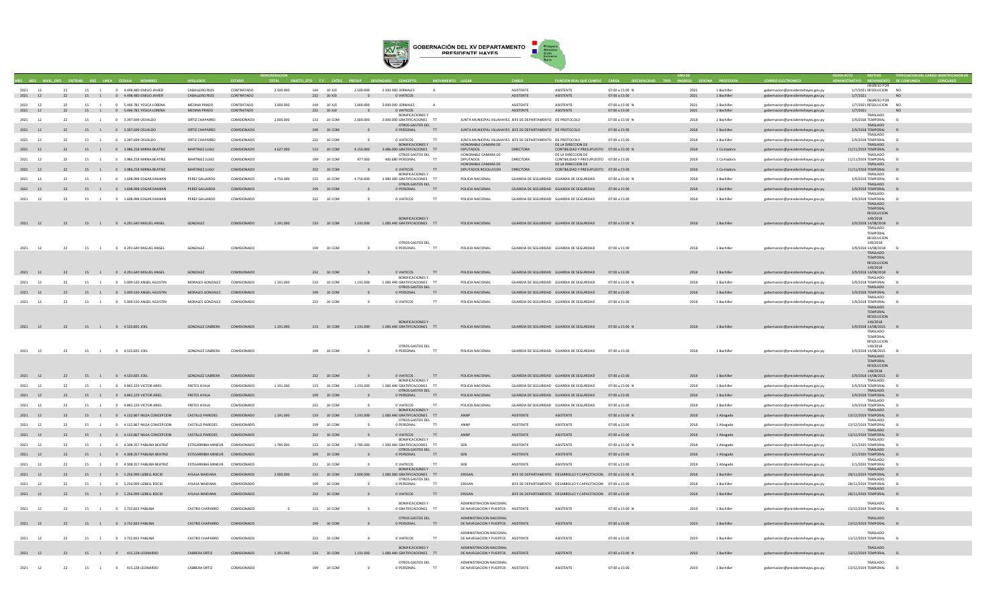

|                       |    |                      |                                          |                                 |             |           |               |                |                                                         |                |                                   |                                                              |                                                                |                        |      |             |                                    | INGRESO POI                     |                 |  |
|-----------------------|----|----------------------|------------------------------------------|---------------------------------|-------------|-----------|---------------|----------------|---------------------------------------------------------|----------------|-----------------------------------|--------------------------------------------------------------|----------------------------------------------------------------|------------------------|------|-------------|------------------------------------|---------------------------------|-----------------|--|
| 2021<br>12            |    |                      | 15 1 0 4.498.480 EMILIO JAVIER           | CABALLERO RIOS                  | CONTRATADO  | 2.500.000 | 144 10 XJ3    | 2,500,000      | 2.500.000 JORNALES                                      |                |                                   | <b>ASISTENTE</b>                                             | <b>ASISTENTE</b>                                               | 07:00 a 15:00 N        | 2021 | 1 Bachiller | gobernacion@presidentehayes.gov.py | 1/7/2021 RESOLUCION NO          |                 |  |
| 2021 12               |    |                      | 22 15 1 0 4.498.480 EMILIO JAVIER        | CABALLERO RIOS                  | CONTRATADO  |           | 232 10 XJ3    | $\sim$ 0       | O VIATICOS                                              |                |                                   | ASISTENTE                                                    | ASISTENTE                                                      | 07:00 a 15:00          | 2021 | 1 Bachiller | gobernacion@presidentehayes.gov.py | 1/7/2021<br><b>INGRESO POR</b>  | <b>NO</b>       |  |
| 2021<br>12            | 22 | 15                   | 0 5.496.781 YESICA LORENA                | MEDINA PRADO                    | CONTRATADO  | 3.000.000 | 144<br>10 XJ3 | 3.000.000      | 3.000.000 JORNALES                                      | A              |                                   | ASISTENTE                                                    | ASISTENTE                                                      | 07:00 a 15:00 N        | 2021 | 1 Bachille  | gobernacion@presidentehayes.gov.py | 1/7/2021 RESOLUCION             | N <sub>O</sub>  |  |
| 2021 12               |    |                      | 22 15 1 0 5.496.781 YESICA LORENA        | MEDINA PRADO                    | CONTRATADO  |           | 232 10 XJ3    |                | 0 VIATICOS                                              |                |                                   | ASISTENTE                                                    | ASISTENTE                                                      | 07:00 a 15:00          | 2021 | 1 Bachiller | gobernacion@presidentehayes.gov.py | 1/7/2021                        |                 |  |
|                       |    |                      |                                          |                                 |             |           |               |                | <b>BONIFICACIONES Y</b>                                 |                |                                   |                                                              |                                                                |                        |      |             |                                    | TRASLADO                        |                 |  |
| 2021<br><sup>12</sup> | 22 |                      | 15 1 0 3.397.699 OSVALDO                 | ORTIZ CHAPARRO                  | COMISIONADO | 2.000.000 | 133 10 COM    | 2.000.000      | 2.000.000 GRATIFICACIONES TT                            |                |                                   | JUNTA MUNICIPAL VILLAHAYES JEFE DE DEPARTAMENTO DE PROTOCOLO |                                                                | 07:00 a 15:00 N        | 2018 | 1 Bachiller | gobernacion@presidentehayes.gov.py | 3/9/2018 TEMPORAL               | <b>SI</b>       |  |
|                       |    |                      |                                          |                                 |             |           |               |                | OTROS GASTOS DEL                                        |                |                                   |                                                              |                                                                |                        |      |             |                                    | TRASLADO                        |                 |  |
| 2021 12               | 22 |                      | 15 1 0 3.397.699 OSVALDO                 | ORTIZ CHAPARRO                  | COMISIONADO |           | 199 10 COM    |                | 0 PERSONAL TT                                           |                |                                   | JUNTA MUNICIPAL VILLAHAYES JEFE DE DEPARTAMENTO DE PROTOCOLO |                                                                | 07:00 a 15:00          | 2018 | 1 Bachiller | gobernacion@presidentehayes.gov.py | 3/9/2018 TEMPORAL               |                 |  |
|                       |    |                      |                                          |                                 |             |           |               | $\Omega$       |                                                         | $\mathbf{H}$   |                                   |                                                              |                                                                |                        |      |             |                                    | TRASLADO                        | SI              |  |
| 2021<br>12            | 22 |                      | 15 1 0 3.397.699 OSVALDO                 | ORTIZ CHAPARRO                  | COMISIONADO |           | 232 10 COM    |                | 0 VIATICOS<br>BONIFICACIONES Y                          |                | HONORABLE CAMARA DE               | JUNTA MUNICIPAL VILLAHAYES JEFE DE DEPARTAMENTO DE PROTOCOLO | DE LA DIRECCION DE                                             | 07:00 a 15:00          | 2018 | 1 Bachiller | gobernacion@presidentehayes.gov.py | 3/9/2018 TEMPORAL<br>TRASLADO   |                 |  |
| 2021 12               | 22 |                      | 15 1 0 3.986.258 MIRNA BEATRIZ           | MARTINEZ LUGO                   | COMISIONADO | 4.627.000 | 133 10 COM    | 4.150.000      | 3.486.000 GRATIFICACIONES TT                            |                | <b>DIPUTADOS</b>                  | <b>DIRECTORA</b>                                             | CONTBILIDAD Y PRESUPUESTO 07:00 a 15:00 N                      |                        | 2018 | 1 Contadora | gobernacion@presidentehayes.gov.py | 11/11/2019 TEMPORAL             |                 |  |
|                       |    |                      |                                          |                                 |             |           |               |                | OTROS GASTOS DEL                                        |                | HONORABLE CAMARA DE               |                                                              | DE LA DIRECCION DE                                             |                        |      |             |                                    | TRASLADO                        |                 |  |
| 2021 12               | 22 |                      | 15 1 0 3 986 258 MIRNA REATRIZ           | MARTINEZ LUGO                   | COMISIONADO |           | 199 10 COM    | 477,000        | 400 680 PERSONAL                                        | T              | <b>DIPUTADOS</b>                  | DIRECTORA                                                    | CONTRILIDAD Y PRESUPLIESTO 07:00 a 15:00                       |                        | 2018 | 1 Contadora | gobernacion@presidentehayes.gov.py | 11/11/2019 TEMPORAL             | SI <sup>3</sup> |  |
|                       |    |                      |                                          |                                 |             |           |               |                |                                                         |                | HONORARI E CAMARA DE              |                                                              | DE LA DIRECCION DE                                             |                        |      |             |                                    | TRASLADO                        |                 |  |
| 2021 12               | 22 |                      | 15 1 0 3.986.258 MIRNA BEATRIZ           | MARTINEZ LUGO                   | COMISIONADO |           | 232 10 COM    |                | O VIATICOS                                              | $\mathbf{H}$   | DIPUTADOS RESOLUCION              | <b>DIRECTORA</b>                                             | CONTBILIDAD Y PRESUPUESTO 07:00 a 15:00                        |                        | 2018 | 1 Contadora | gobernacion@presidentehayes.gov.py | 11/11/2019 TEMPORAL             | S1              |  |
|                       |    |                      |                                          |                                 |             |           |               |                | <b>BONIFICACIONES Y</b>                                 |                |                                   |                                                              |                                                                |                        |      |             |                                    | TRASLADO                        |                 |  |
| 2021 12               | 22 |                      | 15 1 0 1.698 998 FDGAR DAMIAN            | PEREZ GALLARDO                  | COMISIONADO | 4.750.000 | 133 10 COM    | 4.750.000      | 3.990.000 GRATIFICACIONES TT<br>OTROS GASTOS DEL        |                | POLICIA NACIONAL                  | GUARDIA DE SEGURIDAD - GUARDIA DE SEGURIDAD                  |                                                                | 07:00 a 15:00 N        | 2018 | 1 Rachiller | gobernacion@presidentehayes.gov.py | 3/9/2018 TEMPORAL<br>TRASLADO   | SI              |  |
| 2021 12               | 22 |                      | 15 1 0 1.698.998 EDGAR DAMIAN            | PEREZ GALLARDO                  | COMISIONADO |           | 199 10 COM    |                | 0 PERSONAL                                              | $\mathsf{T}$   | POLICIA NACIONAL                  | GUARDIA DE SEGURIDAD GUARDIA DE SEGURIDAD                    |                                                                | 07:00 a 15:00          | 2018 | 1 Bachiller | gobernacion@presidentehayes.gov.py | 3/9/2018 TEMPORAL               | S1              |  |
|                       |    |                      |                                          |                                 |             |           |               |                |                                                         |                |                                   |                                                              |                                                                |                        |      |             |                                    | TRASLADO                        |                 |  |
| 2021<br>12            | 22 | 15<br>$\overline{1}$ | 0 1.698.998 EDGAR DAMIAN                 | PEREZ GALLARDO                  | COMISIONADO |           | 232 10 COM    | $\Omega$       | 0 VIATICOS                                              | $^{\text{TT}}$ | POLICIA NACIONAL                  | GUARDIA DE SEGURIDAD GUARDIA DE SEGURIDAD                    |                                                                | 07:00 a 15:00          | 2018 | 1 Bachiller | gobernacion@presidentehaves.gov.pv | 3/9/2018 TEMPORAL               | S1              |  |
|                       |    |                      |                                          |                                 |             |           |               |                |                                                         |                |                                   |                                                              |                                                                |                        |      |             |                                    | TRASLADO                        |                 |  |
|                       |    |                      |                                          |                                 |             |           |               |                |                                                         |                |                                   |                                                              |                                                                |                        |      |             |                                    | TEMPORAL                        |                 |  |
|                       |    |                      |                                          |                                 |             |           |               |                |                                                         |                |                                   |                                                              |                                                                |                        |      |             |                                    | RESOLUCION                      |                 |  |
|                       |    |                      |                                          |                                 |             |           |               |                | <b>BONIFICACIONES Y</b>                                 |                |                                   |                                                              |                                                                |                        |      |             |                                    | 149/2018                        |                 |  |
|                       |    |                      | 2021 12 22 15 1 0 4.291.640 MIGUEL ANGEL | GONZALEZ                        | COMISIONADO | 1.191.000 |               |                | 133 10 COM   1.191.000   1.000.440 GRATIFICACIONES   TT |                | POLICIA NACIONAL                  |                                                              | GUARDIA DE SEGURIDAD GUARDIA DE SEGURIDAD 07:00 a 15:00 N      |                        | 2018 | 1 Bachiller | gobernacion@presidentehayes.gov.py | 3/9/2018 14/08/2018<br>TRASLADO |                 |  |
|                       |    |                      |                                          |                                 |             |           |               |                |                                                         |                |                                   |                                                              |                                                                |                        |      |             |                                    | TEMPORAL                        |                 |  |
|                       |    |                      |                                          |                                 |             |           |               |                |                                                         |                |                                   |                                                              |                                                                |                        |      |             |                                    | RESOLUCION                      |                 |  |
|                       |    |                      |                                          |                                 |             |           |               |                | OTROS GASTOS DEL                                        |                |                                   |                                                              |                                                                |                        |      |             |                                    | 149/2018                        |                 |  |
| 2021<br>12            | 22 | 15<br>$\sim$ 1       | 0 4.291.640 MIGUEL ANGEL                 | GONZALEZ                        | COMISIONADO |           | 199 10 COM    | $\Omega$       | 0 PERSONAL                                              | T              | POLICIA NACIONAL                  | GUARDIA DE SEGURIDAD GUARDIA DE SEGURIDAD                    |                                                                | $07:00 \times 15:00$   | 2018 | 1 Bachiller | gobernacion@presidentehayes.gov.py | 3/9/2018 14/08/2018             |                 |  |
|                       |    |                      |                                          |                                 |             |           |               |                |                                                         |                |                                   |                                                              |                                                                |                        |      |             |                                    | TRASLADO                        |                 |  |
|                       |    |                      |                                          |                                 |             |           |               |                |                                                         |                |                                   |                                                              |                                                                |                        |      |             |                                    | TEMPORAL                        |                 |  |
|                       |    |                      |                                          |                                 |             |           |               |                |                                                         |                |                                   |                                                              |                                                                |                        |      |             |                                    | RESOLUCION                      |                 |  |
| 2021 12               | 22 |                      | 15 1 0 4.291.640 MIGUEL ANGEL            | GONZALEZ                        | COMISIONADO |           | 232 10 COM    |                | O VIATICOS                                              |                | POLICIA NACIONAL                  | GUARDIA DE SEGURIDAD GUARDIA DE SEGURIDAD                    |                                                                | 07:00 a 15:00          | 2018 | 1 Bachiller |                                    | 149/2018                        |                 |  |
|                       |    |                      |                                          |                                 |             |           |               |                | <b>BONIFICACIONES Y</b>                                 | T              |                                   |                                                              |                                                                |                        |      |             | gobernacion@presidentehayes.gov.py | 3/9/2018 14/08/2018<br>TRASLADO |                 |  |
| 2021 12               | 22 |                      | 15 1 0 5009 530 ANGEL AGUSTIN            | MORALES GONZALEZ                | COMISIONADO | 1.191.000 | 133 10 COM    | 1.191.000      | 1.000.440 GRATIFICACIONES TT                            |                | POLICIA NACIONAL                  | GUARDIA DE SEGURIDAD GUARDIA DE SEGURIDAD                    |                                                                | 07:00 a 15:00 N        | 2018 | 1 Bachiller | gobernacion@presidentehayes.gov.py | 3/9/2018 TEMPORAL               | S1              |  |
|                       |    |                      |                                          |                                 |             |           |               |                | OTROS GASTOS DEL                                        |                |                                   |                                                              |                                                                |                        |      |             |                                    | TRASLADO                        |                 |  |
| 2021 12               | 22 |                      | 15 1 0 5.009.530 ANGEL AGUSTIN           | MORALES GONZALEZ                | COMISIONADO |           | 199 10 COM    |                | 0 PERSONAL                                              | $\mathbf{H}$   | POLICIA NACIONAL                  | GUARDIA DE SEGURIDAD GUARDIA DE SEGURIDAD                    |                                                                | 07:00 a 15:00          | 2018 | 1 Bachiller | gobernacion@presidentehayes.gov.py | 3/9/2018 TEMPORAL               | SI              |  |
|                       |    |                      |                                          |                                 |             |           |               |                |                                                         |                |                                   |                                                              |                                                                |                        |      |             |                                    | TRASLADO                        |                 |  |
| 2021 12               | 22 |                      | 15 1 0 5.009.530 ANGEL AGUSTIN           | MORALES GONZALEZ                | COMISIONADO |           | 232 10 COM    | $\Omega$       | 0 VIATICOS                                              | $^{\text{TT}}$ | POLICIA NACIONAL                  | GUARDIA DE SEGURIDAD GUARDIA DE SEGURIDAD                    |                                                                | 07:00 a 15:00          | 2018 | 1 Bachiller | gobernacion@presidentehaves.gov.pv | 3/9/2018 TEMPORAL               | - 51            |  |
|                       |    |                      |                                          |                                 |             |           |               |                |                                                         |                |                                   |                                                              |                                                                |                        |      |             |                                    | TRASLADO                        |                 |  |
|                       |    |                      |                                          |                                 |             |           |               |                |                                                         |                |                                   |                                                              |                                                                |                        |      |             |                                    | TEMPORAL<br>RESOLUCION          |                 |  |
|                       |    |                      |                                          |                                 |             |           |               |                | <b>BONIFICACIONES Y</b>                                 |                |                                   |                                                              |                                                                |                        |      |             |                                    | 149/2018                        |                 |  |
| 2021 12               |    |                      | 22 15 1 0 4.533.835 JOEL                 | GONZALEZ CABRERA COMISIONADO    |             | 1.191.000 | 133 10 COM    |                | 1.191.000  1.000.440 GRATIFICACIONES TT                 |                | POLICIA NACIONAL                  |                                                              | GUARDIA DE SEGURIDAD GUARDIA DE SEGURIDAD 07:00 a 15:00 N      |                        | 2018 | 1 Bachiller | gobernacion@presidentehayes.gov.py | 3/9/2018 14/08/2021             |                 |  |
|                       |    |                      |                                          |                                 |             |           |               |                |                                                         |                |                                   |                                                              |                                                                |                        |      |             |                                    | TRASLADO                        |                 |  |
|                       |    |                      |                                          |                                 |             |           |               |                |                                                         |                |                                   |                                                              |                                                                |                        |      |             |                                    | TEMPORAL                        |                 |  |
|                       |    |                      |                                          |                                 |             |           |               |                |                                                         |                |                                   |                                                              |                                                                |                        |      |             |                                    | RESOLUCION                      |                 |  |
|                       |    |                      |                                          |                                 |             |           |               |                | OTROS GASTOS DEL                                        |                |                                   |                                                              |                                                                |                        |      |             |                                    | 149/2018                        |                 |  |
| 2021<br>12            | 22 | 15<br>$\overline{1}$ | 0 4.533.835 JOEL                         | <b>GONZALEZ CABRERA</b>         | COMISIONADO |           | 199 10 COM    |                | 0 PERSONAL                                              |                | POLICIA NACIONAL                  | GUARDIA DE SEGURIDAD GUARDIA DE SEGURIDAD                    |                                                                | 07:00 a 15:00          | 2018 | 1 Bachiller | gobernacion@presidentehayes.gov.py | 3/9/2018 14/08/2021             |                 |  |
|                       |    |                      |                                          |                                 |             |           |               |                |                                                         |                |                                   |                                                              |                                                                |                        |      |             |                                    | TRASLADO<br>TEMPORAL            |                 |  |
|                       |    |                      |                                          |                                 |             |           |               |                |                                                         |                |                                   |                                                              |                                                                |                        |      |             |                                    | <b>RESOLUCION</b>               |                 |  |
|                       |    |                      |                                          |                                 |             |           |               |                |                                                         |                |                                   |                                                              |                                                                |                        |      |             |                                    | 149/2018                        |                 |  |
| 2021 12               |    |                      | 22 15 1 0 4.533.835 JOEL                 | GONZALEZ CABRERA COMISIONADO    |             |           | 232 10 COM    | $\Omega$       | O VIATICOS                                              | $\mathbf{H}$   | POLICIA NACIONAL                  | GUARDIA DE SEGURIDAD GUARDIA DE SEGURIDAD                    |                                                                | 07:00 a 15:00          | 2018 | 1 Bachiller | gobernacion@presidentehayes.gov.py | 3/9/2018 14/08/2021 SI          |                 |  |
|                       |    |                      |                                          |                                 |             |           |               |                | <b>BONIFICACIONES Y</b>                                 |                |                                   |                                                              |                                                                |                        |      |             |                                    | TRASLADO                        |                 |  |
| 2021 12               | 22 |                      | 15 1 0 4.842.229 VICTOR ARIEL            | <b>FRETES AYALA</b>             | COMISIONADO | 1.191.000 | 133 10 COM    | 1,191,000      | 1.000.440 GRATIFICACIONES TT                            |                | POLICIA NACIONAL                  | GUARDIA DE SEGURIDAD - GUARDIA DE SEGURIDAD                  |                                                                | $07:00 \times 15:00 N$ | 2018 | 1 Bachiller | gobernacion@presidentehayes.gov.py | 3/9/2018 TEMPORAL               | - 51            |  |
|                       |    |                      |                                          |                                 |             |           |               |                | OTROS GASTOS DEL                                        |                |                                   |                                                              |                                                                |                        |      |             |                                    | TRASLADO                        |                 |  |
| 2021 12               | 22 |                      | 15 1 0 4.842.229 VICTOR ARIEL            | <b>FRETES AYALA</b>             | COMISIONADO |           | 199 10 COM    |                | 0 PERSONAL                                              | $\mathbf{H}$   | POLICIA NACIONAL                  | GUARDIA DE SEGURIDAD GUARDIA DE SEGURIDAD                    |                                                                | $07:00 \times 15:00$   | 2018 | 1 Rachiller | gobernacion@presidentehayes.gov.py | 3/9/2018 TEMPORAL               | S1              |  |
| 2021                  | 22 | 15 1                 |                                          | <b>FRETES AYALA</b>             |             |           |               | $\Omega$       | 0 VIATICOS                                              | T              | POLICIA NACIONAL                  |                                                              |                                                                |                        |      |             |                                    | TRASLADO<br>3/9/2018 TEMPORAL   | - 51            |  |
| 12                    |    |                      | 0 4.842.229 VICTOR ARIEL                 |                                 | COMISIONADO |           | 232 10 COM    |                | <b>BONIFICACIONES Y</b>                                 |                |                                   | GUARDIA DE SEGURIDAD GUARDIA DE SEGURIDAD                    |                                                                | 07:00 a 15:00          | 2018 | 1 Bachiller | gobernacion@presidentehaves.gov.pv | TRASLADO                        |                 |  |
| 2021 12               | 22 |                      | 15 1 0 4.132.867 NILSA CONCEPCION        | <b>CASTILLO PAREDES</b>         | COMISIONADO | 1.191.000 | 133 10 COM    | 1.191.000      | 1.000.440 GRATIFICACIONES TT                            |                | ANNP                              | ASISTENTE                                                    | ASISTENTE                                                      | 07:00 a 15:00 N        | 2018 | 1 Abogado   | gobernacion@presidentehayes.gov.py | 13/12/2019 TEMPORAL SI          |                 |  |
|                       |    |                      |                                          |                                 |             |           |               |                | OTROS GASTOS DEL                                        |                |                                   |                                                              |                                                                |                        |      |             |                                    | TRASLADO                        |                 |  |
| 2021<br>12            | 22 | 15 1                 | 0 4.132.867 NILSA CONCEPCION             | <b>CASTILLO PAREDES</b>         | COMISIONADO |           | 199 10 COM    | $\Omega$       | 0 PERSONAL                                              |                | ANNP                              | ASISTENTE                                                    | ASISTENTE                                                      | 07:00 a 15:00          | 2018 | 1 Abogado   | gobernacion@presidentehaves.gov.pv | 13/12/2019 TEMPORAL             | - 51            |  |
|                       |    |                      |                                          |                                 |             |           |               |                |                                                         |                |                                   |                                                              |                                                                |                        |      |             |                                    | TRASLADO                        |                 |  |
| 2021 12               | 22 |                      | 15 1 0 4.132.867 NILSA CONCEPCION        | <b>CASTILLO PAREDES</b>         | COMISIONADO |           | 232 10 COM    |                | 0 VIATICOS                                              | TT             | ANNP                              | ASISTENTE                                                    | ASISTENTE                                                      | 07:00 a 15:00          | 2018 | 1 Abogado   | gobernacion@presidentehayes.gov.py | 13/12/2019 TEMPORAL             | S1              |  |
|                       |    |                      |                                          |                                 |             |           |               |                | <b>BONIFICACIONES Y</b>                                 |                |                                   |                                                              |                                                                |                        |      |             |                                    | TRASLADO                        |                 |  |
| 2021<br>12            |    | 15                   | 0 4.308.357 PABLINA BEATRIZ              | ESTIGARRIBIA MINEUR             | COMISIONADO | 1.785.000 | 133 10 COM    | 1.785.000      | 1.500.000 GRATIFICACIONES TT<br>OTROS GASTOS DEL        |                | SEN                               | <b>ASISTENTE</b>                                             | ASISTENTE                                                      | 07:00 a 15:00 N        | 2018 | 1 Abogado   | gobernacion@presidentehayes.gov.py | 2/1/2020 TEMPORAL<br>TRASLADO   |                 |  |
| 2021 12               | 22 |                      | 15 1 0 4.308.357 PABLINA BEATRIZ         | ESTIGARRIBIA MINEUR COMISIONADO |             |           | 199 10 COM    |                | 0 PERSONAL                                              |                | SEN                               | ASISTENTE                                                    | ASISTENTE                                                      | 07:00 a 15:00          | 2018 | 1 Abogado   | gobernacion@presidentehayes.gov.py | 2/1/2020 TEMPORAL               |                 |  |
|                       |    |                      |                                          |                                 |             |           |               |                |                                                         |                |                                   |                                                              |                                                                |                        |      |             |                                    | TRASLADO                        |                 |  |
| 2021<br><sup>12</sup> | 22 | 15<br>$\overline{1}$ | 0 4.308.357 PABLINA BEATRIZ              | ESTIGARRIBIA MINEUR             | COMISIONADO |           | 232 10 COM    |                | 0 VIATICOS                                              |                | SEN                               | <b>ASISTENTE</b>                                             | <b>ASISTENTE</b>                                               | 07:00 a 15:00          | 2018 | 1 Abogado   | gobernacion@presidentehayes.gov.py | 2/1/2020 TEMPORAL               |                 |  |
|                       |    |                      |                                          |                                 |             |           |               |                | <b>BONIFICACIONES Y</b>                                 |                |                                   |                                                              |                                                                |                        |      |             |                                    | TRASLADO                        |                 |  |
| 2021 12               | 22 |                      | 15 1 0 5.256.999 LIZBELL ROCIO           | AYLALA MAIDANA                  | COMISIONADO | 2.000.000 | 133 10 COM    | 2.000.000      | 2.000.000 GRATIFICACIONES TT                            |                | ERSSAN                            |                                                              | JEFE DE DEPARTAMENTO DESARROLLO Y CAPACITACION 07:00 a 15:00 N |                        | 2018 | 1 Bachiller | gobernacion@presidentehayes.gov.py | 28/11/2019 TEMPORAL             |                 |  |
|                       |    |                      |                                          |                                 |             |           |               |                | OTROS GASTOS DEL                                        |                |                                   |                                                              |                                                                |                        |      |             |                                    | TRASLADO                        |                 |  |
| 2021<br>12            | 22 | 15<br>1              | 0 5.256.999 LIZBELL ROCIO                | AYI ALA MAIDANA                 | COMISIONADO |           | 199 10 COM    | $\sim$         | 0 PERSONAL                                              | T              | <b>FRSSAN</b>                     |                                                              | JEFE DE DEPARTAMENTO DESARROLLO Y CAPACITACIÓN 07:00 a 15:00   |                        | 2018 | 1 Bachiller | gobernacion@presidentehayes.gov.py | 28/11/2019 TEMPORAL             |                 |  |
| 2021 12               | 22 |                      |                                          | AYI ALA MAIDANA                 | COMISIONADO |           | 232 10 COM    | $\Omega$       |                                                         |                | ERSSAN                            |                                                              |                                                                |                        | 2018 | 1 Rachiller |                                    | TRASLADO                        |                 |  |
|                       |    |                      | 15 1 0 5.256.999 LIZBELL ROCIO           |                                 |             |           |               |                | 0 VIATICOS TT                                           |                |                                   |                                                              | JEFE DE DEPARTAMENTO DESARROLLO Y CAPACITACION 07:00 a 15:00   |                        |      |             | gobernacion@presidentehayes.gov.py | 28/11/2019 TEMPORAL             |                 |  |
|                       |    |                      |                                          |                                 |             |           |               |                | <b>BONIFICACIONES Y</b>                                 |                | ADMINISTRACION NACIONAL           |                                                              |                                                                |                        |      |             |                                    | TRASLADO                        |                 |  |
| 2021 12               | 22 |                      | 15 1 0 3.732.833.PARIINA                 | CASTRO CHAPARRO                 | COMISIONADO | $\sim$    | 133 10 COM    | $\sim$         | 0. GRATIFICACIONES TT                                   |                | DE NAVEGACION Y PUERTOS ASISTENTE |                                                              | <b>ASISTENTE</b>                                               | 07:00 a 15:00 N        | 2019 | 1 Rachiller | eobernacion@presidentehaves.gov.p  | 13/12/2019 TEMPORAL             | S1              |  |
|                       |    |                      |                                          |                                 |             |           |               |                |                                                         |                |                                   |                                                              |                                                                |                        |      |             |                                    |                                 |                 |  |
|                       |    |                      |                                          |                                 |             |           |               |                | OTROS GASTOS DEL                                        |                | ADMINISTRACION NACIONAL           |                                                              |                                                                |                        |      |             |                                    | TRASLADO                        |                 |  |
| 2021 12               | 22 |                      | 15 1 0 3.732.833 PABLINA                 | <b>CASTRO CHAPARRO</b>          | COMISIONADO |           | 199 10 COM    | $\sim$ 0       | 0 PERSONAL TT                                           |                | DE NAVEGACION Y PUERTOS ASISTENTE |                                                              | ASISTENTE                                                      | 07:00 a 15:00          | 2019 | 1 Bachiller | gobernacion@presidentehayes.gov.py | 13/12/2019 TEMPORAL             |                 |  |
|                       |    |                      |                                          |                                 |             |           |               |                |                                                         |                |                                   |                                                              |                                                                |                        |      |             |                                    |                                 |                 |  |
|                       |    |                      |                                          |                                 |             |           |               |                |                                                         |                | ADMINISTRACION NACIONAL           |                                                              |                                                                |                        |      |             |                                    | TRASLADO                        |                 |  |
| 2021<br>12            | 22 | 15 1                 | 0 3.732.833 PABLINA                      | CASTRO CHAPARRO                 | COMISIONADO |           | 232 10 COM    |                | 0 VIATICOS                                              |                | DE NAVEGACION Y PUERTOS ASISTENTE |                                                              | ASISTENTE                                                      | 07:00 a 15:00          | 2019 | 1 Bachille  | gobernacion@presidentehayes.gov.py | 13/12/2019 TEMPORAL             |                 |  |
|                       |    |                      |                                          |                                 |             |           |               |                | <b>BONIFICACIONES Y</b>                                 |                | ADMINISTRACION NACIONAL           |                                                              |                                                                |                        |      |             |                                    | TRASLADO                        |                 |  |
| 2021 12               |    |                      | 22 15 1 0 415.228 LEONARDO               | CABRERA ORTIZ                   | COMISIONADO | 1.191.000 | 133 10 COM    |                | 1.191.000 1.000.440 GRATIFICACIONES TT                  |                | DE NAVEGACION Y PUERTOS ASISTENTE |                                                              | ASISTENTE                                                      | 07:00 a 15:00 N        | 2019 | 1 Bachiller | gobernacion@presidentehayes.gov.py | 13/12/2019 TEMPORAL SI          |                 |  |
|                       |    |                      |                                          |                                 |             |           |               |                |                                                         |                |                                   |                                                              |                                                                |                        |      |             |                                    |                                 |                 |  |
|                       |    |                      |                                          |                                 |             |           |               |                | OTROS GASTOS DEL                                        |                | ADMINISTRACION NACIONAL           |                                                              |                                                                |                        |      |             |                                    | TRASLADO                        |                 |  |
| 12<br>2021            | 22 |                      | 15 1 0 415.228 LEONARDO                  | CABRERA ORTIZ                   | COMISIONADO |           | 199 10 COM    | $\overline{0}$ | 0 PERSONAL                                              |                | DE NAVEGACION Y PUERTOS ASISTENTE |                                                              | ASISTENTE                                                      | 07:00 a 15:00          | 2019 | 1 Bachiller | gobernacion@presidentehayes.gov.py | 13/12/2019 TEMPORAL             |                 |  |